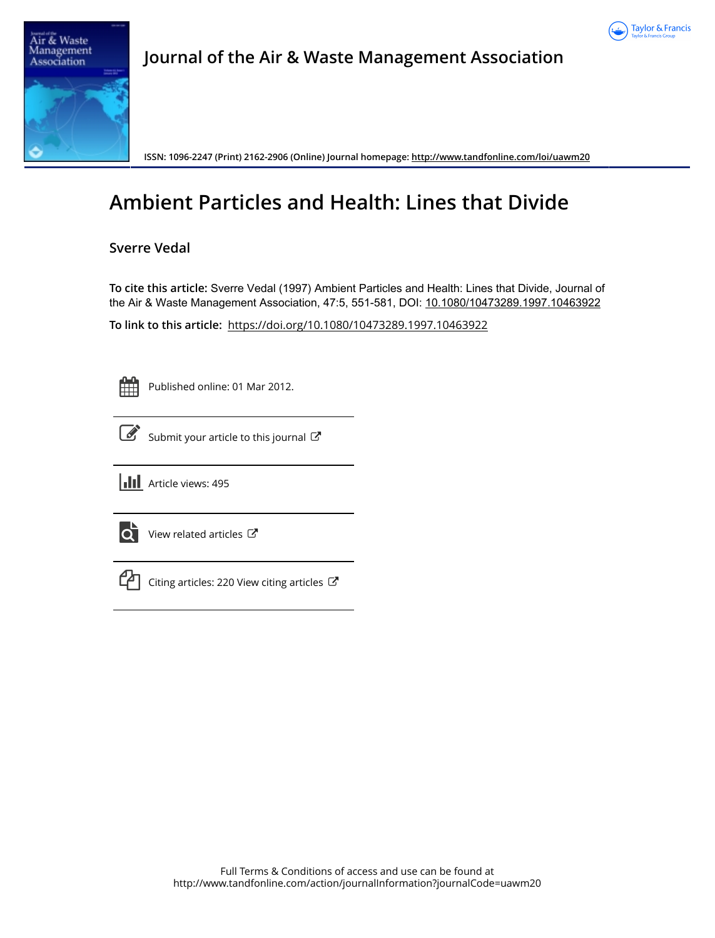



## **Journal of the Air & Waste Management Association**

**ISSN: 1096-2247 (Print) 2162-2906 (Online) Journal homepage:<http://www.tandfonline.com/loi/uawm20>**

# **Ambient Particles and Health: Lines that Divide**

**Sverre Vedal**

**To cite this article:** Sverre Vedal (1997) Ambient Particles and Health: Lines that Divide, Journal of the Air & Waste Management Association, 47:5, 551-581, DOI: [10.1080/10473289.1997.10463922](http://www.tandfonline.com/action/showCitFormats?doi=10.1080/10473289.1997.10463922)

**To link to this article:** <https://doi.org/10.1080/10473289.1997.10463922>

Published online: 01 Mar 2012.



[Submit your article to this journal](http://www.tandfonline.com/action/authorSubmission?journalCode=uawm20&show=instructions)  $\mathbb{Z}$ 



**Article views: 495** 



[View related articles](http://www.tandfonline.com/doi/mlt/10.1080/10473289.1997.10463922) C



 $\mathbb{C}$  [Citing articles: 220 View citing articles](http://www.tandfonline.com/doi/citedby/10.1080/10473289.1997.10463922#tabModule)  $\mathbb{C}$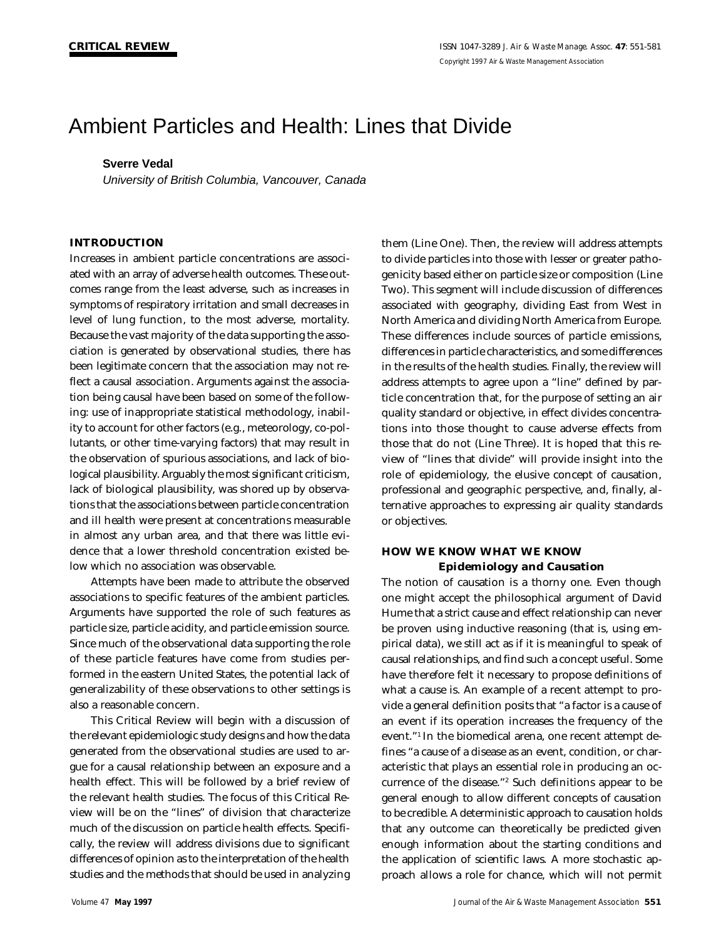## Ambient Particles and Health: Lines that Divide

## **Sverre Vedal**

*University of British Columbia, Vancouver, Canada*

## **INTRODUCTION**

Increases in ambient particle concentrations are associated with an array of adverse health outcomes. These outcomes range from the least adverse, such as increases in symptoms of respiratory irritation and small decreases in level of lung function, to the most adverse, mortality. Because the vast majority of the data supporting the association is generated by observational studies, there has been legitimate concern that the association may not reflect a causal association. Arguments against the association being causal have been based on some of the following: use of inappropriate statistical methodology, inability to account for other factors (e.g., meteorology, co-pollutants, or other time-varying factors) that may result in the observation of spurious associations, and lack of biological plausibility. Arguably the most significant criticism, lack of biological plausibility, was shored up by observations that the associations between particle concentration and ill health were present at concentrations measurable in almost any urban area, and that there was little evidence that a lower threshold concentration existed below which no association was observable.

Attempts have been made to attribute the observed associations to specific features of the ambient particles. Arguments have supported the role of such features as particle size, particle acidity, and particle emission source. Since much of the observational data supporting the role of these particle features have come from studies performed in the eastern United States, the potential lack of generalizability of these observations to other settings is also a reasonable concern.

This Critical Review will begin with a discussion of the relevant epidemiologic study designs and how the data generated from the observational studies are used to argue for a causal relationship between an exposure and a health effect. This will be followed by a brief review of the relevant health studies. The focus of this Critical Review will be on the "lines" of division that characterize much of the discussion on particle health effects. Specifically, the review will address divisions due to significant differences of opinion as to the interpretation of the health studies and the methods that should be used in analyzing

them (Line One). Then, the review will address attempts to divide particles into those with lesser or greater pathogenicity based either on particle size or composition (Line Two). This segment will include discussion of differences associated with geography, dividing East from West in North America and dividing North America from Europe. These differences include sources of particle emissions, differences in particle characteristics, and some differences in the results of the health studies. Finally, the review will address attempts to agree upon a "line" defined by particle concentration that, for the purpose of setting an air quality standard or objective, in effect divides concentrations into those thought to cause adverse effects from those that do not (Line Three). It is hoped that this review of "lines that divide" will provide insight into the role of epidemiology, the elusive concept of causation, professional and geographic perspective, and, finally, alternative approaches to expressing air quality standards or objectives.

## **HOW WE KNOW WHAT WE KNOW Epidemiology and Causation**

The notion of causation is a thorny one. Even though one might accept the philosophical argument of David Hume that a strict cause and effect relationship can never be proven using inductive reasoning (that is, using empirical data), we still act as if it is meaningful to speak of causal relationships, and find such a concept useful. Some have therefore felt it necessary to propose definitions of what a cause is. An example of a recent attempt to provide a general definition posits that "a factor is a cause of an event if its operation increases the frequency of the event."1 In the biomedical arena, one recent attempt defines "a cause of a disease as an event, condition, or characteristic that plays an essential role in producing an occurrence of the disease."<sup>2</sup> Such definitions appear to be general enough to allow different concepts of causation to be credible. A deterministic approach to causation holds that any outcome can theoretically be predicted given enough information about the starting conditions and the application of scientific laws. A more stochastic approach allows a role for chance, which will not permit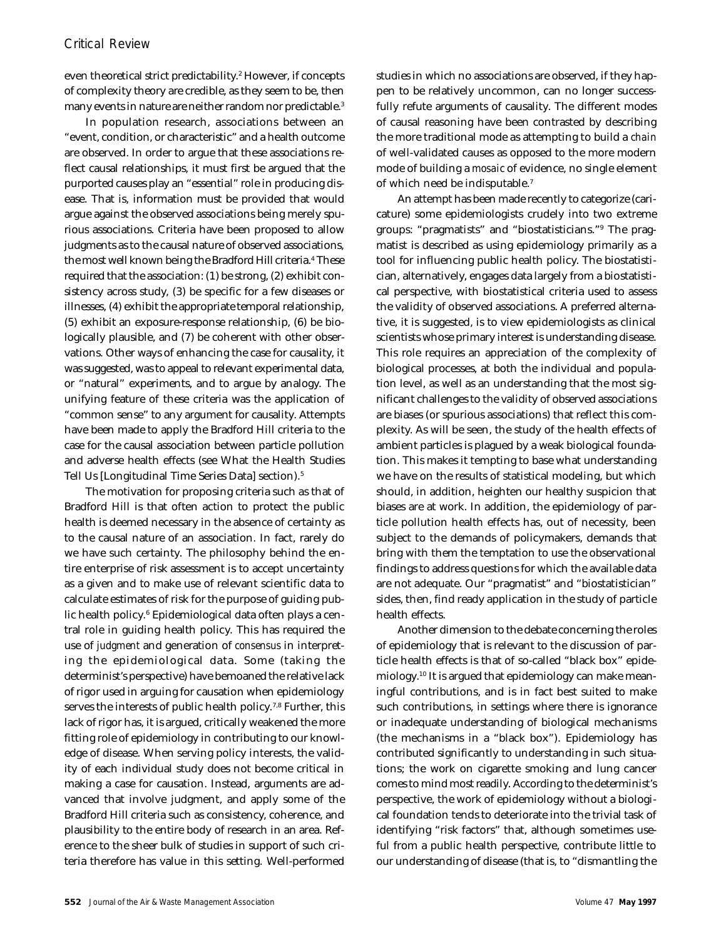even theoretical strict predictability.<sup>2</sup> However, if concepts of complexity theory are credible, as they seem to be, then many events in nature are neither random nor predictable.<sup>3</sup>

In population research, associations between an "event, condition, or characteristic" and a health outcome are observed. In order to argue that these associations reflect causal relationships, it must first be argued that the purported causes play an "essential" role in producing disease. That is, information must be provided that would argue against the observed associations being merely spurious associations. Criteria have been proposed to allow judgments as to the causal nature of observed associations, the most well known being the Bradford Hill criteria.<sup>4</sup> These required that the association: (1) be strong, (2) exhibit consistency across study, (3) be specific for a few diseases or illnesses, (4) exhibit the appropriate temporal relationship, (5) exhibit an exposure-response relationship, (6) be biologically plausible, and (7) be coherent with other observations. Other ways of enhancing the case for causality, it was suggested, was to appeal to relevant experimental data, or "natural" experiments, and to argue by analogy. The unifying feature of these criteria was the application of "common sense" to any argument for causality. Attempts have been made to apply the Bradford Hill criteria to the case for the causal association between particle pollution and adverse health effects (see What the Health Studies Tell Us [Longitudinal Time Series Data] section).<sup>5</sup>

The motivation for proposing criteria such as that of Bradford Hill is that often action to protect the public health is deemed necessary in the absence of certainty as to the causal nature of an association. In fact, rarely do we have such certainty. The philosophy behind the entire enterprise of risk assessment is to accept uncertainty as a given and to make use of relevant scientific data to calculate estimates of risk for the purpose of guiding public health policy.<sup>6</sup> Epidemiological data often plays a central role in guiding health policy. This has required the use of *judgment* and generation of *consensus* in interpreting the epidemiological data. Some (taking the determinist's perspective) have bemoaned the relative lack of rigor used in arguing for causation when epidemiology serves the interests of public health policy.<sup>7,8</sup> Further, this lack of rigor has, it is argued, critically weakened the more fitting role of epidemiology in contributing to our knowledge of disease. When serving policy interests, the validity of each individual study does not become critical in making a case for causation. Instead, arguments are advanced that involve judgment, and apply some of the Bradford Hill criteria such as consistency, coherence, and plausibility to the entire body of research in an area. Reference to the sheer bulk of studies in support of such criteria therefore has value in this setting. Well-performed studies in which no associations are observed, if they happen to be relatively uncommon, can no longer successfully refute arguments of causality. The different modes of causal reasoning have been contrasted by describing the more traditional mode as attempting to build a *chain* of well-validated causes as opposed to the more modern mode of building a *mosaic* of evidence, no single element of which need be indisputable.<sup>7</sup>

An attempt has been made recently to categorize (caricature) some epidemiologists crudely into two extreme groups: "pragmatists" and "biostatisticians."<sup>9</sup> The pragmatist is described as using epidemiology primarily as a tool for influencing public health policy. The biostatistician, alternatively, engages data largely from a biostatistical perspective, with biostatistical criteria used to assess the validity of observed associations. A preferred alternative, it is suggested, is to view epidemiologists as clinical scientists whose primary interest is understanding disease. This role requires an appreciation of the complexity of biological processes, at both the individual and population level, as well as an understanding that the most significant challenges to the validity of observed associations are biases (or spurious associations) that reflect this complexity. As will be seen, the study of the health effects of ambient particles is plagued by a weak biological foundation. This makes it tempting to base what understanding we have on the results of statistical modeling, but which should, in addition, heighten our healthy suspicion that biases are at work. In addition, the epidemiology of particle pollution health effects has, out of necessity, been subject to the demands of policymakers, demands that bring with them the temptation to use the observational findings to address questions for which the available data are not adequate. Our "pragmatist" and "biostatistician" sides, then, find ready application in the study of particle health effects.

Another dimension to the debate concerning the roles of epidemiology that is relevant to the discussion of particle health effects is that of so-called "black box" epidemiology.10 It is argued that epidemiology can make meaningful contributions, and is in fact best suited to make such contributions, in settings where there is ignorance or inadequate understanding of biological mechanisms (the mechanisms in a "black box"). Epidemiology has contributed significantly to understanding in such situations; the work on cigarette smoking and lung cancer comes to mind most readily. According to the determinist's perspective, the work of epidemiology without a biological foundation tends to deteriorate into the trivial task of identifying "risk factors" that, although sometimes useful from a public health perspective, contribute little to our understanding of disease (that is, to "dismantling the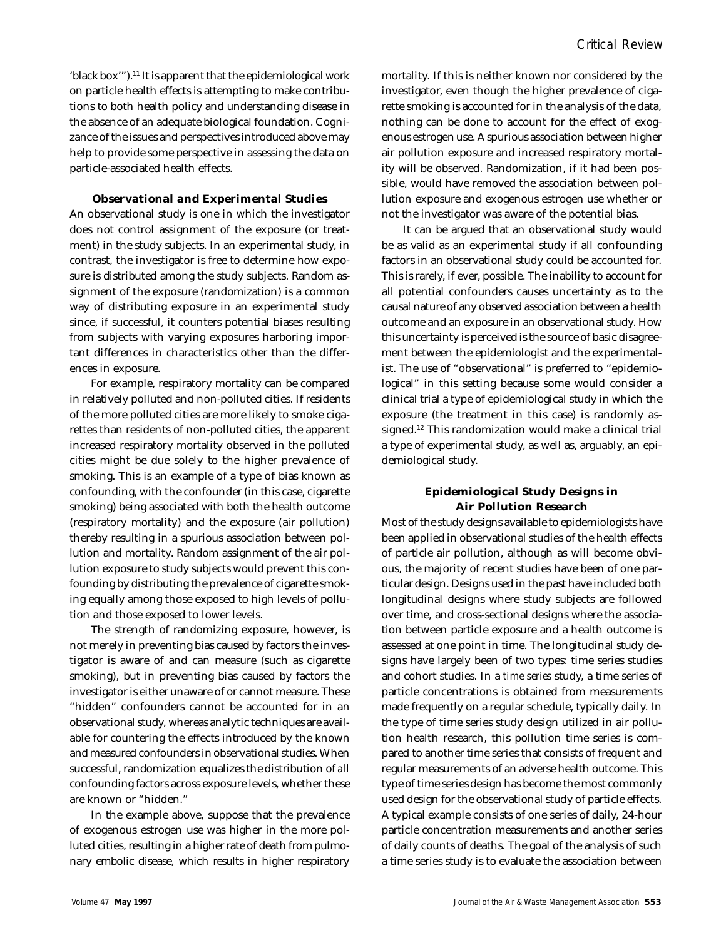'black box'").<sup>11</sup> It is apparent that the epidemiological work on particle health effects is attempting to make contributions to both health policy and understanding disease in the absence of an adequate biological foundation. Cognizance of the issues and perspectives introduced above may help to provide some perspective in assessing the data on particle-associated health effects.

#### **Observational and Experimental Studies**

An observational study is one in which the investigator does not control assignment of the exposure (or treatment) in the study subjects. In an experimental study, in contrast, the investigator is free to determine how exposure is distributed among the study subjects. Random assignment of the exposure (randomization) is a common way of distributing exposure in an experimental study since, if successful, it counters potential biases resulting from subjects with varying exposures harboring important differences in characteristics other than the differences in exposure.

For example, respiratory mortality can be compared in relatively polluted and non-polluted cities. If residents of the more polluted cities are more likely to smoke cigarettes than residents of non-polluted cities, the apparent increased respiratory mortality observed in the polluted cities might be due solely to the higher prevalence of smoking. This is an example of a type of bias known as confounding, with the confounder (in this case, cigarette smoking) being associated with both the health outcome (respiratory mortality) and the exposure (air pollution) thereby resulting in a spurious association between pollution and mortality. Random assignment of the air pollution exposure to study subjects would prevent this confounding by distributing the prevalence of cigarette smoking equally among those exposed to high levels of pollution and those exposed to lower levels.

The strength of randomizing exposure, however, is not merely in preventing bias caused by factors the investigator is aware of and can measure (such as cigarette smoking), but in preventing bias caused by factors the investigator is either unaware of or cannot measure. These "hidden" confounders cannot be accounted for in an observational study, whereas analytic techniques are available for countering the effects introduced by the known and measured confounders in observational studies. When successful, randomization equalizes the distribution of *all* confounding factors across exposure levels, whether these are known or "hidden."

In the example above, suppose that the prevalence of exogenous estrogen use was higher in the more polluted cities, resulting in a higher rate of death from pulmonary embolic disease, which results in higher respiratory mortality. If this is neither known nor considered by the investigator, even though the higher prevalence of cigarette smoking is accounted for in the analysis of the data, nothing can be done to account for the effect of exogenous estrogen use. A spurious association between higher air pollution exposure and increased respiratory mortality will be observed. Randomization, if it had been possible, would have removed the association between pollution exposure and exogenous estrogen use whether or not the investigator was aware of the potential bias.

It can be argued that an observational study would be as valid as an experimental study if all confounding factors in an observational study could be accounted for. This is rarely, if ever, possible. The inability to account for all potential confounders causes uncertainty as to the causal nature of any observed association between a health outcome and an exposure in an observational study. How this uncertainty is perceived is the source of basic disagreement between the epidemiologist and the experimentalist. The use of "observational" is preferred to "epidemiological" in this setting because some would consider a clinical trial a type of epidemiological study in which the exposure (the treatment in this case) is randomly assigned.<sup>12</sup> This randomization would make a clinical trial a type of experimental study, as well as, arguably, an epidemiological study.

## **Epidemiological Study Designs in Air Pollution Research**

Most of the study designs available to epidemiologists have been applied in observational studies of the health effects of particle air pollution, although as will become obvious, the majority of recent studies have been of one particular design. Designs used in the past have included both longitudinal designs where study subjects are followed over time, and cross-sectional designs where the association between particle exposure and a health outcome is assessed at one point in time. The longitudinal study designs have largely been of two types: time series studies and cohort studies. In a *time series* study, a time series of particle concentrations is obtained from measurements made frequently on a regular schedule, typically daily. In the type of time series study design utilized in air pollution health research, this pollution time series is compared to another time series that consists of frequent and regular measurements of an adverse health outcome. This type of time series design has become the most commonly used design for the observational study of particle effects. A typical example consists of one series of daily, 24-hour particle concentration measurements and another series of daily counts of deaths. The goal of the analysis of such a time series study is to evaluate the association between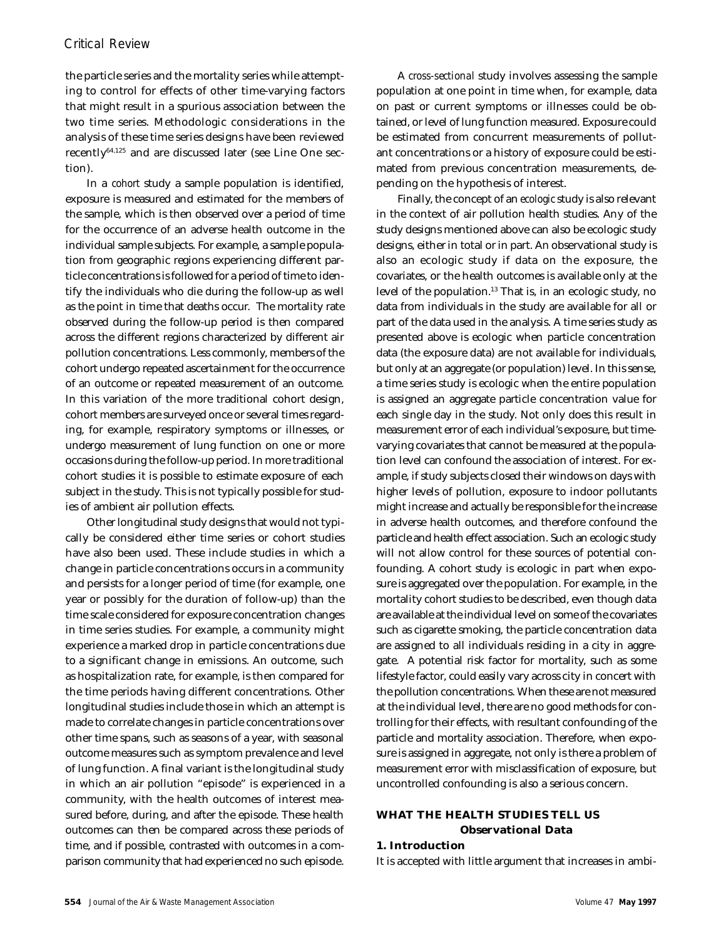## *Critical Review*

the particle series and the mortality series while attempting to control for effects of other time-varying factors that might result in a spurious association between the two time series. Methodologic considerations in the analysis of these time series designs have been reviewed recently64,125 and are discussed later (see Line One section).

In a *cohort* study a sample population is identified, exposure is measured and estimated for the members of the sample, which is then observed over a period of time for the occurrence of an adverse health outcome in the individual sample subjects. For example, a sample population from geographic regions experiencing different particle concentrations is followed for a period of time to identify the individuals who die during the follow-up as well as the point in time that deaths occur. The mortality rate observed during the follow-up period is then compared across the different regions characterized by different air pollution concentrations. Less commonly, members of the cohort undergo repeated ascertainment for the occurrence of an outcome or repeated measurement of an outcome. In this variation of the more traditional cohort design, cohort members are surveyed once or several times regarding, for example, respiratory symptoms or illnesses, or undergo measurement of lung function on one or more occasions during the follow-up period. In more traditional cohort studies it is possible to estimate exposure of each subject in the study. This is not typically possible for studies of ambient air pollution effects.

Other longitudinal study designs that would not typically be considered either time series or cohort studies have also been used. These include studies in which a change in particle concentrations occurs in a community and persists for a longer period of time (for example, one year or possibly for the duration of follow-up) than the time scale considered for exposure concentration changes in time series studies. For example, a community might experience a marked drop in particle concentrations due to a significant change in emissions. An outcome, such as hospitalization rate, for example, is then compared for the time periods having different concentrations. Other longitudinal studies include those in which an attempt is made to correlate changes in particle concentrations over other time spans, such as seasons of a year, with seasonal outcome measures such as symptom prevalence and level of lung function. A final variant is the longitudinal study in which an air pollution "episode" is experienced in a community, with the health outcomes of interest measured before, during, and after the episode. These health outcomes can then be compared across these periods of time, and if possible, contrasted with outcomes in a comparison community that had experienced no such episode.

A *cross-sectional* study involves assessing the sample population at one point in time when, for example, data on past or current symptoms or illnesses could be obtained, or level of lung function measured. Exposure could be estimated from concurrent measurements of pollutant concentrations or a history of exposure could be estimated from previous concentration measurements, depending on the hypothesis of interest.

Finally, the concept of an *ecologic* study is also relevant in the context of air pollution health studies. Any of the study designs mentioned above can also be ecologic study designs, either in total or in part. An observational study is also an ecologic study if data on the exposure, the covariates, or the health outcomes is available only at the level of the population.<sup>13</sup> That is, in an ecologic study, no data from individuals in the study are available for all or part of the data used in the analysis. A time series study as presented above is ecologic when particle concentration data (the exposure data) are not available for individuals, but only at an aggregate (or population) level. In this sense, a time series study is ecologic when the entire population is assigned an aggregate particle concentration value for each single day in the study. Not only does this result in measurement error of each individual's exposure, but timevarying covariates that cannot be measured at the population level can confound the association of interest. For example, if study subjects closed their windows on days with higher levels of pollution, exposure to indoor pollutants might increase and actually be responsible for the increase in adverse health outcomes, and therefore confound the particle and health effect association. Such an ecologic study will not allow control for these sources of potential confounding. A cohort study is ecologic in part when exposure is aggregated over the population. For example, in the mortality cohort studies to be described, even though data are available at the individual level on some of the covariates such as cigarette smoking, the particle concentration data are assigned to all individuals residing in a city in aggregate. A potential risk factor for mortality, such as some lifestyle factor, could easily vary across city in concert with the pollution concentrations. When these are not measured at the individual level, there are no good methods for controlling for their effects, with resultant confounding of the particle and mortality association. Therefore, when exposure is assigned in aggregate, not only is there a problem of measurement error with misclassification of exposure, but uncontrolled confounding is also a serious concern.

## **WHAT THE HEALTH STUDIES TELL US Observational Data**

#### **1. Introduction**

It is accepted with little argument that increases in ambi-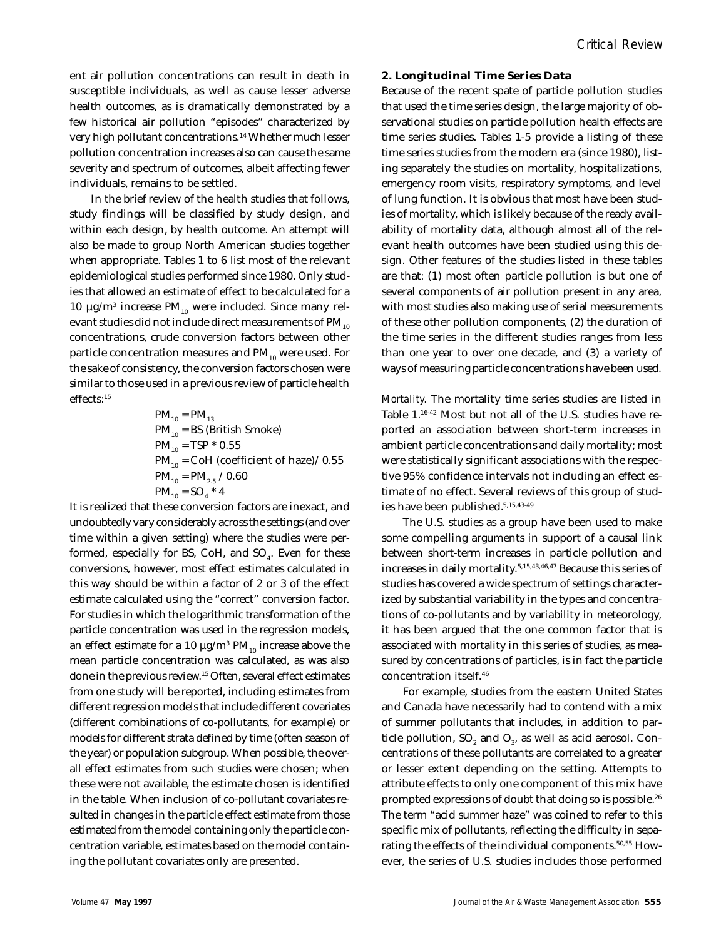ent air pollution concentrations can result in death in susceptible individuals, as well as cause lesser adverse health outcomes, as is dramatically demonstrated by a few historical air pollution "episodes" characterized by very high pollutant concentrations.<sup>14</sup> Whether much lesser pollution concentration increases also can cause the same severity and spectrum of outcomes, albeit affecting fewer individuals, remains to be settled.

In the brief review of the health studies that follows, study findings will be classified by study design, and within each design, by health outcome. An attempt will also be made to group North American studies together when appropriate. Tables 1 to 6 list most of the relevant epidemiological studies performed since 1980. Only studies that allowed an estimate of effect to be calculated for a 10  $\mu$ g/m<sup>3</sup> increase PM<sub>10</sub> were included. Since many relevant studies did not include direct measurements of  $PM_{10}$ concentrations, crude conversion factors between other particle concentration measures and  $PM_{10}$  were used. For the sake of consistency, the conversion factors chosen were similar to those used in a previous review of particle health effects:<sup>15</sup>

$$
PM_{10} = PM_{13}
$$
  
\n
$$
PM_{10} = BS (British Smoke)
$$
  
\n
$$
PM_{10} = TSP * 0.55
$$
  
\n
$$
PM_{10} = COH (coefficient of haze) / 0.55
$$
  
\n
$$
PM_{10} = PM_{2.5} / 0.60
$$
  
\n
$$
PM_{10} = SO_4 * 4
$$

It is realized that these conversion factors are inexact, and undoubtedly vary considerably across the settings (and over time within a given setting) where the studies were performed, especially for BS, CoH, and SO<sub>4</sub>. Even for these conversions, however, most effect estimates calculated in this way should be within a factor of 2 or 3 of the effect estimate calculated using the "correct" conversion factor. For studies in which the logarithmic transformation of the particle concentration was used in the regression models, an effect estimate for a 10  $\mu$ g/m $^3$  PM $_{_{10}}$  increase above the mean particle concentration was calculated, as was also done in the previous review.<sup>15</sup> Often, several effect estimates from one study will be reported, including estimates from different regression models that include different covariates (different combinations of co-pollutants, for example) or models for different strata defined by time (often season of the year) or population subgroup. When possible, the overall effect estimates from such studies were chosen; when these were not available, the estimate chosen is identified in the table. When inclusion of co-pollutant covariates resulted in changes in the particle effect estimate from those estimated from the model containing only the particle concentration variable, estimates based on the model containing the pollutant covariates only are presented.

### **2. Longitudinal Time Series Data**

Because of the recent spate of particle pollution studies that used the time series design, the large majority of observational studies on particle pollution health effects are time series studies. Tables 1-5 provide a listing of these time series studies from the modern era (since 1980), listing separately the studies on mortality, hospitalizations, emergency room visits, respiratory symptoms, and level of lung function. It is obvious that most have been studies of mortality, which is likely because of the ready availability of mortality data, although almost all of the relevant health outcomes have been studied using this design. Other features of the studies listed in these tables are that: (1) most often particle pollution is but one of several components of air pollution present in any area, with most studies also making use of serial measurements of these other pollution components, (2) the duration of the time series in the different studies ranges from less than one year to over one decade, and (3) a variety of ways of measuring particle concentrations have been used.

*Mortality.* The mortality time series studies are listed in Table 1.16-42 Most but not all of the U.S. studies have reported an association between short-term increases in ambient particle concentrations and daily mortality; most were statistically significant associations with the respective 95% confidence intervals not including an effect estimate of no effect. Several reviews of this group of studies have been published.5,15,43-49

The U.S. studies as a group have been used to make some compelling arguments in support of a causal link between short-term increases in particle pollution and increases in daily mortality.5,15,43,46,47 Because this series of studies has covered a wide spectrum of settings characterized by substantial variability in the types and concentrations of co-pollutants and by variability in meteorology, it has been argued that the one common factor that is associated with mortality in this series of studies, as measured by concentrations of particles, is in fact the particle concentration itself.<sup>46</sup>

For example, studies from the eastern United States and Canada have necessarily had to contend with a mix of summer pollutants that includes, in addition to particle pollution, SO<sub>2</sub> and O<sub>3</sub>, as well as acid aerosol. Concentrations of these pollutants are correlated to a greater or lesser extent depending on the setting. Attempts to attribute effects to only one component of this mix have prompted expressions of doubt that doing so is possible.<sup>26</sup> The term "acid summer haze" was coined to refer to this specific mix of pollutants, reflecting the difficulty in separating the effects of the individual components.<sup>50,55</sup> However, the series of U.S. studies includes those performed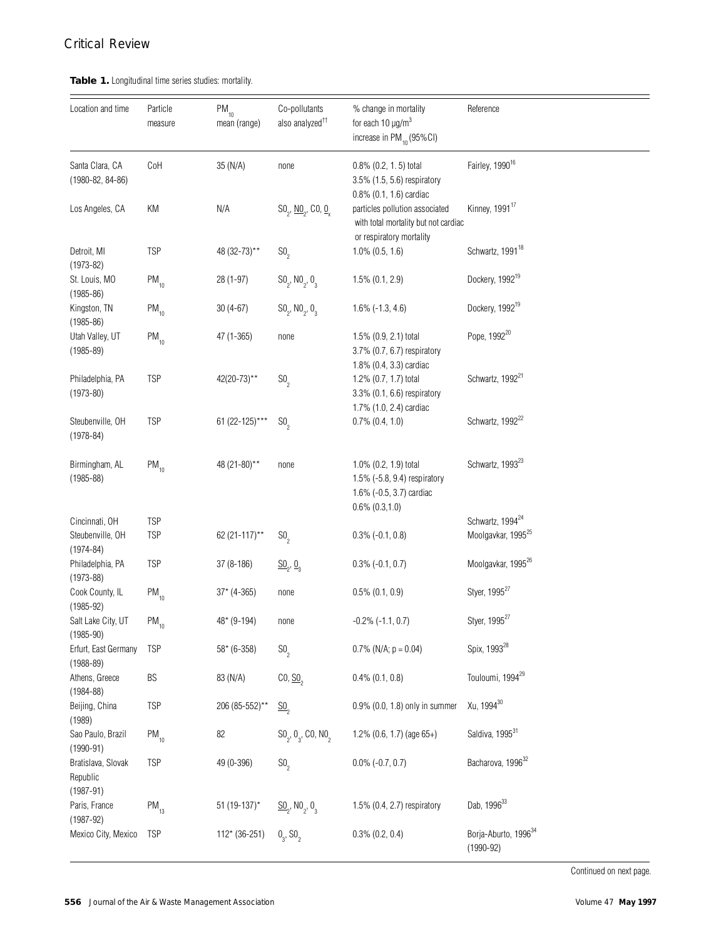## *Critical Review*

## **Table 1.** Longitudinal time series studies: mortality.

| Location and time                                   | Particle<br>measure      | $PM_{10}$<br>mean (range) | Co-pollutants<br>also analyzed <sup>++</sup>             | % change in mortality<br>for each $10 \mu g/m^3$<br>increase in PM <sub>10</sub> (95%CI)                 | Reference                                                      |
|-----------------------------------------------------|--------------------------|---------------------------|----------------------------------------------------------|----------------------------------------------------------------------------------------------------------|----------------------------------------------------------------|
| Santa Clara, CA<br>$(1980 - 82, 84 - 86)$           | CoH                      | 35 (N/A)                  | none                                                     | $0.8\%$ $(0.2, 1.5)$ total<br>3.5% (1.5, 5.6) respiratory<br>0.8% (0.1, 1.6) cardiac                     | Fairley, 1990 <sup>16</sup>                                    |
| Los Angeles, CA                                     | KM                       | N/A                       | $SO_2$ , $\underline{NO}_2$ , $CO$ , $\underline{O}_2$   | particles pollution associated<br>with total mortality but not cardiac<br>or respiratory mortality       | Kinney, 1991 <sup>17</sup>                                     |
| Detroit, MI<br>$(1973 - 82)$                        | <b>TSP</b>               | 48 (32-73)**              | $SO_{2}$                                                 | $1.0\%$ $(0.5, 1.6)$                                                                                     | Schwartz, 1991 <sup>18</sup>                                   |
| St. Louis, MO<br>$(1985 - 86)$                      | $PM_{10}$                | 28 (1-97)                 | $SO_2$ , NO <sub>2</sub> , O <sub>3</sub>                | $1.5\%$ (0.1, 2.9)                                                                                       | Dockery, 1992 <sup>19</sup>                                    |
| Kingston, TN<br>$(1985 - 86)$                       | $PM_{10}$                | $30(4-67)$                | $SO_2$ , NO <sub>2</sub> , O <sub>3</sub>                | $1.6\%$ (-1.3, 4.6)                                                                                      | Dockery, 1992 <sup>19</sup>                                    |
| Utah Valley, UT<br>$(1985 - 89)$                    | $PM_{10}$                | 47 (1-365)                | none                                                     | 1.5% (0.9, 2.1) total<br>3.7% (0.7, 6.7) respiratory<br>1.8% (0.4, 3.3) cardiac                          | Pope, 1992 <sup>20</sup>                                       |
| Philadelphia, PA<br>$(1973 - 80)$                   | <b>TSP</b>               | $42(20-73)$ **            | SO <sub>2</sub>                                          | 1.2% (0.7, 1.7) total<br>3.3% (0.1, 6.6) respiratory<br>1.7% (1.0, 2.4) cardiac                          | Schwartz, 1992 <sup>21</sup>                                   |
| Steubenville, OH<br>$(1978 - 84)$                   | <b>TSP</b>               | 61 (22-125)***            | $SO_{2}$                                                 | $0.7\%$ $(0.4, 1.0)$                                                                                     | Schwartz, 1992 <sup>22</sup>                                   |
| Birmingham, AL<br>$(1985 - 88)$                     | $PM_{10}$                | 48 (21-80)**              | none                                                     | 1.0% (0.2, 1.9) total<br>1.5% (-5.8, 9.4) respiratory<br>1.6% (-0.5, 3.7) cardiac<br>$0.6\%$ $(0.3,1.0)$ | Schwartz, 1993 <sup>23</sup>                                   |
| Cincinnati, OH<br>Steubenville, OH<br>$(1974 - 84)$ | <b>TSP</b><br><b>TSP</b> | 62 (21-117)**             | SO <sub>2</sub>                                          | $0.3\%$ (-0.1, 0.8)                                                                                      | Schwartz, 1994 <sup>24</sup><br>Moolgavkar, 1995 <sup>25</sup> |
| Philadelphia, PA<br>$(1973 - 88)$                   | <b>TSP</b>               | $37(8-186)$               | $\underline{\mathsf{SO}}_2$ , $\underline{\mathsf{O}}_3$ | $0.3\%$ (-0.1, 0.7)                                                                                      | Moolgavkar, 1995 <sup>26</sup>                                 |
| Cook County, IL<br>$(1985 - 92)$                    | $PM_{10}$                | $37*(4-365)$              | none                                                     | $0.5\%$ $(0.1, 0.9)$                                                                                     | Styer, 1995 <sup>27</sup>                                      |
| Salt Lake City, UT<br>$(1985 - 90)$                 | $\mathsf{PM}_{_{10}}$    | $48*(9-194)$              | none                                                     | $-0.2\%$ $(-1.1, 0.7)$                                                                                   | Styer, 1995 <sup>27</sup>                                      |
| Erfurt, East Germany<br>$(1988 - 89)$               | <b>TSP</b>               | $58*(6-358)$              | SO <sub>2</sub>                                          | $0.7\%$ (N/A; $p = 0.04$ )                                                                               | Spix, 1993 <sup>28</sup>                                       |
| Athens, Greece<br>$(1984 - 88)$                     | BS                       | 83 (N/A)                  | CO, SO <sub>2</sub>                                      | $0.4\%$ $(0.1, 0.8)$                                                                                     | Touloumi, 1994 <sup>29</sup>                                   |
| Beijing, China<br>(1989)                            | <b>TSP</b>               | 206 (85-552)**            | $\underline{\text{SO}}_{2}$                              | 0.9% (0.0, 1.8) only in summer                                                                           | Xu, 1994 <sup>30</sup>                                         |
| Sao Paulo, Brazil<br>$(1990 - 91)$                  | $\mathsf{PM}_{_{10}}$    | 82                        | $SO_2, O_3, CO, NO_2$                                    | 1.2% (0.6, 1.7) (age 65+)                                                                                | Saldiva, 199531                                                |
| Bratislava, Slovak<br>Republic<br>$(1987 - 91)$     | <b>TSP</b>               | 49 (0-396)                | $SO_{2}$                                                 | $0.0\%$ (-0.7, 0.7)                                                                                      | Bacharova, 1996 <sup>32</sup>                                  |
| Paris, France<br>$(1987 - 92)$                      | $PM_{13}$                | 51 (19-137)*              | $\underline{SO}_{2}$ , NO <sub>2</sub> , O <sub>3</sub>  | 1.5% (0.4, 2.7) respiratory                                                                              | Dab, 1996 <sup>33</sup>                                        |
| Mexico City, Mexico                                 | <b>TSP</b>               | $112*(36-251)$            | $0_{3}$ , SO <sub>2</sub>                                | $0.3\%$ $(0.2, 0.4)$                                                                                     | Borja-Aburto, 1996 <sup>34</sup><br>$(1990 - 92)$              |

Continued on next page.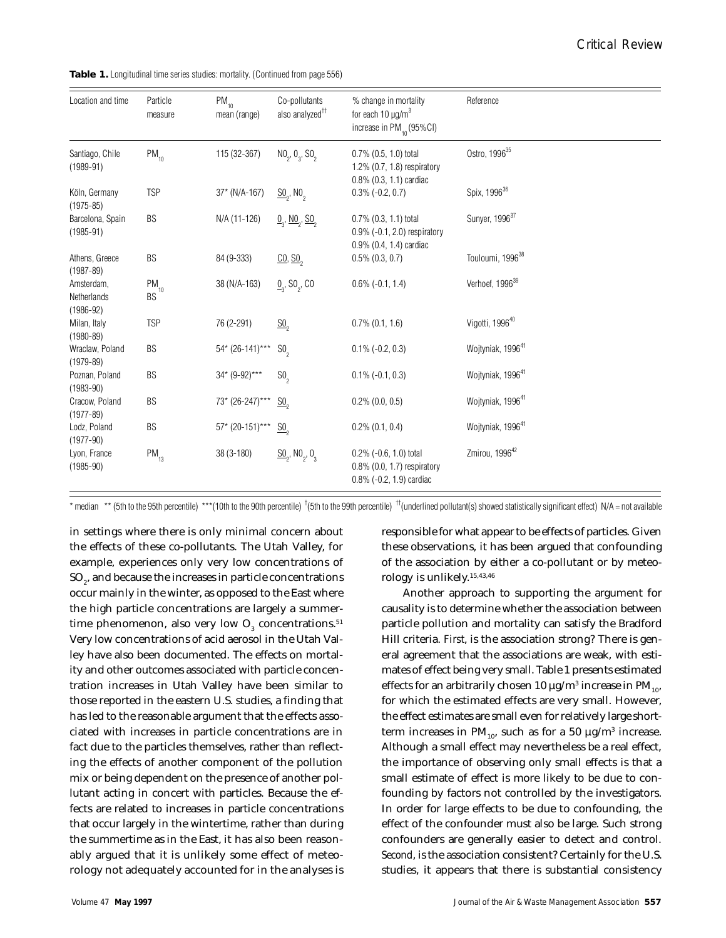|  |  |  |  |  |  | <b>Table 1.</b> Longitudinal time series studies: mortality. (Continued from page 556) |
|--|--|--|--|--|--|----------------------------------------------------------------------------------------|
|--|--|--|--|--|--|----------------------------------------------------------------------------------------|

| Location and time                          | Particle<br>measure         | $PM_{10}$<br>mean (range) | Co-pollutants<br>also analyzed <sup>++</sup>            | % change in mortality<br>for each 10 $\mu$ g/m <sup>3</sup><br>increase in $PM_{10}(95\%CI)$ | Reference                     |
|--------------------------------------------|-----------------------------|---------------------------|---------------------------------------------------------|----------------------------------------------------------------------------------------------|-------------------------------|
| Santiago, Chile<br>$(1989-91)$             | $PM_{10}$                   | 115 (32-367)              | $NO_2$ , $O_3$ , $SO_2$                                 | $0.7\%$ $(0.5, 1.0)$ total<br>1.2% $(0.7, 1.8)$ respiratory<br>$0.8\%$ $(0.3, 1.1)$ cardiac  | Ostro, 1996 <sup>35</sup>     |
| Köln, Germany<br>$(1975 - 85)$             | <b>TSP</b>                  | $37*(N/A-167)$            | $\underline{\text{SO}}_2$ , NO <sub>2</sub>             | $0.3\%$ (-0.2, 0.7)                                                                          | Spix, 1996 <sup>36</sup>      |
| Barcelona, Spain<br>$(1985 - 91)$          | BS                          | N/A (11-126)              | $\underline{0}_{3}$ , NO <sub>2</sub> , S <sub>0</sub>  | $0.7\%$ $(0.3, 1.1)$ total<br>0.9% (-0.1, 2.0) respiratory<br>0.9% (0.4, 1.4) cardiac        | Sunyer, 1996 <sup>37</sup>    |
| Athens, Greece<br>$(1987 - 89)$            | BS                          | 84 (9-333)                | $\underline{CO}$ , $\underline{SO}$ <sub>2</sub>        | $0.5\%$ $(0.3, 0.7)$                                                                         | Touloumi, 1996 <sup>38</sup>  |
| Amsterdam,<br>Netherlands<br>$(1986 - 92)$ | $\mathsf{PM}_{_{10}}$<br>BS | 38 (N/A-163)              | $\underline{0}$ , S0 <sub>2</sub> , C0                  | $0.6\%$ (-0.1, 1.4)                                                                          | Verhoef, 1996 <sup>39</sup>   |
| Milan, Italy<br>$(1980 - 89)$              | <b>TSP</b>                  | 76 (2-291)                | $\underline{\text{SO}}_{2}$                             | $0.7\%$ $(0.1, 1.6)$                                                                         | Vigotti, 1996 <sup>40</sup>   |
| Wraclaw, Poland<br>$(1979-89)$             | BS                          | $54*(26-141)***$          | SO <sub>2</sub>                                         | $0.1\%$ (-0.2, 0.3)                                                                          | Wojtyniak, 1996 <sup>41</sup> |
| Poznan, Poland<br>$(1983 - 90)$            | BS                          | 34* (9-92)***             | SO <sub>2</sub>                                         | $0.1\%$ (-0.1, 0.3)                                                                          | Wojtyniak, 1996 <sup>41</sup> |
| Cracow, Poland<br>$(1977-89)$              | BS                          | 73* (26-247)***           | $\underline{\text{SO}}_2$                               | $0.2\%$ (0.0, 0.5)                                                                           | Wojtyniak, 1996 <sup>41</sup> |
| Lodz, Poland<br>$(1977-90)$                | <b>BS</b>                   | $57*$ (20-151)***         | $\underline{\text{SO}}_2$                               | $0.2\%$ $(0.1, 0.4)$                                                                         | Wojtyniak, 1996 <sup>41</sup> |
| Lyon, France<br>$(1985 - 90)$              | $PM_{13}$                   | 38 (3-180)                | $\underline{SO}_{2}$ , NO <sub>2</sub> , O <sub>3</sub> | $0.2\%$ (-0.6, 1.0) total<br>$0.8\%$ (0.0, 1.7) respiratory<br>$0.8\%$ (-0.2, 1.9) cardiac   | Zmirou, 1996 <sup>42</sup>    |

\* median \*\* (5th to the 95th percentile) \*\*\*(10th to the 90th percentile)  $^{\dagger}$ (5th to the 99th percentile)  $^{\dagger}$  (underlined pollutant(s) showed statistically significant effect) N/A = not available

in settings where there is only minimal concern about the effects of these co-pollutants. The Utah Valley, for example, experiences only very low concentrations of SO $_{\textrm{\tiny{\it 2}}}$ , and because the increases in particle concentrations occur mainly in the winter, as opposed to the East where the high particle concentrations are largely a summertime phenomenon, also very low  $\mathrm{O}_3^{}$  concentrations. $^{51}$ Very low concentrations of acid aerosol in the Utah Valley have also been documented. The effects on mortality and other outcomes associated with particle concentration increases in Utah Valley have been similar to those reported in the eastern U.S. studies, a finding that has led to the reasonable argument that the effects associated with increases in particle concentrations are in fact due to the particles themselves, rather than reflecting the effects of another component of the pollution mix or being dependent on the presence of another pollutant acting in concert with particles. Because the effects are related to increases in particle concentrations that occur largely in the wintertime, rather than during the summertime as in the East, it has also been reasonably argued that it is unlikely some effect of meteorology not adequately accounted for in the analyses is

rology is unlikely.15,43,46

the effect estimates are small even for relatively large shortterm increases in PM $_{10'}$  such as for a 50  $\mu$ g/m $^3$  increase. Although a small effect may nevertheless be a real effect, the importance of observing only small effects is that a small estimate of effect is more likely to be due to confounding by factors not controlled by the investigators. In order for large effects to be due to confounding, the effect of the confounder must also be large. Such strong confounders are generally easier to detect and control. *Second*, is the association consistent? Certainly for the U.S. studies, it appears that there is substantial consistency

responsible for what appear to be effects of particles. Given these observations, it has been argued that confounding of the association by either a co-pollutant or by meteo-

Another approach to supporting the argument for causality is to determine whether the association between particle pollution and mortality can satisfy the Bradford Hill criteria. *First*, is the association strong? There is general agreement that the associations are weak, with estimates of effect being very small. Table 1 presents estimated effects for an arbitrarily chosen 10  $\mu$ g/m $^3$  increase in PM $_{_{10}},$ for which the estimated effects are very small. However,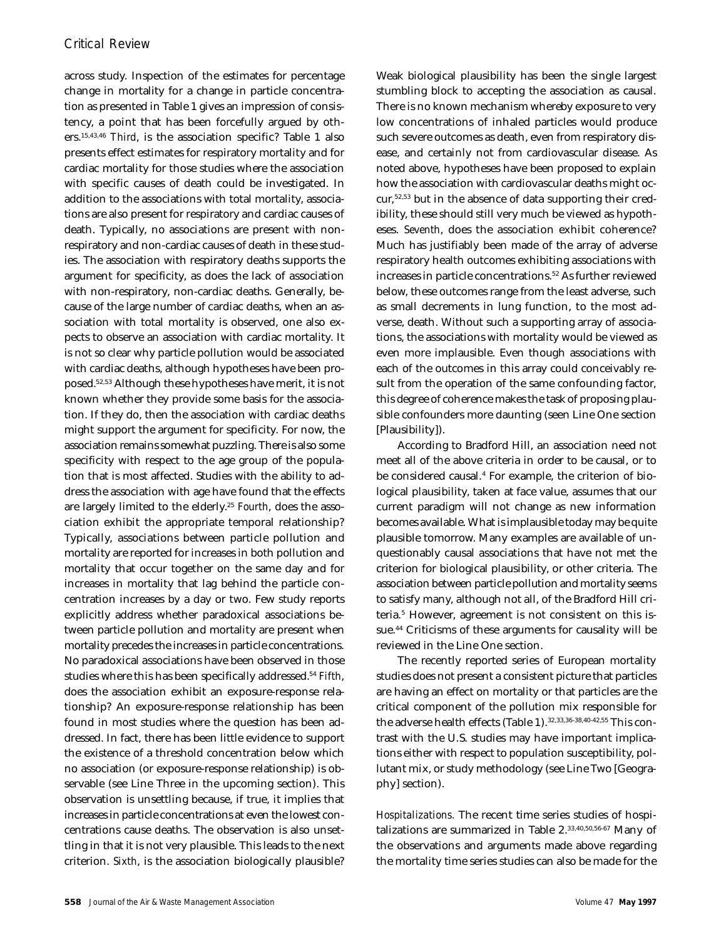across study. Inspection of the estimates for percentage change in mortality for a change in particle concentration as presented in Table 1 gives an impression of consistency, a point that has been forcefully argued by others.15,43,46 *Third*, is the association specific? Table 1 also presents effect estimates for respiratory mortality and for cardiac mortality for those studies where the association with specific causes of death could be investigated. In addition to the associations with total mortality, associations are also present for respiratory and cardiac causes of death. Typically, no associations are present with nonrespiratory and non-cardiac causes of death in these studies. The association with respiratory deaths supports the argument for specificity, as does the lack of association with non-respiratory, non-cardiac deaths. Generally, because of the large number of cardiac deaths, when an association with total mortality is observed, one also expects to observe an association with cardiac mortality. It is not so clear why particle pollution would be associated with cardiac deaths, although hypotheses have been proposed.52,53 Although these hypotheses have merit, it is not known whether they provide some basis for the association. If they do, then the association with cardiac deaths might support the argument for specificity. For now, the association remains somewhat puzzling. There is also some specificity with respect to the age group of the population that is most affected. Studies with the ability to address the association with age have found that the effects are largely limited to the elderly.<sup>25</sup> *Fourth*, does the association exhibit the appropriate temporal relationship? Typically, associations between particle pollution and mortality are reported for increases in both pollution and mortality that occur together on the same day and for increases in mortality that lag behind the particle concentration increases by a day or two. Few study reports explicitly address whether paradoxical associations between particle pollution and mortality are present when mortality precedes the increases in particle concentrations. No paradoxical associations have been observed in those studies where this has been specifically addressed.<sup>54</sup> *Fifth*, does the association exhibit an exposure-response relationship? An exposure-response relationship has been found in most studies where the question has been addressed. In fact, there has been little evidence to support the existence of a threshold concentration below which no association (or exposure-response relationship) is observable (see Line Three in the upcoming section). This observation is unsettling because, if true, it implies that increases in particle concentrations at even the lowest concentrations cause deaths. The observation is also unsettling in that it is not very plausible. This leads to the next criterion. *Sixth*, is the association biologically plausible?

Weak biological plausibility has been the single largest stumbling block to accepting the association as causal. There is no known mechanism whereby exposure to very low concentrations of inhaled particles would produce such severe outcomes as death, even from respiratory disease, and certainly not from cardiovascular disease. As noted above, hypotheses have been proposed to explain how the association with cardiovascular deaths might occur,52,53 but in the absence of data supporting their credibility, these should still very much be viewed as hypotheses. *Seventh*, does the association exhibit coherence? Much has justifiably been made of the array of adverse respiratory health outcomes exhibiting associations with increases in particle concentrations.<sup>52</sup> As further reviewed below, these outcomes range from the least adverse, such as small decrements in lung function, to the most adverse, death. Without such a supporting array of associations, the associations with mortality would be viewed as even more implausible. Even though associations with each of the outcomes in this array could conceivably result from the operation of the same confounding factor, this degree of coherence makes the task of proposing plausible confounders more daunting (seen Line One section [Plausibility]).

According to Bradford Hill, an association need not meet all of the above criteria in order to be causal, or to be considered causal.<sup>4</sup> For example, the criterion of biological plausibility, taken at face value, assumes that our current paradigm will not change as new information becomes available. What is implausible today may be quite plausible tomorrow. Many examples are available of unquestionably causal associations that have not met the criterion for biological plausibility, or other criteria. The association between particle pollution and mortality seems to satisfy many, although not all, of the Bradford Hill criteria.<sup>5</sup> However, agreement is not consistent on this issue.<sup>44</sup> Criticisms of these arguments for causality will be reviewed in the Line One section.

The recently reported series of European mortality studies does not present a consistent picture that particles are having an effect on mortality or that particles are the critical component of the pollution mix responsible for the adverse health effects (Table 1).32,33,36-38,40-42,55 This contrast with the U.S. studies may have important implications either with respect to population susceptibility, pollutant mix, or study methodology (see Line Two [Geography] section).

*Hospitalizations.* The recent time series studies of hospitalizations are summarized in Table 2.33,40,50,56-67 Many of the observations and arguments made above regarding the mortality time series studies can also be made for the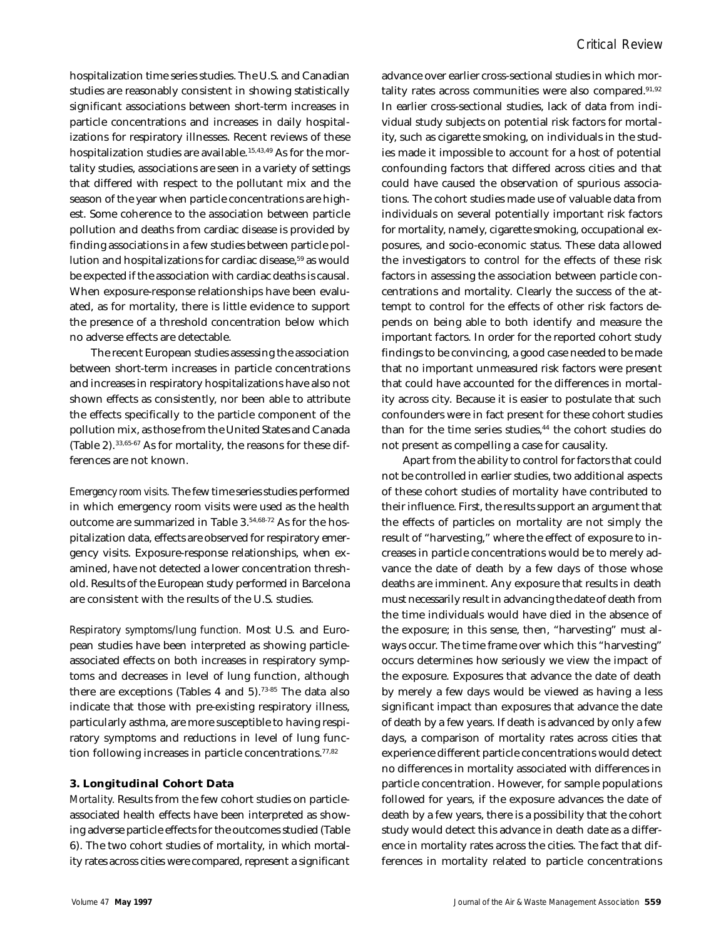hospitalization time series studies. The U.S. and Canadian studies are reasonably consistent in showing statistically significant associations between short-term increases in particle concentrations and increases in daily hospitalizations for respiratory illnesses. Recent reviews of these hospitalization studies are available.<sup>15,43,49</sup> As for the mortality studies, associations are seen in a variety of settings that differed with respect to the pollutant mix and the season of the year when particle concentrations are highest. Some coherence to the association between particle pollution and deaths from cardiac disease is provided by finding associations in a few studies between particle pollution and hospitalizations for cardiac disease,<sup>59</sup> as would be expected if the association with cardiac deaths is causal. When exposure-response relationships have been evaluated, as for mortality, there is little evidence to support the presence of a threshold concentration below which no adverse effects are detectable.

The recent European studies assessing the association between short-term increases in particle concentrations and increases in respiratory hospitalizations have also not shown effects as consistently, nor been able to attribute the effects specifically to the particle component of the pollution mix, as those from the United States and Canada (Table 2).33,65-67 As for mortality, the reasons for these differences are not known.

*Emergency room visits.* The few time series studies performed in which emergency room visits were used as the health outcome are summarized in Table 3.54,68-72 As for the hospitalization data, effects are observed for respiratory emergency visits. Exposure-response relationships, when examined, have not detected a lower concentration threshold. Results of the European study performed in Barcelona are consistent with the results of the U.S. studies.

*Respiratory symptoms/lung function.* Most U.S. and European studies have been interpreted as showing particleassociated effects on both increases in respiratory symptoms and decreases in level of lung function, although there are exceptions (Tables 4 and  $5$ ).<sup>73-85</sup> The data also indicate that those with pre-existing respiratory illness, particularly asthma, are more susceptible to having respiratory symptoms and reductions in level of lung function following increases in particle concentrations.<sup>77,82</sup>

#### **3. Longitudinal Cohort Data**

*Mortality.* Results from the few cohort studies on particleassociated health effects have been interpreted as showing adverse particle effects for the outcomes studied (Table 6). The two cohort studies of mortality, in which mortality rates across cities were compared, represent a significant advance over earlier cross-sectional studies in which mortality rates across communities were also compared. $91,92$ In earlier cross-sectional studies, lack of data from individual study subjects on potential risk factors for mortality, such as cigarette smoking, on individuals in the studies made it impossible to account for a host of potential confounding factors that differed across cities and that could have caused the observation of spurious associations. The cohort studies made use of valuable data from individuals on several potentially important risk factors for mortality, namely, cigarette smoking, occupational exposures, and socio-economic status. These data allowed the investigators to control for the effects of these risk factors in assessing the association between particle concentrations and mortality. Clearly the success of the attempt to control for the effects of other risk factors depends on being able to both identify and measure the important factors. In order for the reported cohort study findings to be convincing, a good case needed to be made that no important unmeasured risk factors were present that could have accounted for the differences in mortality across city. Because it is easier to postulate that such confounders were in fact present for these cohort studies than for the time series studies,<sup>44</sup> the cohort studies do not present as compelling a case for causality.

Apart from the ability to control for factors that could not be controlled in earlier studies, two additional aspects of these cohort studies of mortality have contributed to their influence. First, the results support an argument that the effects of particles on mortality are not simply the result of "harvesting," where the effect of exposure to increases in particle concentrations would be to merely advance the date of death by a few days of those whose deaths are imminent. Any exposure that results in death must necessarily result in advancing the date of death from the time individuals would have died in the absence of the exposure; in this sense, then, "harvesting" must always occur. The time frame over which this "harvesting" occurs determines how seriously we view the impact of the exposure. Exposures that advance the date of death by merely a few days would be viewed as having a less significant impact than exposures that advance the date of death by a few years. If death is advanced by only a few days, a comparison of mortality rates across cities that experience different particle concentrations would detect no differences in mortality associated with differences in particle concentration. However, for sample populations followed for years, if the exposure advances the date of death by a few years, there is a possibility that the cohort study would detect this advance in death date as a difference in mortality rates across the cities. The fact that differences in mortality related to particle concentrations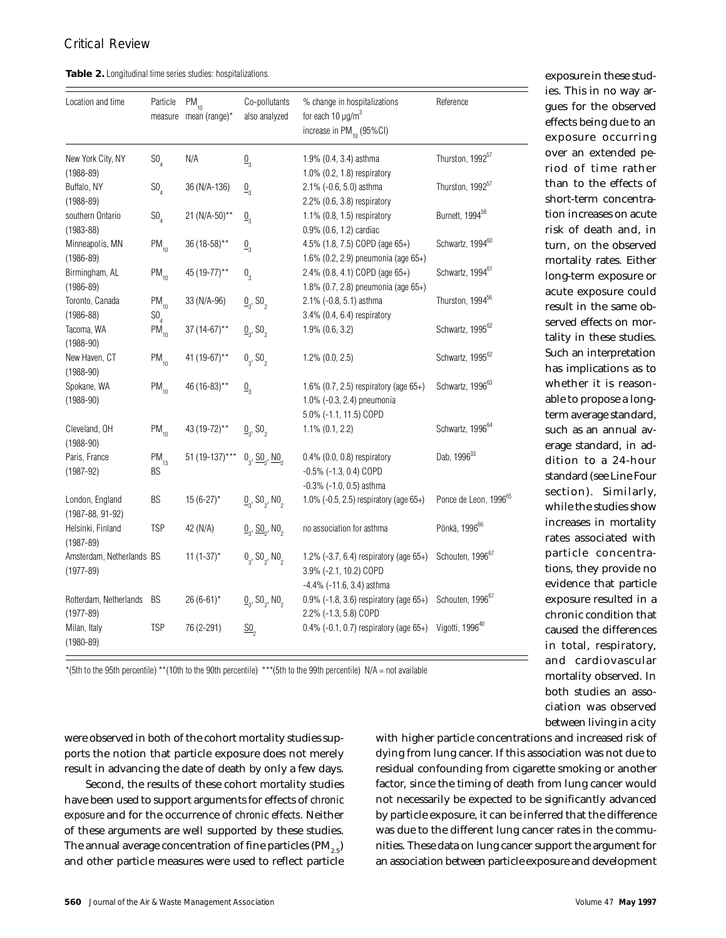were observed in both of the cohort mortality studies supports the notion that particle exposure does not merely result in advancing the date of death by only a few days. Second, the results of these cohort mortality studies have been used to support arguments for effects of *chronic exposure* and for the occurrence of *chronic effects.* Neither of these arguments are well supported by these studies. The annual average concentration of fine particles (PM<sub>2.5</sub>) and other particle measures were used to reflect particle

**Table 2.** Longitudinal time series studies: hospitalizations.

| Location and time                         | Particle                     | $PM_{10}$<br>measure mean (range)* | Co-pollutants<br>also analyzed                               | % change in hospitalizations<br>for each 10 $\mu$ g/m <sup>3</sup><br>increase in PM <sub>10</sub> (95%CI) | Reference                         |
|-------------------------------------------|------------------------------|------------------------------------|--------------------------------------------------------------|------------------------------------------------------------------------------------------------------------|-----------------------------------|
| New York City, NY<br>$(1988 - 89)$        | $SO_a$                       | N/A                                | $\underline{0}_3$                                            | 1.9% (0.4, 3.4) asthma<br>1.0% (0.2, 1.8) respiratory                                                      | Thurston, 1992 <sup>57</sup>      |
| Buffalo, NY<br>$(1988 - 89)$              | $SO_a$                       | 36 (N/A-136)                       | $\underline{0}_3$                                            | 2.1% (-0.6, 5.0) asthma<br>2.2% (0.6, 3.8) respiratory                                                     | Thurston, 1992 <sup>57</sup>      |
| southern Ontario<br>$(1983 - 88)$         | $SO_{\Lambda}$               | 21 (N/A-50)**                      | $\underline{0}_3$                                            | 1.1% (0.8, 1.5) respiratory<br>0.9% (0.6, 1.2) cardiac                                                     | Burnett, 1994 <sup>58</sup>       |
| Minneapolis, MN<br>$(1986 - 89)$          | $PM_{10}$                    | 36 (18-58)**                       | $\underline{0}_3$                                            | 4.5% (1.8, 7.5) COPD (age 65+)<br>1.6% (0.2, 2.9) pneumonia (age 65+)                                      | Schwartz, 1994 <sup>60</sup>      |
| Birmingham, AL<br>$(1986 - 89)$           | $PM_{10}$                    | 45 (19-77)**                       | $0\over 3$                                                   | 2.4% (0.8, 4.1) COPD (age 65+)<br>1.8% (0.7, 2.8) pneumonia (age 65+)                                      | Schwartz, 1994 <sup>61</sup>      |
| Toronto, Canada<br>$(1986 - 88)$          | $PM_{10}$<br>SO <sub>4</sub> | 33 (N/A-96)                        | $\underline{0}_{3}$ , SO <sub>2</sub>                        | 2.1% (-0.8, 5.1) asthma<br>3.4% (0.4, 6.4) respiratory                                                     | Thurston, 1994 <sup>56</sup>      |
| Tacoma, WA<br>$(1988-90)$                 | $PM_{10}$                    | 37 (14-67)**                       | $\underline{0}_{3}$ , S0 <sub>2</sub>                        | 1.9% (0.6, 3.2)                                                                                            | Schwartz, 1995 <sup>62</sup>      |
| New Haven, CT<br>$(1988 - 90)$            | $PM_{10}$                    | 41 (19-67)**                       | 0, 50,                                                       | $1.2\%$ (0.0, 2.5)                                                                                         | Schwartz, 1995 <sup>62</sup>      |
| Spokane, WA<br>$(1988-90)$                | $PM_{10}$                    | 46 (16-83)**                       | $\underline{0}^3$                                            | 1.6% (0.7, 2.5) respiratory (age 65+)<br>1.0% (-0.3, 2.4) pneumonia<br>5.0% (-1.1, 11.5) COPD              | Schwartz, 1996 <sup>63</sup>      |
| Cleveland, OH<br>$(1988-90)$              | $PM_{10}$                    | 43 (19-72)**                       | $\underline{0}_{3}$ , SO <sub>2</sub>                        | $1.1\%$ $(0.1, 2.2)$                                                                                       | Schwartz, 1996 <sup>64</sup>      |
| Paris, France<br>$(1987 - 92)$            | $PM_{13}$<br>BS              | 51 (19-137)***                     | $0_{2}$ , $\underline{SO}_{2}$ , $\underline{NO}_{2}$        | 0.4% (0.0, 0.8) respiratory<br>$-0.5\%$ ( $-1.3, 0.4$ ) COPD<br>$-0.3\%$ ( $-1.0, 0.5$ ) asthma            | Dab, 1996 <sup>33</sup>           |
| London, England<br>$(1987 - 88, 91 - 92)$ | BS                           | $15(6-27)$ *                       | $\underline{0}_{3}$ , S0 <sub>2</sub> , N0 <sub>2</sub>      | 1.0% (-0.5, 2.5) respiratory (age 65+)                                                                     | Ponce de Leon, 1996 <sup>65</sup> |
| Helsinki, Finland<br>$(1987 - 89)$        | <b>TSP</b>                   | 42 (N/A)                           | $\underline{0}_{3}$ , $\underline{SO}_{2}$ , NO <sub>2</sub> | no association for asthma                                                                                  | Pönkä, 1996 <sup>66</sup>         |
| Amsterdam, Netherlands BS<br>$(1977-89)$  |                              | $11(1-37)^{*}$                     | $0_{2}$ , SO <sub>2</sub> , NO <sub>2</sub>                  | 1.2% $(-3.7, 6.4)$ respiratory (age 65+)<br>3.9% (-2.1, 10.2) COPD                                         | Schouten, 1996 <sup>67</sup>      |
| Rotterdam, Netherlands<br>$(1977 - 89)$   | BS                           | $26(6-61)$ *                       | $\underline{0}_{3}$ , S0 <sub>2</sub> , N0 <sub>2</sub>      | $-4.4\%$ ( $-11.6$ , 3.4) asthma<br>$0.9\%$ (-1.8, 3.6) respiratory (age 65+)<br>2.2% (-1.3, 5.8) COPD     | Schouten, 1996 <sup>67</sup>      |
| Milan, Italy<br>$(1980 - 89)$             | <b>TSP</b>                   | 76 (2-291)                         | $\underline{\text{SO}}_2$                                    | $0.4\%$ (-0.1, 0.7) respiratory (age 65+)                                                                  | Vigotti, 1996 <sup>40</sup>       |

exposure in these studies. This in no way argues for the observed effects being due to an exposure occurring over an extended period of time rather than to the effects of short-term concentration increases on acute risk of death and, in turn, on the observed mortality rates. Either long-term exposure or acute exposure could result in the same observed effects on mortality in these studies. Such an interpretation has implications as to whether it is reasonable to propose a longterm average standard, such as an annual average standard, in addition to a 24-hour standard (see Line Four section). Similarly, while the studies show increases in mortality rates associated with particle concentrations, they provide no evidence that particle exposure resulted in a chronic condition that caused the differences in total, respiratory, and cardiovascular mortality observed. In both studies an association was observed between living in a city

\*(5th to the 95th percentile) \*\*(10th to the 90th percentile) \*\*\*(5th to the 99th percentile) N/A = not available

with higher particle concentrations and increased risk of dying from lung cancer. If this association was not due to residual confounding from cigarette smoking or another factor, since the timing of death from lung cancer would not necessarily be expected to be significantly advanced by particle exposure, it can be inferred that the difference was due to the different lung cancer rates in the communities. These data on lung cancer support the argument for an association between particle exposure and development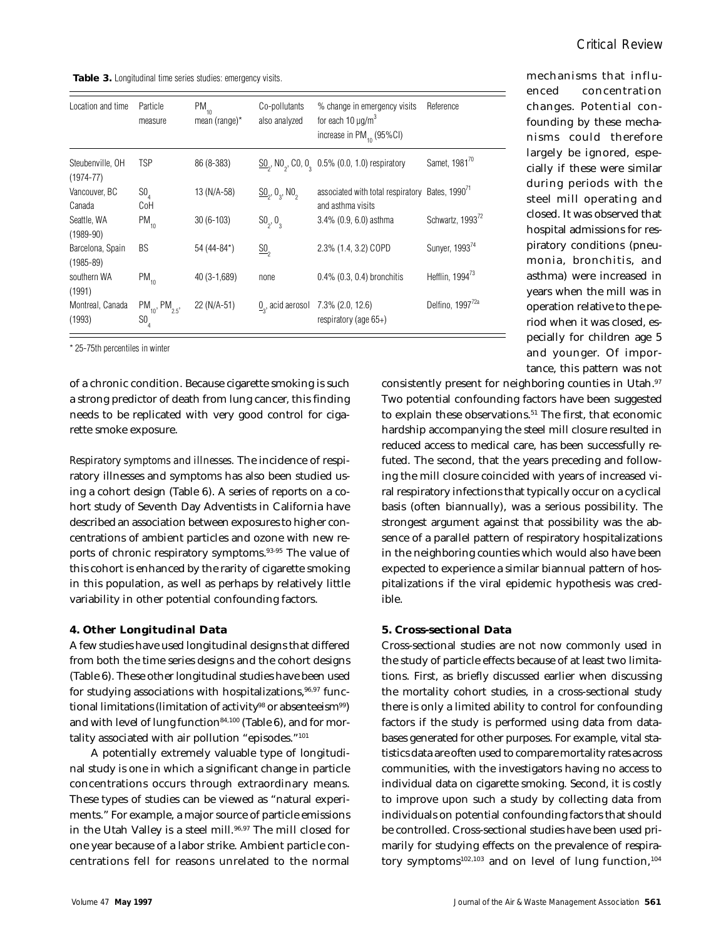**Table 3.** Longitudinal time series studies: emergency visits.

| Location and time                 | Particle<br>measure                                | $PM_{10}$<br>mean (range) $*$ | Co-pollutants<br>also analyzed                   | % change in emergency visits<br>for each 10 $\mu$ g/m <sup>3</sup><br>increase in PM <sub>10</sub> (95%CI) | Reference                    |
|-----------------------------------|----------------------------------------------------|-------------------------------|--------------------------------------------------|------------------------------------------------------------------------------------------------------------|------------------------------|
| Steubenville, OH<br>$(1974 - 77)$ | <b>TSP</b>                                         | 86 (8-383)                    |                                                  | $\underline{SO}_2$ , NO <sub>2</sub> , CO, O <sub>2</sub> 0.5% (0.0, 1.0) respiratory                      | Samet, 1981 <sup>70</sup>    |
| Vancouver, BC<br>Canada           | $SO_{\Lambda}$<br>CoH                              | 13 (N/A-58)                   | $\underline{SO}_{2}$ , $0_{3}$ , NO <sub>2</sub> | associated with total respiratory Bates, 1990 <sup>(1</sup><br>and asthma visits                           |                              |
| Seattle, WA<br>$(1989 - 90)$      | $PM_{10}$                                          | $30(6-103)$                   | $SO_2, O_3$                                      | $3.4\%$ (0.9, 6.0) asthma                                                                                  | Schwartz, 1993 <sup>72</sup> |
| Barcelona, Spain<br>$(1985 - 89)$ | <b>BS</b>                                          | 54 (44-84*)                   | $\underline{\text{SO}}_{2}$                      | 2.3% (1.4, 3.2) COPD                                                                                       | Sunyer, 199374               |
| southern WA<br>(1991)             | $PM_{10}$                                          | 40 (3-1,689)                  | none                                             | $0.4\%$ $(0.3, 0.4)$ bronchitis                                                                            | Hefflin, 1994 <sup>73</sup>  |
| Montreal, Canada<br>(1993)        | $PM_{10}$ , PM <sub>2.5</sub> ,<br>SO <sub>4</sub> | 22 (N/A-51)                   |                                                  | $0_{\gamma}$ , acid aerosol 7.3% (2.0, 12.6)<br>respiratory (age $65+$ )                                   | Delfino, 1997 <sup>72a</sup> |

\* 25-75th percentiles in winter

of a chronic condition. Because cigarette smoking is such a strong predictor of death from lung cancer, this finding needs to be replicated with very good control for cigarette smoke exposure.

*Respiratory symptoms and illnesses.* The incidence of respiratory illnesses and symptoms has also been studied using a cohort design (Table 6). A series of reports on a cohort study of Seventh Day Adventists in California have described an association between exposures to higher concentrations of ambient particles and ozone with new reports of chronic respiratory symptoms.93-95 The value of this cohort is enhanced by the rarity of cigarette smoking in this population, as well as perhaps by relatively little variability in other potential confounding factors.

## **4. Other Longitudinal Data**

A few studies have used longitudinal designs that differed from both the time series designs and the cohort designs (Table 6). These other longitudinal studies have been used for studying associations with hospitalizations,  $96,97$  functional limitations (limitation of activity<sup>98</sup> or absenteeism<sup>99</sup>) and with level of lung function $84,100$  (Table 6), and for mortality associated with air pollution "episodes."<sup>101</sup>

A potentially extremely valuable type of longitudinal study is one in which a significant change in particle concentrations occurs through extraordinary means. These types of studies can be viewed as "natural experiments." For example, a major source of particle emissions in the Utah Valley is a steel mill.<sup>96,97</sup> The mill closed for one year because of a labor strike. Ambient particle concentrations fell for reasons unrelated to the normal mechanisms that influenced concentration changes. Potential confounding by these mechanisms could therefore largely be ignored, especially if these were similar during periods with the steel mill operating and closed. It was observed that hospital admissions for respiratory conditions (pneumonia, bronchitis, and asthma) were increased in years when the mill was in operation relative to the period when it was closed, especially for children age 5 and younger. Of importance, this pattern was not

consistently present for neighboring counties in Utah.<sup>97</sup> Two potential confounding factors have been suggested to explain these observations.<sup>51</sup> The first, that economic hardship accompanying the steel mill closure resulted in reduced access to medical care, has been successfully refuted. The second, that the years preceding and following the mill closure coincided with years of increased viral respiratory infections that typically occur on a cyclical basis (often biannually), was a serious possibility. The strongest argument against that possibility was the absence of a parallel pattern of respiratory hospitalizations in the neighboring counties which would also have been expected to experience a similar biannual pattern of hospitalizations if the viral epidemic hypothesis was credible.

#### **5. Cross-sectional Data**

Cross-sectional studies are not now commonly used in the study of particle effects because of at least two limitations. First, as briefly discussed earlier when discussing the mortality cohort studies, in a cross-sectional study there is only a limited ability to control for confounding factors if the study is performed using data from databases generated for other purposes. For example, vital statistics data are often used to compare mortality rates across communities, with the investigators having no access to individual data on cigarette smoking. Second, it is costly to improve upon such a study by collecting data from individuals on potential confounding factors that should be controlled. Cross-sectional studies have been used primarily for studying effects on the prevalence of respiratory symptoms $102,103$  and on level of lung function,  $104$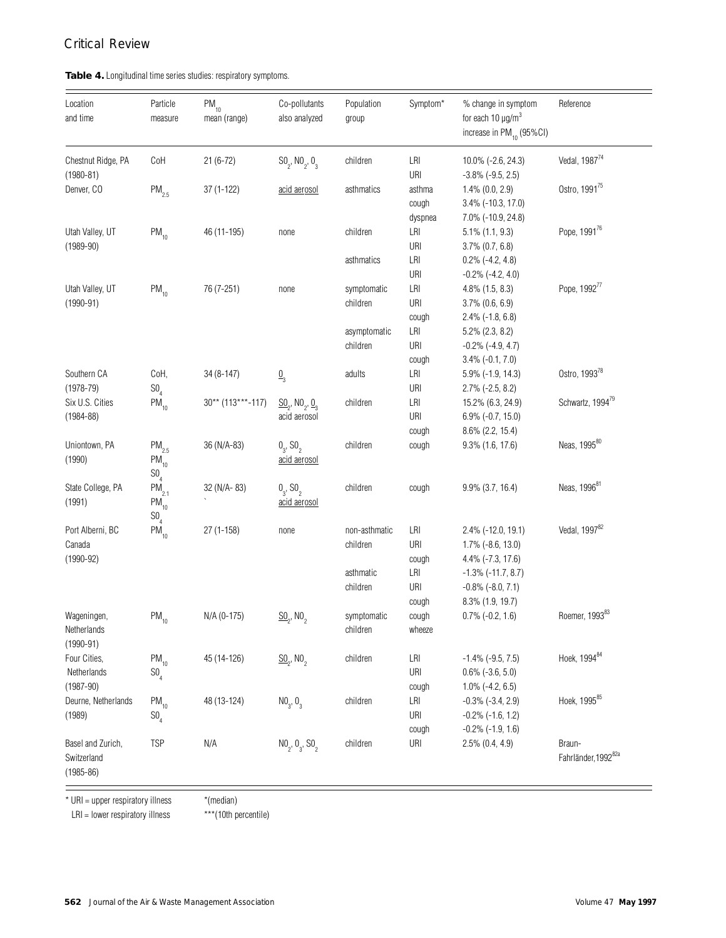## **Table 4.** Longitudinal time series studies: respiratory symptoms.

| Location<br>and time                              | Particle<br>measure                                    | $PM_{10}$<br>mean (range)         | Co-pollutants<br>also analyzed                                                         | Population<br>group                     | Symptom*                   | % change in symptom<br>for each 10 $\mu$ g/m <sup>3</sup><br>increase in PM <sub>10</sub> (95%CI) | Reference                                 |
|---------------------------------------------------|--------------------------------------------------------|-----------------------------------|----------------------------------------------------------------------------------------|-----------------------------------------|----------------------------|---------------------------------------------------------------------------------------------------|-------------------------------------------|
| Chestnut Ridge, PA<br>$(1980 - 81)$               | CoH                                                    | $21(6-72)$                        | $SO_2$ , NO <sub>2</sub> , O <sub>3</sub>                                              | children                                | LRI<br>URI                 | 10.0% (-2.6, 24.3)<br>$-3.8\%$ ( $-9.5, 2.5$ )                                                    | Vedal, 198774                             |
| Denver, CO                                        | $PM_{2.5}$                                             | $37(1-122)$                       | acid aerosol                                                                           | asthmatics                              | asthma<br>cough<br>dyspnea | $1.4\%$ (0.0, 2.9)<br>3.4% (-10.3, 17.0)<br>7.0% (-10.9, 24.8)                                    | Ostro, 1991 <sup>75</sup>                 |
| Utah Valley, UT<br>$(1989 - 90)$                  | $PM_{10}$                                              | 46 (11-195)                       | none                                                                                   | children                                | LRI<br>URI                 | $5.1\%$ (1.1, 9.3)<br>$3.7\%$ $(0.7, 6.8)$                                                        | Pope, 199176                              |
|                                                   |                                                        |                                   |                                                                                        | asthmatics                              | LRI<br>URI                 | $0.2\%$ (-4.2, 4.8)<br>$-0.2\%$ $(-4.2, 4.0)$                                                     | Pope, 199277                              |
| Utah Valley, UT<br>$(1990 - 91)$                  | $PM_{10}$                                              | 76 (7-251)                        | none                                                                                   | symptomatic<br>children<br>asymptomatic | LRI<br>URI<br>cough<br>LRI | 4.8% (1.5, 8.3)<br>3.7% (0.6, 6.9)<br>$2.4\%$ (-1.8, 6.8)<br>5.2% (2.3, 8.2)                      |                                           |
|                                                   |                                                        |                                   |                                                                                        | children                                | URI<br>cough               | $-0.2\%$ ( $-4.9, 4.7$ )<br>$3.4\%$ (-0.1, 7.0)                                                   | Ostro, 1993 <sup>78</sup>                 |
| Southern CA<br>$(1978 - 79)$<br>Six U.S. Cities   | CoH,<br>SO <sub>4</sub>                                | 34 (8-147)<br>$30**$ (113***-117) | $\underline{0}$                                                                        | adults                                  | LRI<br>URI<br>LRI          | 5.9% (-1.9, 14.3)<br>$2.7\%$ (-2.5, 8.2)<br>15.2% (6.3, 24.9)                                     | Schwartz, 199479                          |
| $(1984 - 88)$                                     | $PM_{10}$                                              |                                   | $\underline{\text{SO}}_2$ , NO <sub>2</sub> , $\underline{\text{O}}_3$<br>acid aerosol | children                                | URI<br>cough               | $6.9\%$ (-0.7, 15.0)<br>$8.6\%$ (2.2, 15.4)                                                       |                                           |
| Uniontown, PA<br>(1990)                           | $PM_{2.5}$<br>$\mathsf{PM}_{_{10}}$<br>SO <sub>4</sub> | 36 (N/A-83)                       | 0, 50,<br>acid aerosol                                                                 | children                                | cough                      | $9.3\%$ (1.6, 17.6)                                                                               | Neas, 1995 <sup>80</sup>                  |
| State College, PA<br>(1991)                       | $PM_{2.1}$<br>$\mathsf{PM}_{_{10}}$<br>SO <sub>4</sub> | 32 (N/A-83)                       | $0_{3}$ , SO <sub>2</sub><br>acid aerosol                                              | children                                | cough                      | 9.9% (3.7, 16.4)                                                                                  | Neas, 1996 <sup>81</sup>                  |
| Port Alberni, BC<br>Canada<br>$(1990 - 92)$       | $PM_{10}$                                              | $27(1-158)$                       | none                                                                                   | non-asthmatic<br>children               | LRI<br>URI<br>cough        | 2.4% (-12.0, 19.1)<br>1.7% (-8.6, 13.0)<br>4.4% (-7.3, 17.6)                                      | Vedal, 1997 <sup>82</sup>                 |
|                                                   |                                                        |                                   |                                                                                        | asthmatic<br>children                   | LRI<br>URI<br>cough        | $-1.3\%$ ( $-11.7, 8.7$ )<br>$-0.8\%$ $(-8.0, 7.1)$<br>8.3% (1.9, 19.7)                           |                                           |
| Wageningen,<br>Netherlands<br>$(1990 - 91)$       | $\mathsf{PM}_{_{10}}$                                  | N/A (0-175)                       | $\underline{SO}_{\circ}$ , NO                                                          | symptomatic<br>children                 | cough<br>wheeze            | $0.7\%$ (-0.2, 1.6)                                                                               | Roemer, 199383                            |
| Four Cities,<br>Netherlands<br>$(1987 - 90)$      | $PM_{10}$<br>$\mathsf{S0}_4$                           | 45 (14-126)                       | $\underline{\text{SO}}_2$ , NO <sub>2</sub>                                            | children                                | LRI<br>URI<br>cough        | $-1.4\%$ ( $-9.5, 7.5$ )<br>$0.6\%$ (-3.6, 5.0)<br>$1.0\%$ (-4.2, 6.5)                            | Hoek, 1994 <sup>84</sup>                  |
| Deurne, Netherlands<br>(1989)                     | $PM_{10}$<br>$\mathsf{S0}_4$                           | 48 (13-124)                       | $NO_{3}$ , $O_{3}$                                                                     | children                                | LRI<br>URI<br>cough        | $-0.3\%$ $(-3.4, 2.9)$<br>$-0.2\%$ ( $-1.6, 1.2$ )<br>$-0.2\%$ ( $-1.9, 1.6$ )                    | Hoek, 1995 <sup>85</sup>                  |
| Basel and Zurich,<br>Switzerland<br>$(1985 - 86)$ | <b>TSP</b>                                             | N/A                               | $NO_2$ , $O_3$ , $SO_2$                                                                | children                                | URI                        | 2.5% (0.4, 4.9)                                                                                   | Braun-<br>Fahrländer, 1992 <sup>82a</sup> |

 $*$  URI = upper respiratory illness  $*$  (median)

 $LRI = lower$  respiratory illness \*\*\* (10th percentile)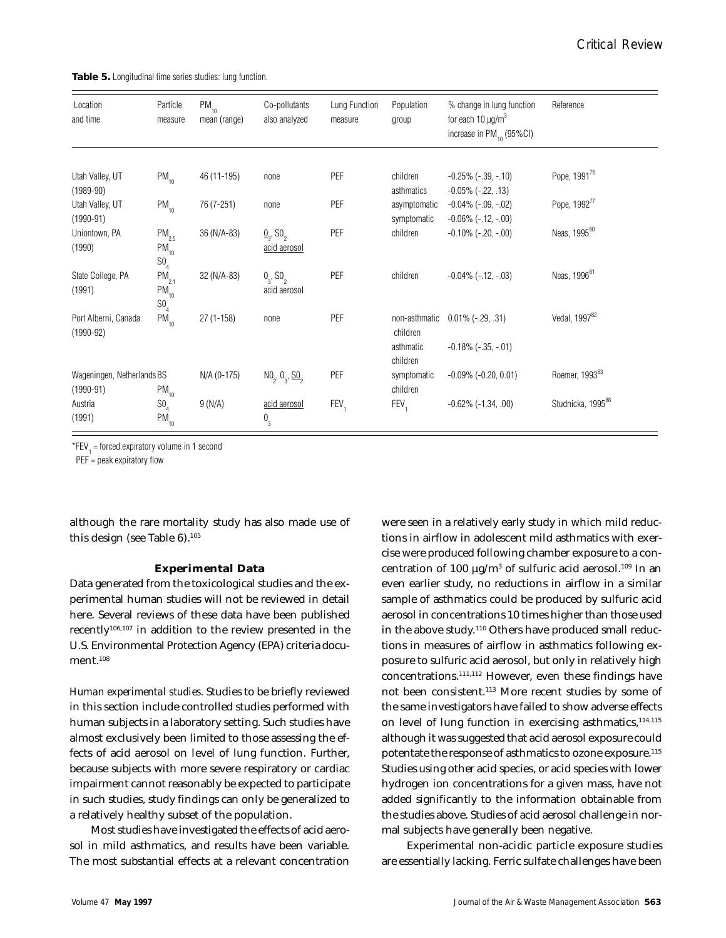**Table 5.** Longitudinal time series studies: lung function.

| Location<br>and time                      | Particle<br>measure                                    | $PM_{10}$<br>mean (range) | Co-pollutants<br>also analyzed                        | Lung Function<br>measure | Population<br>group         | % change in lung function<br>for each 10 $\mu$ g/m <sup>3</sup><br>increase in $PM_{10}$ (95%CI) | Reference                     |
|-------------------------------------------|--------------------------------------------------------|---------------------------|-------------------------------------------------------|--------------------------|-----------------------------|--------------------------------------------------------------------------------------------------|-------------------------------|
| Utah Valley, UT<br>$(1989 - 90)$          | $PM_{10}$                                              | 46 (11-195)               | none                                                  | PEF                      | children<br>asthmatics      | $-0.25\%$ ( $-39, -10$ )<br>$-0.05\%$ ( $-22, .13$ )                                             | Pope, 1991 <sup>76</sup>      |
| Utah Valley, UT<br>$(1990-91)$            | $PM_{10}$                                              | 76 (7-251)                | none                                                  | PEF                      | asymptomatic<br>symptomatic | $-0.04\%$ $(-.09, -.02)$<br>$-0.06\%$ ( $-.12, -.00$ )                                           | Pope, 199277                  |
| Uniontown, PA<br>(1990)                   | $PM_{2.5}$<br>$\mathsf{PM}_{_{10}}$<br>SO <sub>4</sub> | 36 (N/A-83)               | $\underline{0}_{3}$ , SO <sub>2</sub><br>acid aerosol | PEF                      | children                    | $-0.10\%$ ( $-.20, -.00$ )                                                                       | Neas, 1995 <sup>80</sup>      |
| State College, PA<br>(1991)               | $PM_{2.1}$<br>$PM_{10}$<br>SO <sub>4</sub>             | 32 (N/A-83)               | $0_{3}$ , SO <sub>2</sub><br>acid aerosol             | PEF                      | children                    | $-0.04\%$ ( $-.12, -.03$ )                                                                       | Neas, 1996 <sup>81</sup>      |
| Port Alberni, Canada<br>$(1990 - 92)$     | $PM_{10}$                                              | $27(1-158)$               | none                                                  | PEF                      | non-asthmatic<br>children   | $0.01\%$ ( $-.29, .31$ )                                                                         | Vedal, 199782                 |
|                                           |                                                        |                           |                                                       |                          | asthmatic<br>children       | $-0.18\%$ ( $-0.35$ , $-0.01$ )                                                                  |                               |
| Wageningen, Netherlands BS<br>$(1990-91)$ | $PM_{10}$                                              | $N/A (0-175)$             | $NO_2$ , $O_3$ , $SO_2$                               | PEF                      | symptomatic<br>children     | $-0.09\%$ ( $-0.20, 0.01$ )                                                                      | Roemer, 1993 <sup>83</sup>    |
| Austria<br>(1991)                         | SO <sub>4</sub><br>$PM_{10}$                           | 9(N/A)                    | acid aerosol<br>$0\overline{0}$                       | FEV <sub>1</sub>         | FEV,                        | $-0.62\%$ ( $-1.34, .00$ )                                                                       | Studnicka, 1995 <sup>88</sup> |

\*FEV = forced expiratory volume in 1 second

 $PEF = peak$  expiratory flow

although the rare mortality study has also made use of this design (see Table 6).<sup>105</sup>

## **Experimental Data**

Data generated from the toxicological studies and the experimental human studies will not be reviewed in detail here. Several reviews of these data have been published recently106,107 in addition to the review presented in the U.S. Environmental Protection Agency (EPA) criteria document.<sup>108</sup>

*Human experimental studies.* Studies to be briefly reviewed in this section include controlled studies performed with human subjects in a laboratory setting. Such studies have almost exclusively been limited to those assessing the effects of acid aerosol on level of lung function. Further, because subjects with more severe respiratory or cardiac impairment cannot reasonably be expected to participate in such studies, study findings can only be generalized to a relatively healthy subset of the population.

Most studies have investigated the effects of acid aerosol in mild asthmatics, and results have been variable. The most substantial effects at a relevant concentration were seen in a relatively early study in which mild reductions in airflow in adolescent mild asthmatics with exercise were produced following chamber exposure to a concentration of 100  $\mu$ g/m $^3$  of sulfuric acid aerosol. $^{109}$  In an even earlier study, no reductions in airflow in a similar sample of asthmatics could be produced by sulfuric acid aerosol in concentrations 10 times higher than those used in the above study.<sup>110</sup> Others have produced small reductions in measures of airflow in asthmatics following exposure to sulfuric acid aerosol, but only in relatively high concentrations.111,112 However, even these findings have not been consistent.<sup>113</sup> More recent studies by some of the same investigators have failed to show adverse effects on level of lung function in exercising asthmatics, 114,115 although it was suggested that acid aerosol exposure could potentate the response of asthmatics to ozone exposure.<sup>115</sup> Studies using other acid species, or acid species with lower hydrogen ion concentrations for a given mass, have not added significantly to the information obtainable from the studies above. Studies of acid aerosol challenge in normal subjects have generally been negative.

 Experimental non-acidic particle exposure studies are essentially lacking. Ferric sulfate challenges have been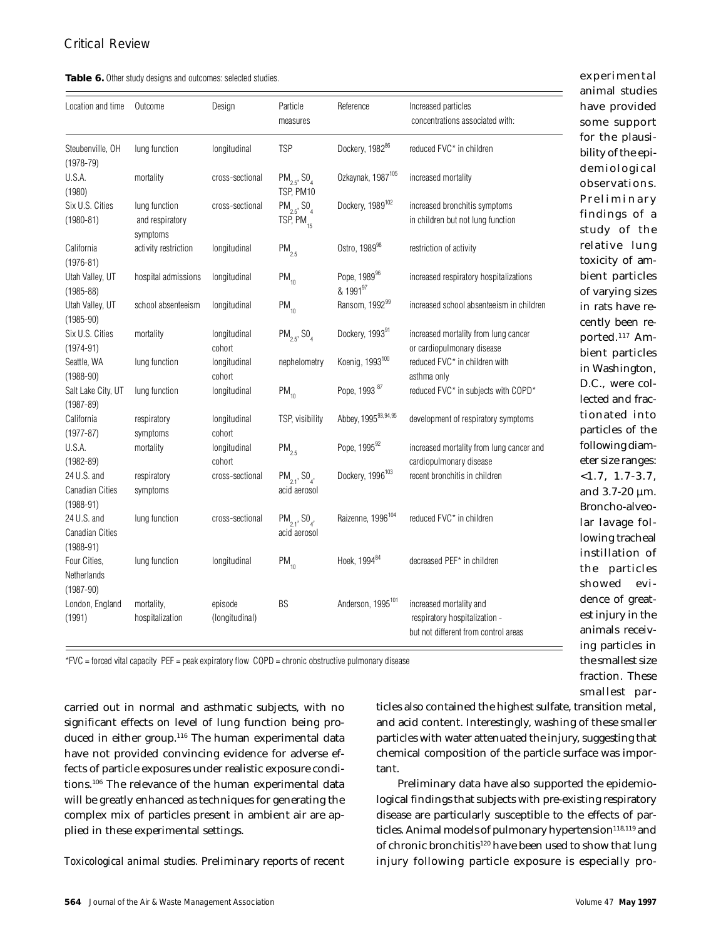| Table 6. Other study designs and outcomes: selected studies. |  |  |  |  |  |
|--------------------------------------------------------------|--|--|--|--|--|
|--------------------------------------------------------------|--|--|--|--|--|

|                                                        |                                              |                           |                                                       |                                      |                                                                                                  | animal studies                                             |
|--------------------------------------------------------|----------------------------------------------|---------------------------|-------------------------------------------------------|--------------------------------------|--------------------------------------------------------------------------------------------------|------------------------------------------------------------|
| Location and time                                      | Outcome                                      | Design                    | Particle<br>measures                                  | Reference                            | Increased particles<br>concentrations associated with:                                           | have provided<br>some support                              |
| Steubenville, OH<br>$(1978 - 79)$                      | lung function                                | longitudinal              | <b>TSP</b>                                            | Dockery, 198286                      | reduced FVC* in children                                                                         | for the plausi-<br>bility of the epi-                      |
| U.S.A.<br>(1980)                                       | mortality                                    | cross-sectional           | $PM_{2.5}$ , SO <sub>4</sub><br>TSP, PM10             | Ozkaynak, 1987 <sup>105</sup>        | increased mortality                                                                              | demiological<br>observations.                              |
| Six U.S. Cities<br>$(1980 - 81)$                       | lung function<br>and respiratory<br>symptoms | cross-sectional           | $PM_{2.5}$ , SO <sub>4</sub><br>TSP, PM <sub>15</sub> | Dockery, 1989 <sup>102</sup>         | increased bronchitis symptoms<br>in children but not lung function                               | Preliminary<br>findings of a<br>study of the               |
| California<br>$(1976 - 81)$                            | activity restriction                         | longitudinal              | $PM_{2.5}$                                            | Ostro, 1989 <sup>98</sup>            | restriction of activity                                                                          | relative lung<br>toxicity of am-                           |
| Utah Valley, UT<br>$(1985 - 88)$                       | hospital admissions                          | longitudinal              | $PM_{10}$                                             | Pope, 1989 <sup>96</sup><br>& 199197 | increased respiratory hospitalizations                                                           | bient particles<br>of varying sizes                        |
| Utah Valley, UT<br>$(1985 - 90)$                       | school absenteeism                           | longitudinal              | $PM_{10}$                                             | Ransom, 199299                       | increased school absenteeism in children                                                         | in rats have re-<br>cently been re-                        |
| Six U.S. Cities<br>$(1974 - 91)$                       | mortality                                    | longitudinal<br>cohort    | $PM_{2.5}$ , SO <sub>4</sub>                          | Dockery, 199391                      | increased mortality from lung cancer<br>or cardiopulmonary disease                               | ported. <sup>117</sup> Am-<br>bient particles              |
| Seattle, WA<br>$(1988 - 90)$                           | lung function                                | longitudinal<br>cohort    | nephelometry                                          | Koenig, 1993 <sup>100</sup>          | reduced FVC* in children with<br>asthma only                                                     | in Washington,                                             |
| Salt Lake City, UT<br>$(1987 - 89)$                    | lung function                                | longitudinal              | $PM_{10}$                                             | Pope, 1993 87                        | reduced FVC* in subjects with COPD*                                                              | D.C., were col-<br>lected and frac-                        |
| California<br>$(1977 - 87)$                            | respiratory<br>symptoms                      | longitudinal<br>cohort    | TSP, visibility                                       | Abbey, 199593,94,95                  | development of respiratory symptoms                                                              | tionated into<br>particles of the                          |
| U.S.A.<br>$(1982 - 89)$                                | mortality                                    | longitudinal<br>cohort    | $PM_{2.5}$                                            | Pope, 199592                         | increased mortality from lung cancer and<br>cardiopulmonary disease                              | following diam-<br>eter size ranges:                       |
| 24 U.S. and<br><b>Canadian Cities</b><br>$(1988 - 91)$ | respiratory<br>symptoms                      | cross-sectional           | $PM_{2.1}$ , SO <sub>4</sub> ,<br>acid aerosol        | Dockery, 1996 <sup>103</sup>         | recent bronchitis in children                                                                    | $<1.7, 1.7-3.7,$<br>and $3.7-20 \mu m$ .<br>Broncho-alveo- |
| 24 U.S. and<br><b>Canadian Cities</b><br>$(1988 - 91)$ | lung function                                | cross-sectional           | $PM_{2.1}$ , SO <sub>4</sub> ,<br>acid aerosol        | Raizenne, 1996 <sup>104</sup>        | reduced FVC* in children                                                                         | lar lavage fol-<br>lowing tracheal                         |
| Four Cities,<br>Netherlands<br>$(1987 - 90)$           | lung function                                | longitudinal              | $PM_{10}$                                             | Hoek. 1994 <sup>84</sup>             | decreased PEF <sup>*</sup> in children                                                           | instillation of<br>the particles<br>showed<br>evi-         |
| London, England<br>(1991)                              | mortality,<br>hospitalization                | episode<br>(longitudinal) | BS                                                    | Anderson, 1995 <sup>101</sup>        | increased mortality and<br>respiratory hospitalization -<br>but not different from control areas | dence of great-<br>est injury in the<br>animals receiv-    |

relative lung toxicity of ambient particles of varying sizes in rats have recently been reported.117 Ambient particles in Washington, D.C., were collected and fractionated into particles of the following diameter size ranges: <1.7, 1.7-3.7, and 3.7-20 µm. Broncho-alveolar lavage following tracheal instillation of the particles showed evidence of greatest injury in the animals receiving particles in the smallest size fraction. These smallest par-

experimental

\*FVC = forced vital capacity PEF = peak expiratory flow COPD = chronic obstructive pulmonary disease

carried out in normal and asthmatic subjects, with no significant effects on level of lung function being produced in either group.<sup>116</sup> The human experimental data have not provided convincing evidence for adverse effects of particle exposures under realistic exposure conditions.<sup>106</sup> The relevance of the human experimental data will be greatly enhanced as techniques for generating the complex mix of particles present in ambient air are applied in these experimental settings.

*Toxicological animal studies.* Preliminary reports of recent

ticles also contained the highest sulfate, transition metal, and acid content. Interestingly, washing of these smaller particles with water attenuated the injury, suggesting that chemical composition of the particle surface was important.

Preliminary data have also supported the epidemiological findings that subjects with pre-existing respiratory disease are particularly susceptible to the effects of particles. Animal models of pulmonary hypertension<sup>118,119</sup> and of chronic bronchitis<sup>120</sup> have been used to show that lung injury following particle exposure is especially pro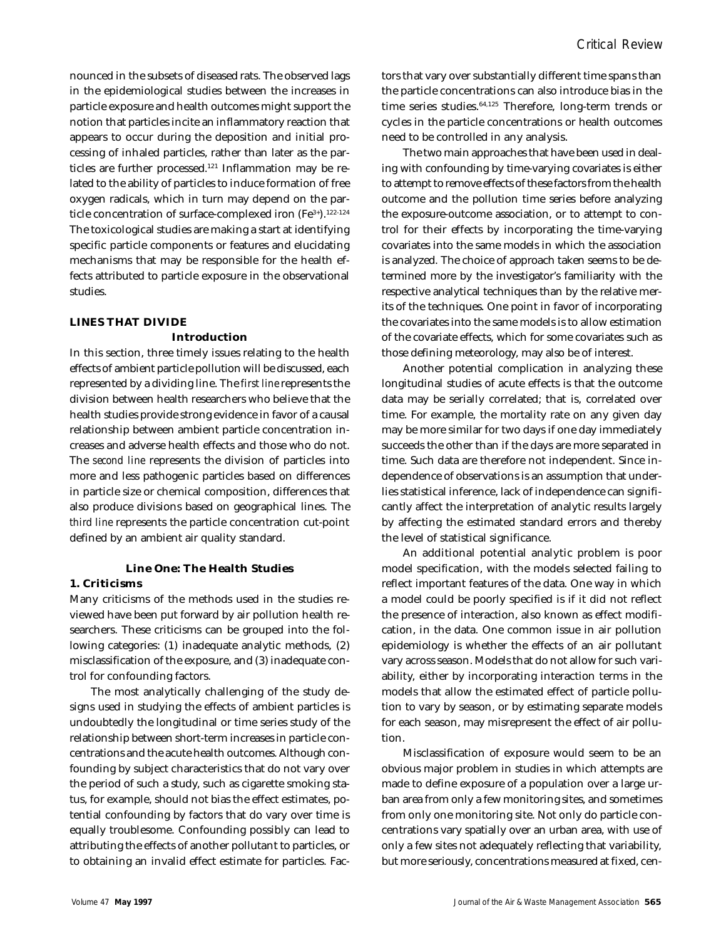nounced in the subsets of diseased rats. The observed lags in the epidemiological studies between the increases in particle exposure and health outcomes might support the notion that particles incite an inflammatory reaction that appears to occur during the deposition and initial processing of inhaled particles, rather than later as the particles are further processed.<sup>121</sup> Inflammation may be related to the ability of particles to induce formation of free oxygen radicals, which in turn may depend on the particle concentration of surface-complexed iron (Fe<sup>3+</sup>).<sup>122-124</sup> The toxicological studies are making a start at identifying specific particle components or features and elucidating mechanisms that may be responsible for the health effects attributed to particle exposure in the observational studies.

## **LINES THAT DIVIDE**

## **Introduction**

In this section, three timely issues relating to the health effects of ambient particle pollution will be discussed, each represented by a dividing line. The *first line* represents the division between health researchers who believe that the health studies provide strong evidence in favor of a causal relationship between ambient particle concentration increases and adverse health effects and those who do not. The *second line* represents the division of particles into more and less pathogenic particles based on differences in particle size or chemical composition, differences that also produce divisions based on geographical lines. The *third line* represents the particle concentration cut-point defined by an ambient air quality standard.

## **Line One: The Health Studies**

## **1. Criticisms**

Many criticisms of the methods used in the studies reviewed have been put forward by air pollution health researchers. These criticisms can be grouped into the following categories: (1) inadequate analytic methods, (2) misclassification of the exposure, and (3) inadequate control for confounding factors.

The most analytically challenging of the study designs used in studying the effects of ambient particles is undoubtedly the longitudinal or time series study of the relationship between short-term increases in particle concentrations and the acute health outcomes. Although confounding by subject characteristics that do not vary over the period of such a study, such as cigarette smoking status, for example, should not bias the effect estimates, potential confounding by factors that do vary over time is equally troublesome. Confounding possibly can lead to attributing the effects of another pollutant to particles, or to obtaining an invalid effect estimate for particles. Factors that vary over substantially different time spans than the particle concentrations can also introduce bias in the time series studies.<sup>64,125</sup> Therefore, long-term trends or cycles in the particle concentrations or health outcomes need to be controlled in any analysis.

The two main approaches that have been used in dealing with confounding by time-varying covariates is either to attempt to remove effects of these factors from the health outcome and the pollution time series before analyzing the exposure-outcome association, or to attempt to control for their effects by incorporating the time-varying covariates into the same models in which the association is analyzed. The choice of approach taken seems to be determined more by the investigator's familiarity with the respective analytical techniques than by the relative merits of the techniques. One point in favor of incorporating the covariates into the same models is to allow estimation of the covariate effects, which for some covariates such as those defining meteorology, may also be of interest.

Another potential complication in analyzing these longitudinal studies of acute effects is that the outcome data may be serially correlated; that is, correlated over time. For example, the mortality rate on any given day may be more similar for two days if one day immediately succeeds the other than if the days are more separated in time. Such data are therefore not independent. Since independence of observations is an assumption that underlies statistical inference, lack of independence can significantly affect the interpretation of analytic results largely by affecting the estimated standard errors and thereby the level of statistical significance.

An additional potential analytic problem is poor model specification, with the models selected failing to reflect important features of the data. One way in which a model could be poorly specified is if it did not reflect the presence of interaction, also known as effect modification, in the data. One common issue in air pollution epidemiology is whether the effects of an air pollutant vary across season. Models that do not allow for such variability, either by incorporating interaction terms in the models that allow the estimated effect of particle pollution to vary by season, or by estimating separate models for each season, may misrepresent the effect of air pollution.

Misclassification of exposure would seem to be an obvious major problem in studies in which attempts are made to define exposure of a population over a large urban area from only a few monitoring sites, and sometimes from only one monitoring site. Not only do particle concentrations vary spatially over an urban area, with use of only a few sites not adequately reflecting that variability, but more seriously, concentrations measured at fixed, cen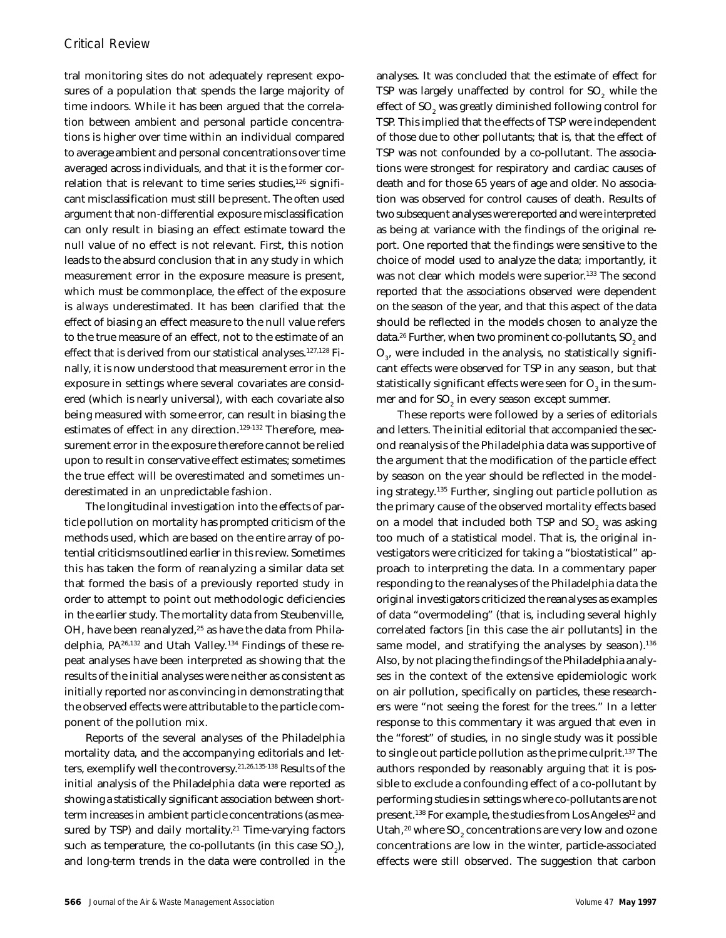tral monitoring sites do not adequately represent exposures of a population that spends the large majority of time indoors. While it has been argued that the correlation between ambient and personal particle concentrations is higher over time within an individual compared to average ambient and personal concentrations over time averaged across individuals, and that it is the former correlation that is relevant to time series studies, $126$  significant misclassification must still be present. The often used argument that non-differential exposure misclassification can only result in biasing an effect estimate toward the null value of no effect is not relevant. First, this notion leads to the absurd conclusion that in any study in which measurement error in the exposure measure is present, which must be commonplace, the effect of the exposure is *always* underestimated. It has been clarified that the effect of biasing an effect measure to the null value refers to the true measure of an effect, not to the estimate of an effect that is derived from our statistical analyses.127,128 Finally, it is now understood that measurement error in the exposure in settings where several covariates are considered (which is nearly universal), with each covariate also being measured with some error, can result in biasing the estimates of effect in *any* direction.<sup>129-132</sup> Therefore, measurement error in the exposure therefore cannot be relied upon to result in conservative effect estimates; sometimes the true effect will be overestimated and sometimes underestimated in an unpredictable fashion.

The longitudinal investigation into the effects of particle pollution on mortality has prompted criticism of the methods used, which are based on the entire array of potential criticisms outlined earlier in this review. Sometimes this has taken the form of reanalyzing a similar data set that formed the basis of a previously reported study in order to attempt to point out methodologic deficiencies in the earlier study. The mortality data from Steubenville, OH, have been reanalyzed,<sup>25</sup> as have the data from Philadelphia, PA26,132 and Utah Valley.134 Findings of these repeat analyses have been interpreted as showing that the results of the initial analyses were neither as consistent as initially reported nor as convincing in demonstrating that the observed effects were attributable to the particle component of the pollution mix.

Reports of the several analyses of the Philadelphia mortality data, and the accompanying editorials and letters, exemplify well the controversy.21,26,135-138 Results of the initial analysis of the Philadelphia data were reported as showing a statistically significant association between shortterm increases in ambient particle concentrations (as measured by TSP) and daily mortality.<sup>21</sup> Time-varying factors such as temperature, the co-pollutants (in this case  $\mathrm{SO}_2$ ), and long-term trends in the data were controlled in the

analyses. It was concluded that the estimate of effect for TSP was largely unaffected by control for  $\mathrm{SO}_2$  while the effect of SO $_{\tiny 2}$  was greatly diminished following control for TSP. This implied that the effects of TSP were independent of those due to other pollutants; that is, that the effect of TSP was not confounded by a co-pollutant. The associations were strongest for respiratory and cardiac causes of death and for those 65 years of age and older. No association was observed for control causes of death. Results of two subsequent analyses were reported and were interpreted as being at variance with the findings of the original report. One reported that the findings were sensitive to the choice of model used to analyze the data; importantly, it was not clear which models were superior.<sup>133</sup> The second reported that the associations observed were dependent on the season of the year, and that this aspect of the data should be reflected in the models chosen to analyze the data. $^{26}$  Further, when two prominent co-pollutants, SO $_{\rm 2}$  and  $\mathrm{O}_{_{3^{\prime}}}$  were included in the analysis, no statistically significant effects were observed for TSP in any season, but that statistically significant effects were seen for  $\mathrm{O}_3^{}$  in the summer and for SO $_{\rm z}$  in every season except summer.

These reports were followed by a series of editorials and letters. The initial editorial that accompanied the second reanalysis of the Philadelphia data was supportive of the argument that the modification of the particle effect by season on the year should be reflected in the modeling strategy.<sup>135</sup> Further, singling out particle pollution as the primary cause of the observed mortality effects based on a model that included both TSP and SO $_{\tiny 2}$  was asking too much of a statistical model. That is, the original investigators were criticized for taking a "biostatistical" approach to interpreting the data. In a commentary paper responding to the reanalyses of the Philadelphia data the original investigators criticized the reanalyses as examples of data "overmodeling" (that is, including several highly correlated factors [in this case the air pollutants] in the same model, and stratifying the analyses by season).<sup>136</sup> Also, by not placing the findings of the Philadelphia analyses in the context of the extensive epidemiologic work on air pollution, specifically on particles, these researchers were "not seeing the forest for the trees." In a letter response to this commentary it was argued that even in the "forest" of studies, in no single study was it possible to single out particle pollution as the prime culprit.<sup>137</sup> The authors responded by reasonably arguing that it is possible to exclude a confounding effect of a co-pollutant by performing studies in settings where co-pollutants are not present.<sup>138</sup> For example, the studies from Los Angeles<sup>12</sup> and Utah, $^{20}$  where SO $_{\textrm{\tiny{2}}}$  concentrations are very low and ozone concentrations are low in the winter, particle-associated effects were still observed. The suggestion that carbon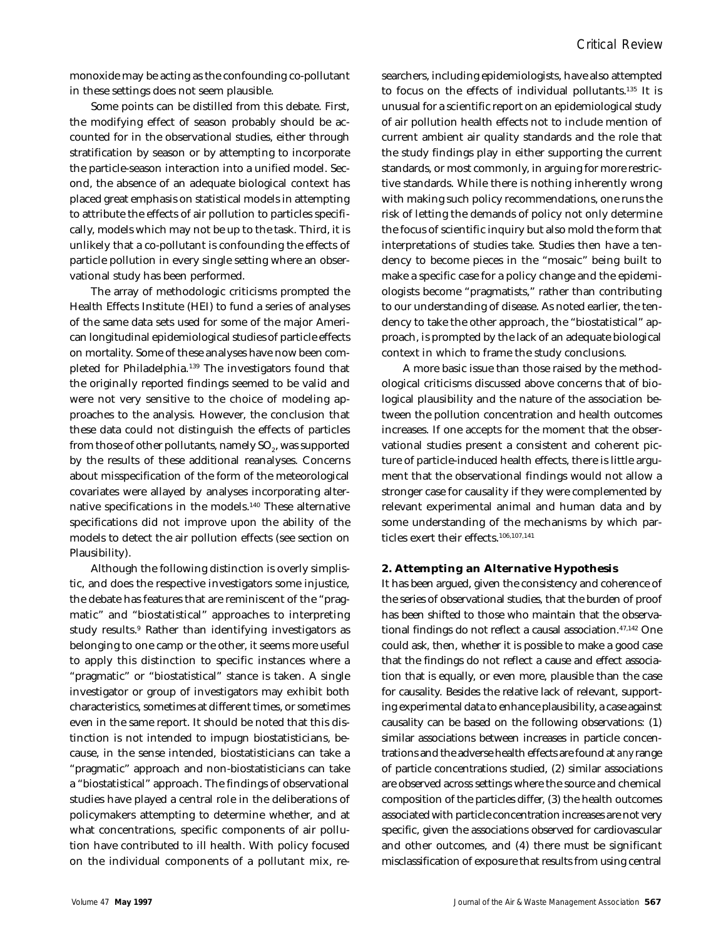monoxide may be acting as the confounding co-pollutant in these settings does not seem plausible.

Some points can be distilled from this debate. First, the modifying effect of season probably should be accounted for in the observational studies, either through stratification by season or by attempting to incorporate the particle-season interaction into a unified model. Second, the absence of an adequate biological context has placed great emphasis on statistical models in attempting to attribute the effects of air pollution to particles specifically, models which may not be up to the task. Third, it is unlikely that a co-pollutant is confounding the effects of particle pollution in every single setting where an observational study has been performed.

The array of methodologic criticisms prompted the Health Effects Institute (HEI) to fund a series of analyses of the same data sets used for some of the major American longitudinal epidemiological studies of particle effects on mortality. Some of these analyses have now been completed for Philadelphia.<sup>139</sup> The investigators found that the originally reported findings seemed to be valid and were not very sensitive to the choice of modeling approaches to the analysis. However, the conclusion that these data could not distinguish the effects of particles from those of other pollutants, namely SO $_{\textrm{\tiny{\it 2}}}$ , was supported by the results of these additional reanalyses. Concerns about misspecification of the form of the meteorological covariates were allayed by analyses incorporating alternative specifications in the models.<sup>140</sup> These alternative specifications did not improve upon the ability of the models to detect the air pollution effects (see section on Plausibility).

Although the following distinction is overly simplistic, and does the respective investigators some injustice, the debate has features that are reminiscent of the "pragmatic" and "biostatistical" approaches to interpreting study results.<sup>9</sup> Rather than identifying investigators as belonging to one camp or the other, it seems more useful to apply this distinction to specific instances where a "pragmatic" or "biostatistical" stance is taken. A single investigator or group of investigators may exhibit both characteristics, sometimes at different times, or sometimes even in the same report. It should be noted that this distinction is not intended to impugn biostatisticians, because, in the sense intended, biostatisticians can take a "pragmatic" approach and non-biostatisticians can take a "biostatistical" approach. The findings of observational studies have played a central role in the deliberations of policymakers attempting to determine whether, and at what concentrations, specific components of air pollution have contributed to ill health. With policy focused on the individual components of a pollutant mix, researchers, including epidemiologists, have also attempted to focus on the effects of individual pollutants.<sup>135</sup> It is unusual for a scientific report on an epidemiological study of air pollution health effects not to include mention of current ambient air quality standards and the role that the study findings play in either supporting the current standards, or most commonly, in arguing for more restrictive standards. While there is nothing inherently wrong with making such policy recommendations, one runs the risk of letting the demands of policy not only determine the focus of scientific inquiry but also mold the form that interpretations of studies take. Studies then have a tendency to become pieces in the "mosaic" being built to make a specific case for a policy change and the epidemiologists become "pragmatists," rather than contributing to our understanding of disease. As noted earlier, the tendency to take the other approach, the "biostatistical" approach, is prompted by the lack of an adequate biological context in which to frame the study conclusions.

A more basic issue than those raised by the methodological criticisms discussed above concerns that of biological plausibility and the nature of the association between the pollution concentration and health outcomes increases. If one accepts for the moment that the observational studies present a consistent and coherent picture of particle-induced health effects, there is little argument that the observational findings would not allow a stronger case for causality if they were complemented by relevant experimental animal and human data and by some understanding of the mechanisms by which particles exert their effects.106,107,141

#### **2. Attempting an Alternative Hypothesis**

It has been argued, given the consistency and coherence of the series of observational studies, that the burden of proof has been shifted to those who maintain that the observational findings do not reflect a causal association.<sup>47,142</sup> One could ask, then, whether it is possible to make a good case that the findings do not reflect a cause and effect association that is equally, or even more, plausible than the case for causality. Besides the relative lack of relevant, supporting experimental data to enhance plausibility, a case against causality can be based on the following observations: (1) similar associations between increases in particle concentrations and the adverse health effects are found at *any* range of particle concentrations studied, (2) similar associations are observed across settings where the source and chemical composition of the particles differ, (3) the health outcomes associated with particle concentration increases are not very specific, given the associations observed for cardiovascular and other outcomes, and (4) there must be significant misclassification of exposure that results from using central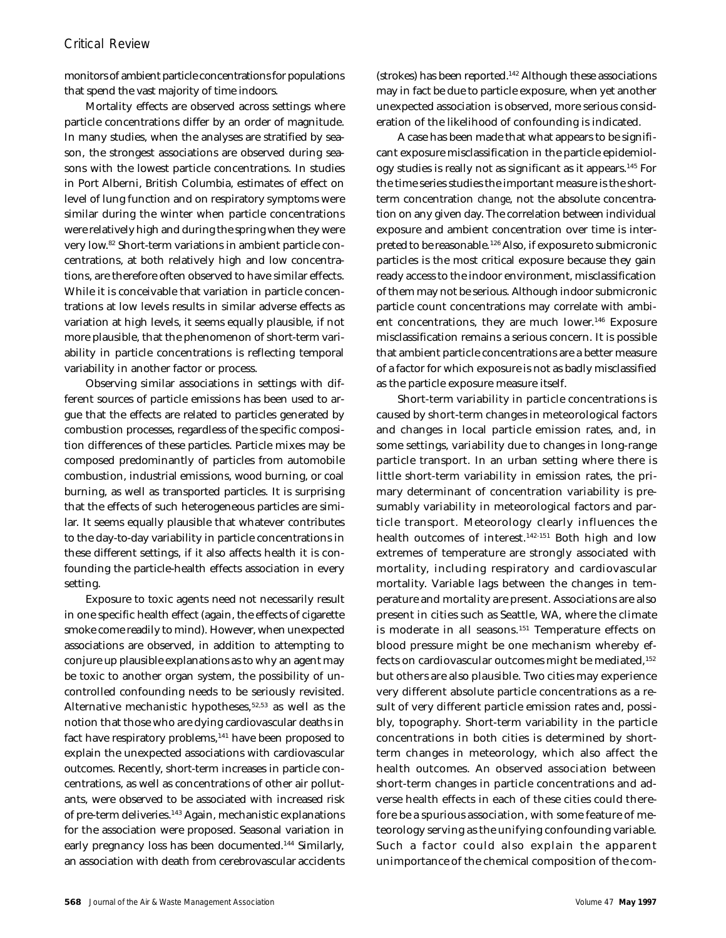monitors of ambient particle concentrations for populations that spend the vast majority of time indoors.

Mortality effects are observed across settings where particle concentrations differ by an order of magnitude. In many studies, when the analyses are stratified by season, the strongest associations are observed during seasons with the lowest particle concentrations. In studies in Port Alberni, British Columbia, estimates of effect on level of lung function and on respiratory symptoms were similar during the winter when particle concentrations were relatively high and during the spring when they were very low.82 Short-term variations in ambient particle concentrations, at both relatively high and low concentrations, are therefore often observed to have similar effects. While it is conceivable that variation in particle concentrations at low levels results in similar adverse effects as variation at high levels, it seems equally plausible, if not more plausible, that the phenomenon of short-term variability in particle concentrations is reflecting temporal variability in another factor or process.

Observing similar associations in settings with different sources of particle emissions has been used to argue that the effects are related to particles generated by combustion processes, regardless of the specific composition differences of these particles. Particle mixes may be composed predominantly of particles from automobile combustion, industrial emissions, wood burning, or coal burning, as well as transported particles. It is surprising that the effects of such heterogeneous particles are similar. It seems equally plausible that whatever contributes to the day-to-day variability in particle concentrations in these different settings, if it also affects health it is confounding the particle-health effects association in every setting.

Exposure to toxic agents need not necessarily result in one specific health effect (again, the effects of cigarette smoke come readily to mind). However, when unexpected associations are observed, in addition to attempting to conjure up plausible explanations as to why an agent may be toxic to another organ system, the possibility of uncontrolled confounding needs to be seriously revisited. Alternative mechanistic hypotheses,<sup>52,53</sup> as well as the notion that those who are dying cardiovascular deaths in fact have respiratory problems,<sup>141</sup> have been proposed to explain the unexpected associations with cardiovascular outcomes. Recently, short-term increases in particle concentrations, as well as concentrations of other air pollutants, were observed to be associated with increased risk of pre-term deliveries.<sup>143</sup> Again, mechanistic explanations for the association were proposed. Seasonal variation in early pregnancy loss has been documented.<sup>144</sup> Similarly, an association with death from cerebrovascular accidents

(strokes) has been reported.<sup>142</sup> Although these associations may in fact be due to particle exposure, when yet another unexpected association is observed, more serious consideration of the likelihood of confounding is indicated.

A case has been made that what appears to be significant exposure misclassification in the particle epidemiology studies is really not as significant as it appears.<sup>145</sup> For the time series studies the important measure is the shortterm concentration *change*, not the absolute concentration on any given day. The correlation between individual exposure and ambient concentration over time is interpreted to be reasonable.<sup>126</sup> Also, if exposure to submicronic particles is the most critical exposure because they gain ready access to the indoor environment, misclassification of them may not be serious. Although indoor submicronic particle count concentrations may correlate with ambient concentrations, they are much lower.<sup>146</sup> Exposure misclassification remains a serious concern. It is possible that ambient particle concentrations are a better measure of a factor for which exposure is not as badly misclassified as the particle exposure measure itself.

Short-term variability in particle concentrations is caused by short-term changes in meteorological factors and changes in local particle emission rates, and, in some settings, variability due to changes in long-range particle transport. In an urban setting where there is little short-term variability in emission rates, the primary determinant of concentration variability is presumably variability in meteorological factors and particle transport. Meteorology clearly influences the health outcomes of interest.<sup>142-151</sup> Both high and low extremes of temperature are strongly associated with mortality, including respiratory and cardiovascular mortality. Variable lags between the changes in temperature and mortality are present. Associations are also present in cities such as Seattle, WA, where the climate is moderate in all seasons.<sup>151</sup> Temperature effects on blood pressure might be one mechanism whereby effects on cardiovascular outcomes might be mediated,<sup>152</sup> but others are also plausible. Two cities may experience very different absolute particle concentrations as a result of very different particle emission rates and, possibly, topography. Short-term variability in the particle concentrations in both cities is determined by shortterm changes in meteorology, which also affect the health outcomes. An observed association between short-term changes in particle concentrations and adverse health effects in each of these cities could therefore be a spurious association, with some feature of meteorology serving as the unifying confounding variable. Such a factor could also explain the apparent unimportance of the chemical composition of the com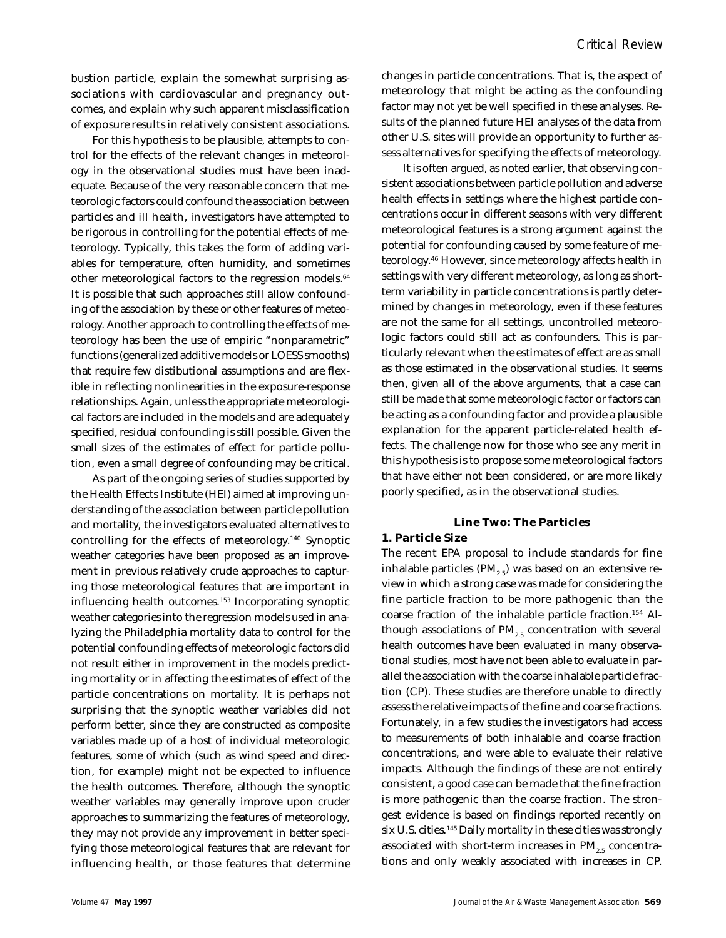bustion particle, explain the somewhat surprising associations with cardiovascular and pregnancy outcomes, and explain why such apparent misclassification of exposure results in relatively consistent associations.

For this hypothesis to be plausible, attempts to control for the effects of the relevant changes in meteorology in the observational studies must have been inadequate. Because of the very reasonable concern that meteorologic factors could confound the association between particles and ill health, investigators have attempted to be rigorous in controlling for the potential effects of meteorology. Typically, this takes the form of adding variables for temperature, often humidity, and sometimes other meteorological factors to the regression models.<sup>64</sup> It is possible that such approaches still allow confounding of the association by these or other features of meteorology. Another approach to controlling the effects of meteorology has been the use of empiric "nonparametric" functions (generalized additive models or LOESS smooths) that require few distibutional assumptions and are flexible in reflecting nonlinearities in the exposure-response relationships. Again, unless the appropriate meteorological factors are included in the models and are adequately specified, residual confounding is still possible. Given the small sizes of the estimates of effect for particle pollution, even a small degree of confounding may be critical.

As part of the ongoing series of studies supported by the Health Effects Institute (HEI) aimed at improving understanding of the association between particle pollution and mortality, the investigators evaluated alternatives to controlling for the effects of meteorology.<sup>140</sup> Synoptic weather categories have been proposed as an improvement in previous relatively crude approaches to capturing those meteorological features that are important in influencing health outcomes.<sup>153</sup> Incorporating synoptic weather categories into the regression models used in analyzing the Philadelphia mortality data to control for the potential confounding effects of meteorologic factors did not result either in improvement in the models predicting mortality or in affecting the estimates of effect of the particle concentrations on mortality. It is perhaps not surprising that the synoptic weather variables did not perform better, since they are constructed as composite variables made up of a host of individual meteorologic features, some of which (such as wind speed and direction, for example) might not be expected to influence the health outcomes. Therefore, although the synoptic weather variables may generally improve upon cruder approaches to summarizing the features of meteorology, they may not provide any improvement in better specifying those meteorological features that are relevant for influencing health, or those features that determine changes in particle concentrations. That is, the aspect of meteorology that might be acting as the confounding factor may not yet be well specified in these analyses. Results of the planned future HEI analyses of the data from other U.S. sites will provide an opportunity to further assess alternatives for specifying the effects of meteorology.

It is often argued, as noted earlier, that observing consistent associations between particle pollution and adverse health effects in settings where the highest particle concentrations occur in different seasons with very different meteorological features is a strong argument against the potential for confounding caused by some feature of meteorology.<sup>46</sup> However, since meteorology affects health in settings with very different meteorology, as long as shortterm variability in particle concentrations is partly determined by changes in meteorology, even if these features are not the same for all settings, uncontrolled meteorologic factors could still act as confounders. This is particularly relevant when the estimates of effect are as small as those estimated in the observational studies. It seems then, given all of the above arguments, that a case can still be made that some meteorologic factor or factors can be acting as a confounding factor and provide a plausible explanation for the apparent particle-related health effects. The challenge now for those who see any merit in this hypothesis is to propose some meteorological factors that have either not been considered, or are more likely poorly specified, as in the observational studies.

## **Line Two: The Particles**

#### **1. Particle Size**

The recent EPA proposal to include standards for fine inhalable particles  $(PM_{25})$  was based on an extensive review in which a strong case was made for considering the fine particle fraction to be more pathogenic than the coarse fraction of the inhalable particle fraction.154 Although associations of  $PM_{2.5}$  concentration with several health outcomes have been evaluated in many observational studies, most have not been able to evaluate in parallel the association with the coarse inhalable particle fraction (CP). These studies are therefore unable to directly assess the relative impacts of the fine and coarse fractions. Fortunately, in a few studies the investigators had access to measurements of both inhalable and coarse fraction concentrations, and were able to evaluate their relative impacts. Although the findings of these are not entirely consistent, a good case can be made that the fine fraction is more pathogenic than the coarse fraction. The strongest evidence is based on findings reported recently on six U.S. cities.<sup>145</sup> Daily mortality in these cities was strongly associated with short-term increases in  $PM_{2.5}$  concentrations and only weakly associated with increases in CP.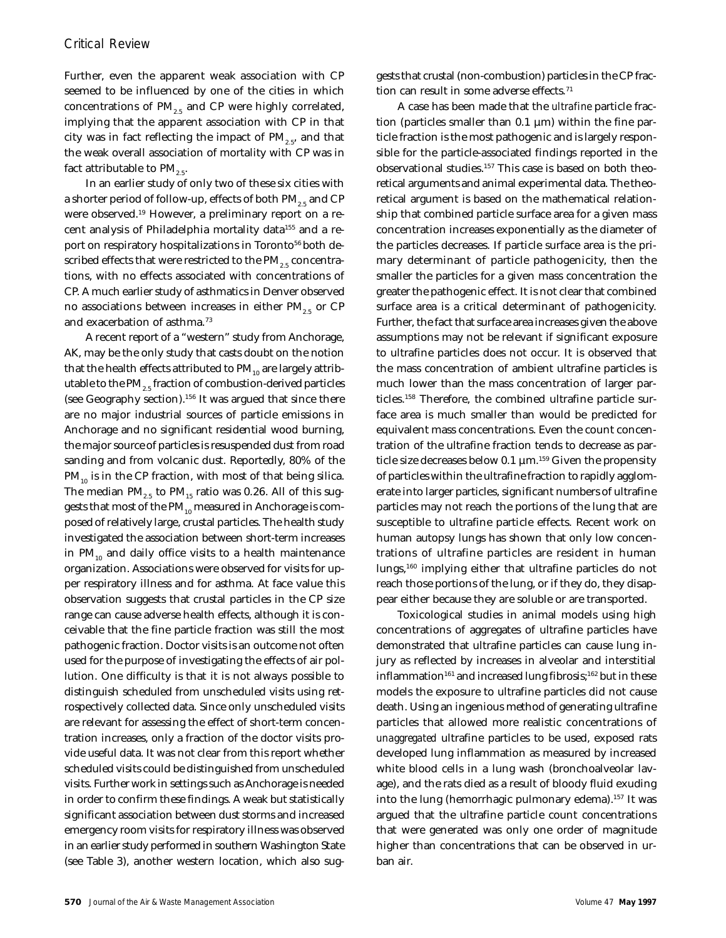Further, even the apparent weak association with CP seemed to be influenced by one of the cities in which concentrations of  $PM_{2.5}$  and CP were highly correlated, implying that the apparent association with CP in that city was in fact reflecting the impact of  $PM_{2.5}$ , and that the weak overall association of mortality with CP was in fact attributable to  $PM_{2.5}$ .

In an earlier study of only two of these six cities with a shorter period of follow-up, effects of both  $PM_{2.5}$  and CP were observed.19 However, a preliminary report on a recent analysis of Philadelphia mortality data<sup>155</sup> and a report on respiratory hospitalizations in Toronto<sup>56</sup> both described effects that were restricted to the  $PM_{2.5}$  concentrations, with no effects associated with concentrations of CP. A much earlier study of asthmatics in Denver observed no associations between increases in either  $PM_{2.5}$  or CP and exacerbation of asthma.<sup>73</sup>

A recent report of a "western" study from Anchorage, AK, may be the only study that casts doubt on the notion that the health effects attributed to  $PM_{10}$  are largely attributable to the PM<sub>2.5</sub> fraction of combustion-derived particles (see Geography section).<sup>156</sup> It was argued that since there are no major industrial sources of particle emissions in Anchorage and no significant residential wood burning, the major source of particles is resuspended dust from road sanding and from volcanic dust. Reportedly, 80% of the  $PM_{10}$  is in the CP fraction, with most of that being silica. The median  $PM_{2.5}$  to  $PM_{15}$  ratio was 0.26. All of this suggests that most of the  $PM_{10}$  measured in Anchorage is composed of relatively large, crustal particles. The health study investigated the association between short-term increases in  $PM_{10}$  and daily office visits to a health maintenance organization. Associations were observed for visits for upper respiratory illness and for asthma. At face value this observation suggests that crustal particles in the CP size range can cause adverse health effects, although it is conceivable that the fine particle fraction was still the most pathogenic fraction. Doctor visits is an outcome not often used for the purpose of investigating the effects of air pollution. One difficulty is that it is not always possible to distinguish scheduled from unscheduled visits using retrospectively collected data. Since only unscheduled visits are relevant for assessing the effect of short-term concentration increases, only a fraction of the doctor visits provide useful data. It was not clear from this report whether scheduled visits could be distinguished from unscheduled visits. Further work in settings such as Anchorage is needed in order to confirm these findings. A weak but statistically significant association between dust storms and increased emergency room visits for respiratory illness was observed in an earlier study performed in southern Washington State (see Table 3), another western location, which also suggests that crustal (non-combustion) particles in the CP fraction can result in some adverse effects.<sup>71</sup>

A case has been made that the *ultrafine* particle fraction (particles smaller than  $0.1 \mu m$ ) within the fine particle fraction is the most pathogenic and is largely responsible for the particle-associated findings reported in the observational studies.157 This case is based on both theoretical arguments and animal experimental data. The theoretical argument is based on the mathematical relationship that combined particle surface area for a given mass concentration increases exponentially as the diameter of the particles decreases. If particle surface area is the primary determinant of particle pathogenicity, then the smaller the particles for a given mass concentration the greater the pathogenic effect. It is not clear that combined surface area is a critical determinant of pathogenicity. Further, the fact that surface area increases given the above assumptions may not be relevant if significant exposure to ultrafine particles does not occur. It is observed that the mass concentration of ambient ultrafine particles is much lower than the mass concentration of larger particles.158 Therefore, the combined ultrafine particle surface area is much smaller than would be predicted for equivalent mass concentrations. Even the count concentration of the ultrafine fraction tends to decrease as particle size decreases below 0.1 µm.<sup>159</sup> Given the propensity of particles within the ultrafine fraction to rapidly agglomerate into larger particles, significant numbers of ultrafine particles may not reach the portions of the lung that are susceptible to ultrafine particle effects. Recent work on human autopsy lungs has shown that only low concentrations of ultrafine particles are resident in human lungs,<sup>160</sup> implying either that ultrafine particles do not reach those portions of the lung, or if they do, they disappear either because they are soluble or are transported.

Toxicological studies in animal models using high concentrations of aggregates of ultrafine particles have demonstrated that ultrafine particles can cause lung injury as reflected by increases in alveolar and interstitial inflammation<sup>161</sup> and increased lung fibrosis;<sup>162</sup> but in these models the exposure to ultrafine particles did not cause death. Using an ingenious method of generating ultrafine particles that allowed more realistic concentrations of *unaggregated* ultrafine particles to be used, exposed rats developed lung inflammation as measured by increased white blood cells in a lung wash (bronchoalveolar lavage), and the rats died as a result of bloody fluid exuding into the lung (hemorrhagic pulmonary edema).<sup>157</sup> It was argued that the ultrafine particle count concentrations that were generated was only one order of magnitude higher than concentrations that can be observed in urban air.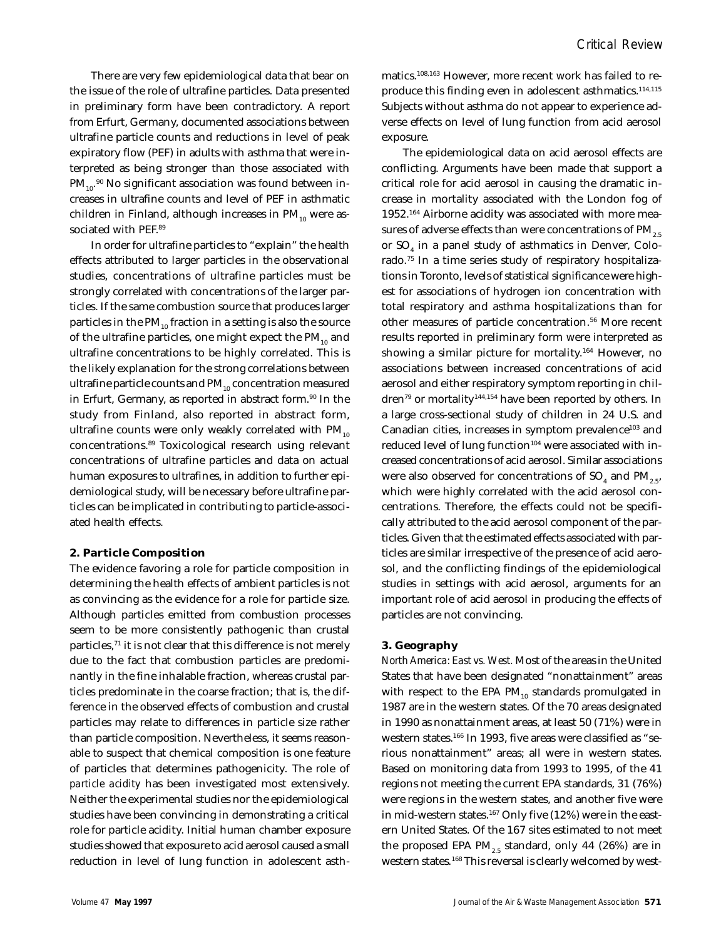*Critical Review*

There are very few epidemiological data that bear on the issue of the role of ultrafine particles. Data presented in preliminary form have been contradictory. A report from Erfurt, Germany, documented associations between ultrafine particle counts and reductions in level of peak expiratory flow (PEF) in adults with asthma that were interpreted as being stronger than those associated with  $\text{PM}_{_{10}\cdot^{90}}$  No significant association was found between increases in ultrafine counts and level of PEF in asthmatic children in Finland, although increases in  $PM_{10}$  were associated with PEF.<sup>89</sup>

In order for ultrafine particles to "explain" the health effects attributed to larger particles in the observational studies, concentrations of ultrafine particles must be strongly correlated with concentrations of the larger particles. If the same combustion source that produces larger particles in the  $PM_{10}$  fraction in a setting is also the source of the ultrafine particles, one might expect the  $PM_{10}$  and ultrafine concentrations to be highly correlated. This is the likely explanation for the strong correlations between ultrafine particle counts and  $PM_{10}$  concentration measured in Erfurt, Germany, as reported in abstract form.<sup>90</sup> In the study from Finland, also reported in abstract form, ultrafine counts were only weakly correlated with  $PM_{10}$ concentrations.<sup>89</sup> Toxicological research using relevant concentrations of ultrafine particles and data on actual human exposures to ultrafines, in addition to further epidemiological study, will be necessary before ultrafine particles can be implicated in contributing to particle-associated health effects.

#### **2. Particle Composition**

The evidence favoring a role for particle composition in determining the health effects of ambient particles is not as convincing as the evidence for a role for particle size. Although particles emitted from combustion processes seem to be more consistently pathogenic than crustal particles,<sup>71</sup> it is not clear that this difference is not merely due to the fact that combustion particles are predominantly in the fine inhalable fraction, whereas crustal particles predominate in the coarse fraction; that is, the difference in the observed effects of combustion and crustal particles may relate to differences in particle size rather than particle composition. Nevertheless, it seems reasonable to suspect that chemical composition is one feature of particles that determines pathogenicity. The role of *particle acidity* has been investigated most extensively. Neither the experimental studies nor the epidemiological studies have been convincing in demonstrating a critical role for particle acidity. Initial human chamber exposure studies showed that exposure to acid aerosol caused a small reduction in level of lung function in adolescent asthmatics.108,163 However, more recent work has failed to reproduce this finding even in adolescent asthmatics.<sup>114,115</sup> Subjects without asthma do not appear to experience adverse effects on level of lung function from acid aerosol exposure.

The epidemiological data on acid aerosol effects are conflicting. Arguments have been made that support a critical role for acid aerosol in causing the dramatic increase in mortality associated with the London fog of 1952.164 Airborne acidity was associated with more measures of adverse effects than were concentrations of  $PM_{2.5}$ or  $\mathrm{SO}_4$  in a panel study of asthmatics in Denver, Colorado.75 In a time series study of respiratory hospitalizations in Toronto, levels of statistical significance were highest for associations of hydrogen ion concentration with total respiratory and asthma hospitalizations than for other measures of particle concentration.<sup>56</sup> More recent results reported in preliminary form were interpreted as showing a similar picture for mortality.<sup>164</sup> However, no associations between increased concentrations of acid aerosol and either respiratory symptom reporting in children<sup>79</sup> or mortality<sup>144,154</sup> have been reported by others. In a large cross-sectional study of children in 24 U.S. and Canadian cities, increases in symptom prevalence<sup>103</sup> and reduced level of lung function<sup>104</sup> were associated with increased concentrations of acid aerosol. Similar associations were also observed for concentrations of SO $_{\textrm{\tiny{4}}}$  and PM $_{\textrm{\tiny{2.5'}}}$ which were highly correlated with the acid aerosol concentrations. Therefore, the effects could not be specifically attributed to the acid aerosol component of the particles. Given that the estimated effects associated with particles are similar irrespective of the presence of acid aerosol, and the conflicting findings of the epidemiological studies in settings with acid aerosol, arguments for an important role of acid aerosol in producing the effects of particles are not convincing.

#### **3. Geography**

*North America: East vs. West.* Most of the areas in the United States that have been designated "nonattainment" areas with respect to the EPA  $PM_{10}$  standards promulgated in 1987 are in the western states. Of the 70 areas designated in 1990 as nonattainment areas, at least 50 (71%) were in western states.166 In 1993, five areas were classified as "serious nonattainment" areas; all were in western states. Based on monitoring data from 1993 to 1995, of the 41 regions not meeting the current EPA standards, 31 (76%) were regions in the western states, and another five were in mid-western states.<sup>167</sup> Only five (12%) were in the eastern United States. Of the 167 sites estimated to not meet the proposed EPA PM<sub>2.5</sub> standard, only 44 (26%) are in western states.<sup>168</sup> This reversal is clearly welcomed by west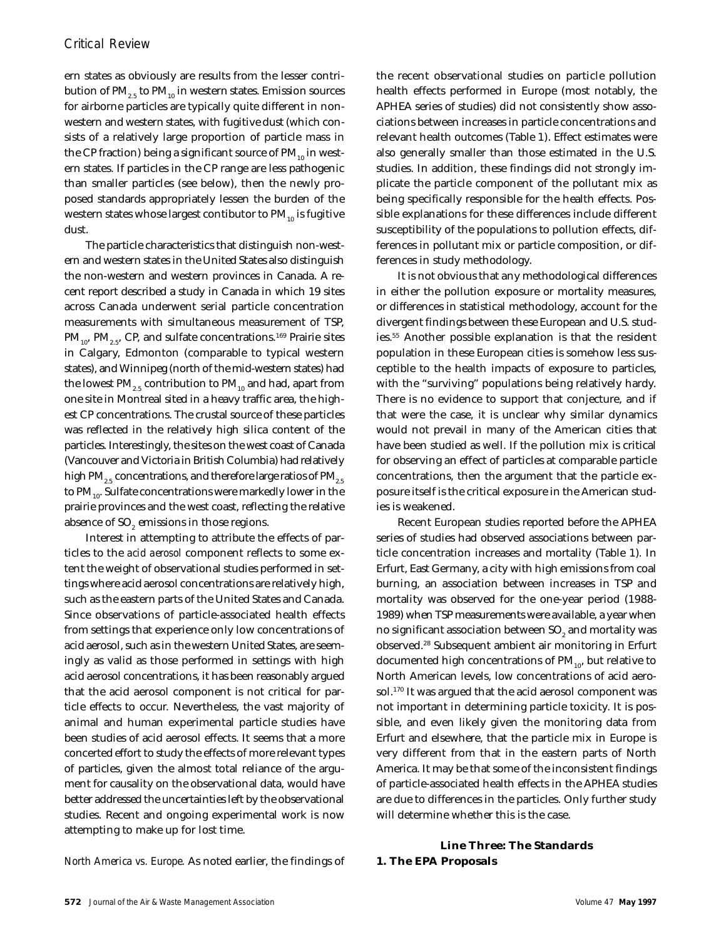ern states as obviously are results from the lesser contribution of  $PM_{2.5}$  to  $PM_{10}$  in western states. Emission sources for airborne particles are typically quite different in nonwestern and western states, with fugitive dust (which consists of a relatively large proportion of particle mass in the CP fraction) being a significant source of  $PM_{10}$  in western states. If particles in the CP range are less pathogenic than smaller particles (see below), then the newly proposed standards appropriately lessen the burden of the western states whose largest contibutor to  $PM_{10}$  is fugitive dust.

The particle characteristics that distinguish non-western and western states in the United States also distinguish the non-western and western provinces in Canada. A recent report described a study in Canada in which 19 sites across Canada underwent serial particle concentration measurements with simultaneous measurement of TSP,  $\text{PM}_{10}$ ,  $\text{PM}_{2.5}$ , CP, and sulfate concentrations.<sup>169</sup> Prairie sites in Calgary, Edmonton (comparable to typical western states), and Winnipeg (north of the mid-western states) had the lowest  $PM_{25}$  contribution to  $PM_{10}$  and had, apart from one site in Montreal sited in a heavy traffic area, the highest CP concentrations. The crustal source of these particles was reflected in the relatively high silica content of the particles. Interestingly, the sites on the west coast of Canada (Vancouver and Victoria in British Columbia) had relatively high PM<sub>2.5</sub> concentrations, and therefore large ratios of PM<sub>2.5</sub> to  $PM_{10}$ . Sulfate concentrations were markedly lower in the prairie provinces and the west coast, reflecting the relative absence of SO<sub>2</sub> emissions in those regions.

Interest in attempting to attribute the effects of particles to the *acid aerosol* component reflects to some extent the weight of observational studies performed in settings where acid aerosol concentrations are relatively high, such as the eastern parts of the United States and Canada. Since observations of particle-associated health effects from settings that experience only low concentrations of acid aerosol, such as in the western United States, are seemingly as valid as those performed in settings with high acid aerosol concentrations, it has been reasonably argued that the acid aerosol component is not critical for particle effects to occur. Nevertheless, the vast majority of animal and human experimental particle studies have been studies of acid aerosol effects. It seems that a more concerted effort to study the effects of more relevant types of particles, given the almost total reliance of the argument for causality on the observational data, would have better addressed the uncertainties left by the observational studies. Recent and ongoing experimental work is now attempting to make up for lost time.

the recent observational studies on particle pollution health effects performed in Europe (most notably, the APHEA series of studies) did not consistently show associations between increases in particle concentrations and relevant health outcomes (Table 1). Effect estimates were also generally smaller than those estimated in the U.S. studies. In addition, these findings did not strongly implicate the particle component of the pollutant mix as being specifically responsible for the health effects. Possible explanations for these differences include different susceptibility of the populations to pollution effects, differences in pollutant mix or particle composition, or differences in study methodology.

It is not obvious that any methodological differences in either the pollution exposure or mortality measures, or differences in statistical methodology, account for the divergent findings between these European and U.S. studies.<sup>55</sup> Another possible explanation is that the resident population in these European cities is somehow less susceptible to the health impacts of exposure to particles, with the "surviving" populations being relatively hardy. There is no evidence to support that conjecture, and if that were the case, it is unclear why similar dynamics would not prevail in many of the American cities that have been studied as well. If the pollution mix is critical for observing an effect of particles at comparable particle concentrations, then the argument that the particle exposure itself is the critical exposure in the American studies is weakened.

Recent European studies reported before the APHEA series of studies had observed associations between particle concentration increases and mortality (Table 1). In Erfurt, East Germany, a city with high emissions from coal burning, an association between increases in TSP and mortality was observed for the one-year period (1988- 1989) when TSP measurements were available, a year when no significant association between SO $_{\textrm{\tiny{2}}}$  and mortality was observed.<sup>28</sup> Subsequent ambient air monitoring in Erfurt documented high concentrations of  $PM_{10}$ , but relative to North American levels, low concentrations of acid aerosol.<sup>170</sup> It was argued that the acid aerosol component was not important in determining particle toxicity. It is possible, and even likely given the monitoring data from Erfurt and elsewhere, that the particle mix in Europe is very different from that in the eastern parts of North America. It may be that some of the inconsistent findings of particle-associated health effects in the APHEA studies are due to differences in the particles. Only further study will determine whether this is the case.

## **Line Three: The Standards 1. The EPA Proposals**

*North America vs. Europe.* As noted earlier, the findings of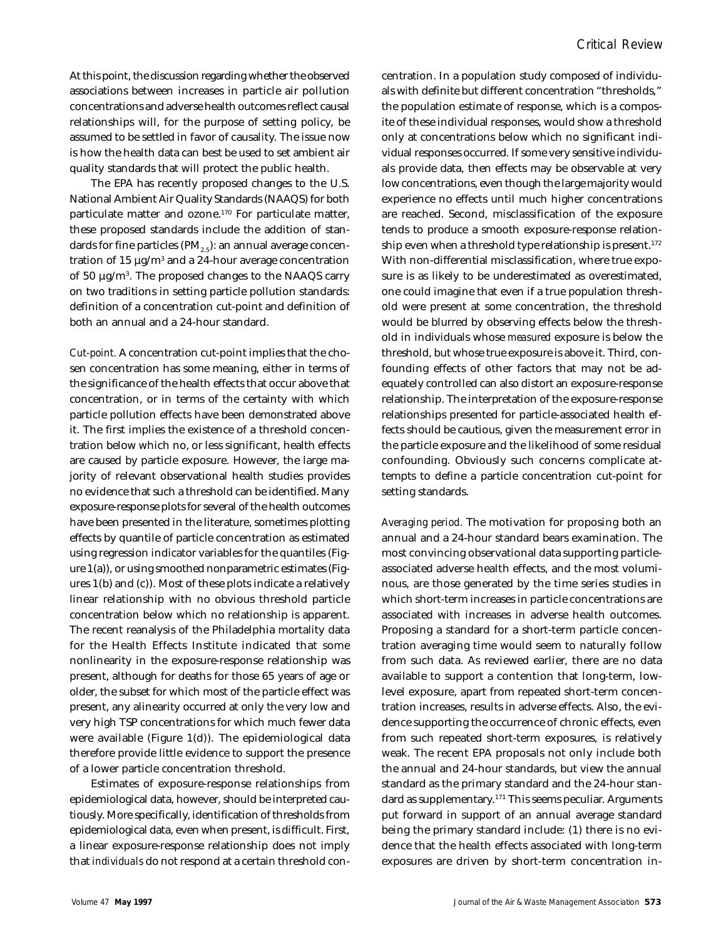At this point, the discussion regarding whether the observed associations between increases in particle air pollution concentrations and adverse health outcomes reflect causal relationships will, for the purpose of setting policy, be assumed to be settled in favor of causality. The issue now is how the health data can best be used to set ambient air quality standards that will protect the public health.

The EPA has recently proposed changes to the U.S. National Ambient Air Quality Standards (NAAQS) for both particulate matter and ozone.<sup>170</sup> For particulate matter, these proposed standards include the addition of standards for fine particles ( $PM_{2.5}$ ): an annual average concentration of 15  $\mu$ g/m $^3$  and a 24-hour average concentration of 50 µg/m<sup>3</sup> . The proposed changes to the NAAQS carry on two traditions in setting particle pollution standards: definition of a concentration cut-point and definition of both an annual and a 24-hour standard.

*Cut-point.* A concentration cut-point implies that the chosen concentration has some meaning, either in terms of the significance of the health effects that occur above that concentration, or in terms of the certainty with which particle pollution effects have been demonstrated above it. The first implies the existence of a threshold concentration below which no, or less significant, health effects are caused by particle exposure. However, the large majority of relevant observational health studies provides no evidence that such a threshold can be identified. Many exposure-response plots for several of the health outcomes have been presented in the literature, sometimes plotting effects by quantile of particle concentration as estimated using regression indicator variables for the quantiles (Figure 1(a)), or using smoothed nonparametric estimates (Figures 1(b) and (c)). Most of these plots indicate a relatively linear relationship with no obvious threshold particle concentration below which no relationship is apparent. The recent reanalysis of the Philadelphia mortality data for the Health Effects Institute indicated that some nonlinearity in the exposure-response relationship was present, although for deaths for those 65 years of age or older, the subset for which most of the particle effect was present, any alinearity occurred at only the very low and very high TSP concentrations for which much fewer data were available (Figure 1(d)). The epidemiological data therefore provide little evidence to support the presence of a lower particle concentration threshold.

Estimates of exposure-response relationships from epidemiological data, however, should be interpreted cautiously. More specifically, identification of thresholds from epidemiological data, even when present, is difficult. First, a linear exposure-response relationship does not imply that *individuals* do not respond at a certain threshold concentration. In a population study composed of individuals with definite but different concentration "thresholds," the population estimate of response, which is a composite of these individual responses, would show a threshold only at concentrations below which no significant individual responses occurred. If some very sensitive individuals provide data, then effects may be observable at very low concentrations, even though the large majority would experience no effects until much higher concentrations are reached. Second, misclassification of the exposure tends to produce a smooth exposure-response relationship even when a threshold type relationship is present.<sup>172</sup> With non-differential misclassification, where true exposure is as likely to be underestimated as overestimated, one could imagine that even if a true population threshold were present at some concentration, the threshold would be blurred by observing effects below the threshold in individuals whose *measured* exposure is below the threshold, but whose true exposure is above it. Third, confounding effects of other factors that may not be adequately controlled can also distort an exposure-response relationship. The interpretation of the exposure-response relationships presented for particle-associated health effects should be cautious, given the measurement error in the particle exposure and the likelihood of some residual confounding. Obviously such concerns complicate attempts to define a particle concentration cut-point for setting standards.

*Averaging period.* The motivation for proposing both an annual and a 24-hour standard bears examination. The most convincing observational data supporting particleassociated adverse health effects, and the most voluminous, are those generated by the time series studies in which short-term increases in particle concentrations are associated with increases in adverse health outcomes. Proposing a standard for a short-term particle concentration averaging time would seem to naturally follow from such data. As reviewed earlier, there are no data available to support a contention that long-term, lowlevel exposure, apart from repeated short-term concentration increases, results in adverse effects. Also, the evidence supporting the occurrence of chronic effects, even from such repeated short-term exposures, is relatively weak. The recent EPA proposals not only include both the annual and 24-hour standards, but view the annual standard as the primary standard and the 24-hour standard as supplementary.<sup>171</sup> This seems peculiar. Arguments put forward in support of an annual average standard being the primary standard include: (1) there is no evidence that the health effects associated with long-term exposures are driven by short-term concentration in-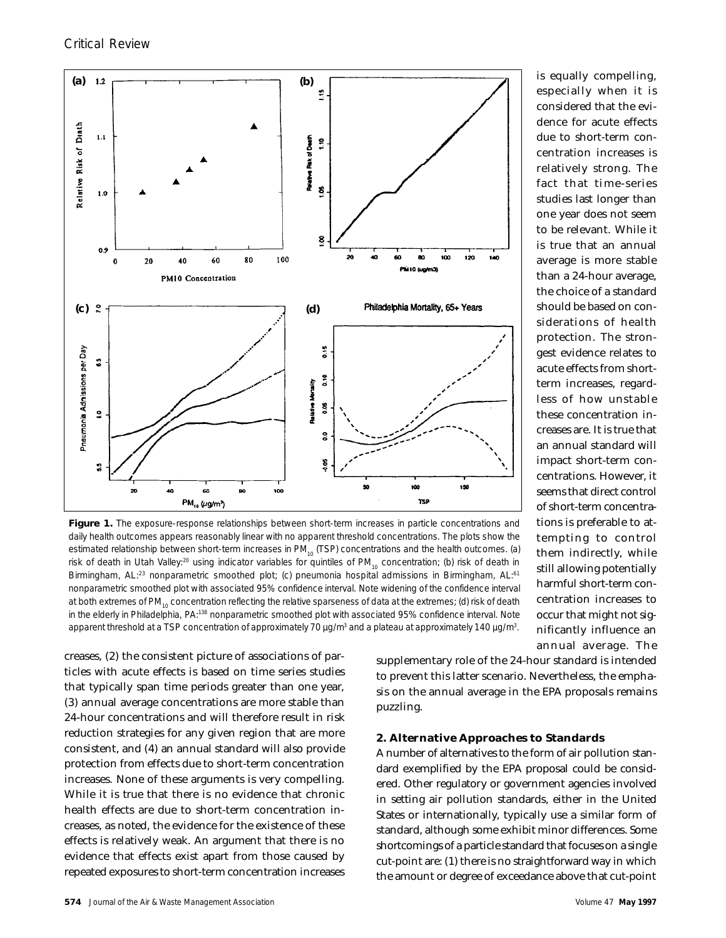

Figure 1. The exposure-response relationships between short-term increases in particle concentrations and daily health outcomes appears reasonably linear with no apparent threshold concentrations. The plots show the estimated relationship between short-term increases in PM<sub>10</sub> (TSP) concentrations and the health outcomes. (a) risk of death in Utah Valley:<sup>20</sup> using indicator variables for quintiles of PM<sub>10</sub> concentration; (b) risk of death in Birmingham, AL:<sup>23</sup> nonparametric smoothed plot; (c) pneumonia hospital admissions in Birmingham, AL:<sup>61</sup> nonparametric smoothed plot with associated 95% confidence interval. Note widening of the confidence interval at both extremes of PM<sub>10</sub> concentration reflecting the relative sparseness of data at the extremes; (d) risk of death in the elderly in Philadelphia, PA:<sup>138</sup> nonparametric smoothed plot with associated 95% confidence interval. Note apparent threshold at a TSP concentration of approximately 70  $\mu$ g/m<sup>3</sup> and a plateau at approximately 140  $\mu$ g/m<sup>3</sup>.

creases, (2) the consistent picture of associations of particles with acute effects is based on time series studies that typically span time periods greater than one year, (3) annual average concentrations are more stable than 24-hour concentrations and will therefore result in risk reduction strategies for any given region that are more consistent, and (4) an annual standard will also provide protection from effects due to short-term concentration increases. None of these arguments is very compelling. While it is true that there is no evidence that chronic health effects are due to short-term concentration increases, as noted, the evidence for the existence of these effects is relatively weak. An argument that there is no evidence that effects exist apart from those caused by repeated exposures to short-term concentration increases

supplementary role of the 24-hour standard is intended to prevent this latter scenario. Nevertheless, the emphasis on the annual average in the EPA proposals remains puzzling.

### **2. Alternative Approaches to Standards**

A number of alternatives to the form of air pollution standard exemplified by the EPA proposal could be considered. Other regulatory or government agencies involved in setting air pollution standards, either in the United States or internationally, typically use a similar form of standard, although some exhibit minor differences. Some shortcomings of a particle standard that focuses on a single cut-point are: (1) there is no straightforward way in which the amount or degree of exceedance above that cut-point

is equally compelling, especially when it is considered that the evidence for acute effects due to short-term concentration increases is relatively strong. The fact that time-series studies last longer than one year does not seem to be relevant. While it is true that an annual average is more stable than a 24-hour average, the choice of a standard should be based on considerations of health protection. The strongest evidence relates to acute effects from shortterm increases, regardless of how unstable these concentration increases are. It is true that an annual standard will impact short-term concentrations. However, it seems that direct control of short-term concentrations is preferable to attempting to control them indirectly, while still allowing potentially harmful short-term concentration increases to occur that might not significantly influence an annual average. The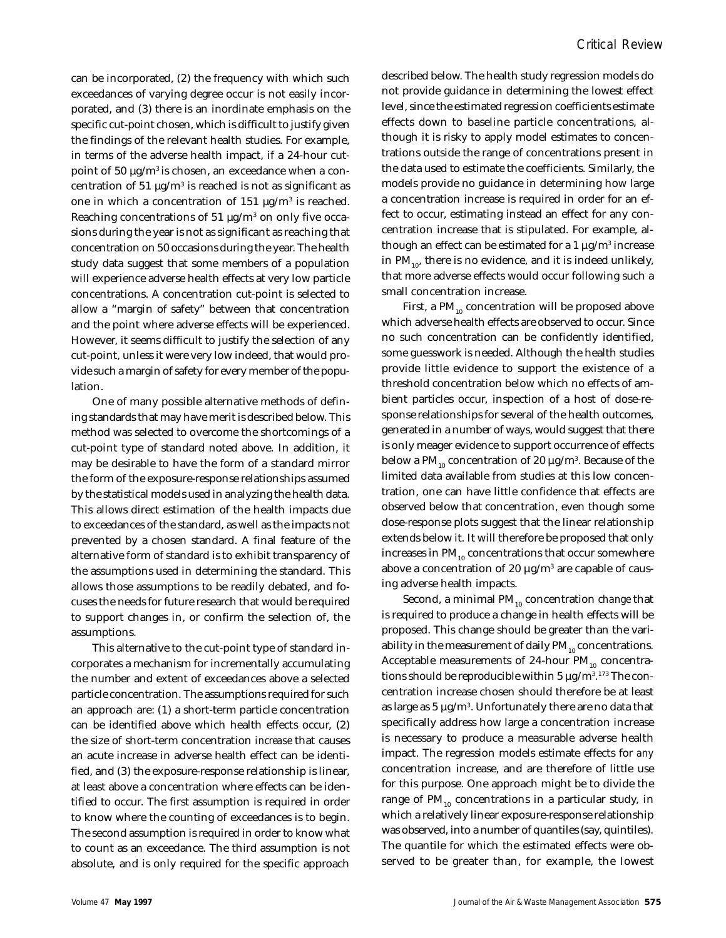can be incorporated, (2) the frequency with which such exceedances of varying degree occur is not easily incorporated, and (3) there is an inordinate emphasis on the specific cut-point chosen, which is difficult to justify given the findings of the relevant health studies. For example, in terms of the adverse health impact, if a 24-hour cutpoint of 50 μg/m<sup>3</sup> is chosen, an exceedance when a concentration of 51  $\mu$ g/m<sup>3</sup> is reached is not as significant as one in which a concentration of  $151 \mu g/m^3$  is reached. Reaching concentrations of 51  $\mu$ g/m $^3$  on only five occasions during the year is not as significant as reaching that concentration on 50 occasions during the year. The health study data suggest that some members of a population will experience adverse health effects at very low particle concentrations. A concentration cut-point is selected to allow a "margin of safety" between that concentration and the point where adverse effects will be experienced. However, it seems difficult to justify the selection of any cut-point, unless it were very low indeed, that would provide such a margin of safety for every member of the population.

One of many possible alternative methods of defining standards that may have merit is described below. This method was selected to overcome the shortcomings of a cut-point type of standard noted above. In addition, it may be desirable to have the form of a standard mirror the form of the exposure-response relationships assumed by the statistical models used in analyzing the health data. This allows direct estimation of the health impacts due to exceedances of the standard, as well as the impacts not prevented by a chosen standard. A final feature of the alternative form of standard is to exhibit transparency of the assumptions used in determining the standard. This allows those assumptions to be readily debated, and focuses the needs for future research that would be required to support changes in, or confirm the selection of, the assumptions.

This alternative to the cut-point type of standard incorporates a mechanism for incrementally accumulating the number and extent of exceedances above a selected particle concentration. The assumptions required for such an approach are: (1) a short-term particle concentration can be identified above which health effects occur, (2) the size of short-term concentration *increase* that causes an acute increase in adverse health effect can be identified, and (3) the exposure-response relationship is linear, at least above a concentration where effects can be identified to occur. The first assumption is required in order to know where the counting of exceedances is to begin. The second assumption is required in order to know what to count as an exceedance. The third assumption is not absolute, and is only required for the specific approach

described below. The health study regression models do not provide guidance in determining the lowest effect level, since the estimated regression coefficients estimate effects down to baseline particle concentrations, although it is risky to apply model estimates to concentrations outside the range of concentrations present in the data used to estimate the coefficients. Similarly, the models provide no guidance in determining how large a concentration increase is required in order for an effect to occur, estimating instead an effect for any concentration increase that is stipulated. For example, although an effect can be estimated for a 1  $\mu$ g/m $^3$  increase in  $PM_{10}$ , there is no evidence, and it is indeed unlikely, that more adverse effects would occur following such a small concentration increase.

First, a  $PM_{10}$  concentration will be proposed above which adverse health effects are observed to occur. Since no such concentration can be confidently identified, some guesswork is needed. Although the health studies provide little evidence to support the existence of a threshold concentration below which no effects of ambient particles occur, inspection of a host of dose-response relationships for several of the health outcomes, generated in a number of ways, would suggest that there is only meager evidence to support occurrence of effects below a PM $_{\rm 10}$  concentration of 20  $\mu$ g/m $^3$ . Because of the limited data available from studies at this low concentration, one can have little confidence that effects are observed below that concentration, even though some dose-response plots suggest that the linear relationship extends below it. It will therefore be proposed that only increases in  $PM_{10}$  concentrations that occur somewhere above a concentration of 20  $\mu$ g/m $^3$  are capable of causing adverse health impacts.

Second, a minimal PM<sub>10</sub> concentration *change* that is required to produce a change in health effects will be proposed. This change should be greater than the variability in the measurement of daily  $PM_{10}$  concentrations. Acceptable measurements of 24-hour  $PM_{10}$  concentrations should be reproducible within 5  $\mu$ g/m $^{3.173}$  The concentration increase chosen should therefore be at least as large as 5  $\mu$ g/m $^3$ . Unfortunately there are no data that specifically address how large a concentration increase is necessary to produce a measurable adverse health impact. The regression models estimate effects for *any* concentration increase, and are therefore of little use for this purpose. One approach might be to divide the range of  $PM_{10}$  concentrations in a particular study, in which a relatively linear exposure-response relationship was observed, into a number of quantiles (say, quintiles). The quantile for which the estimated effects were observed to be greater than, for example, the lowest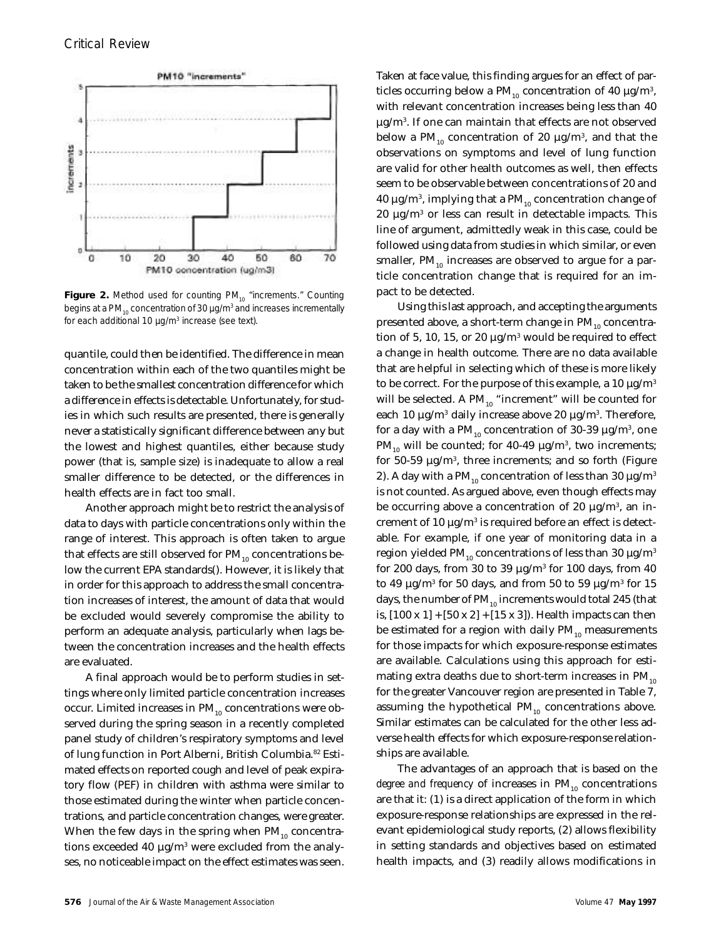

Figure 2. Method used for counting PM<sub>10</sub> "increments." Counting begins at a PM $_{_{10}}$  concentration of 30  $\mu$ g/m $^3$  and increases incrementally for each additional 10 μg/m<sup>3</sup> increase (see text).

quantile, could then be identified. The difference in mean concentration within each of the two quantiles might be taken to be the smallest concentration difference for which a difference in effects is detectable. Unfortunately, for studies in which such results are presented, there is generally never a statistically significant difference between any but the lowest and highest quantiles, either because study power (that is, sample size) is inadequate to allow a real smaller difference to be detected, or the differences in health effects are in fact too small.

Another approach might be to restrict the analysis of data to days with particle concentrations only within the range of interest. This approach is often taken to argue that effects are still observed for  $PM_{10}$  concentrations below the current EPA standards(). However, it is likely that in order for this approach to address the small concentration increases of interest, the amount of data that would be excluded would severely compromise the ability to perform an adequate analysis, particularly when lags between the concentration increases and the health effects are evaluated.

A final approach would be to perform studies in settings where only limited particle concentration increases occur. Limited increases in  $PM_{10}$  concentrations were observed during the spring season in a recently completed panel study of children's respiratory symptoms and level of lung function in Port Alberni, British Columbia.82 Estimated effects on reported cough and level of peak expiratory flow (PEF) in children with asthma were similar to those estimated during the winter when particle concentrations, and particle concentration changes, were greater. When the few days in the spring when  $PM_{10}$  concentrations exceeded 40  $\mu$ g/m $^3$  were excluded from the analyses, no noticeable impact on the effect estimates was seen.

Taken at face value, this finding argues for an effect of particles occurring below a PM $_{10}$  concentration of 40  $\mu$ g/m $^3$ , with relevant concentration increases being less than 40  $\mu$ g/m $^3$ . If one can maintain that effects are not observed below a PM $_{_{10}}$  concentration of 20  $\mu$ g/m $^3$ , and that the observations on symptoms and level of lung function are valid for other health outcomes as well, then effects seem to be observable between concentrations of 20 and 40  $\mu$ g/m $^3$ , implying that a PM $_{10}$  concentration change of 20  $\mu$ g/m $^3$  or less can result in detectable impacts. This line of argument, admittedly weak in this case, could be followed using data from studies in which similar, or even smaller,  $PM_{10}$  increases are observed to argue for a particle concentration change that is required for an impact to be detected.

Using this last approach, and accepting the arguments presented above, a short-term change in  $PM_{10}$  concentration of 5, 10, 15, or 20  $\mu$ g/m $^3$  would be required to effect a change in health outcome. There are no data available that are helpful in selecting which of these is more likely to be correct. For the purpose of this example, a 10  $\mu$ g/m<sup>3</sup> will be selected. A  $PM_{10}$  "increment" will be counted for each 10 μg/m $^3$  daily increase above 20 μg/m $^3$ . Therefore, for a day with a PM $_{10}$  concentration of 30-39  $\mu$ g/m $^3$ , one PM $_{10}$  will be counted; for 40-49  $\mu$ g/m $^3$ , two increments; for 50-59  $\mu$ g/m $^3$ , three increments; and so forth (Figure 2). A day with a PM<sub>10</sub> concentration of less than 30  $\mu$ g/m<sup>3</sup> is not counted. As argued above, even though effects may be occurring above a concentration of 20  $\mu$ g/m $^3$ , an increment of 10  $\mu$ g/m $^3$  is required before an effect is detectable. For example, if one year of monitoring data in a region yielded PM<sub>10</sub> concentrations of less than 30  $\mu$ g/m<sup>3</sup> for 200 days, from 30 to 39  $\mu$ g/m $^3$  for 100 days, from 40 to 49  $\mu$ g/m $^3$  for 50 days, and from 50 to 59  $\mu$ g/m $^3$  for 15 days, the number of  $PM_{10}$  increments would total 245 (that is,  $[100 \times 1] + [50 \times 2] + [15 \times 3]$ . Health impacts can then be estimated for a region with daily  $PM_{10}$  measurements for those impacts for which exposure-response estimates are available. Calculations using this approach for estimating extra deaths due to short-term increases in  $PM_{10}$ for the greater Vancouver region are presented in Table 7, assuming the hypothetical  $PM_{10}$  concentrations above. Similar estimates can be calculated for the other less adverse health effects for which exposure-response relationships are available.

The advantages of an approach that is based on the *degree and frequency* of increases in PM<sub>10</sub> concentrations are that it: (1) is a direct application of the form in which exposure-response relationships are expressed in the relevant epidemiological study reports, (2) allows flexibility in setting standards and objectives based on estimated health impacts, and (3) readily allows modifications in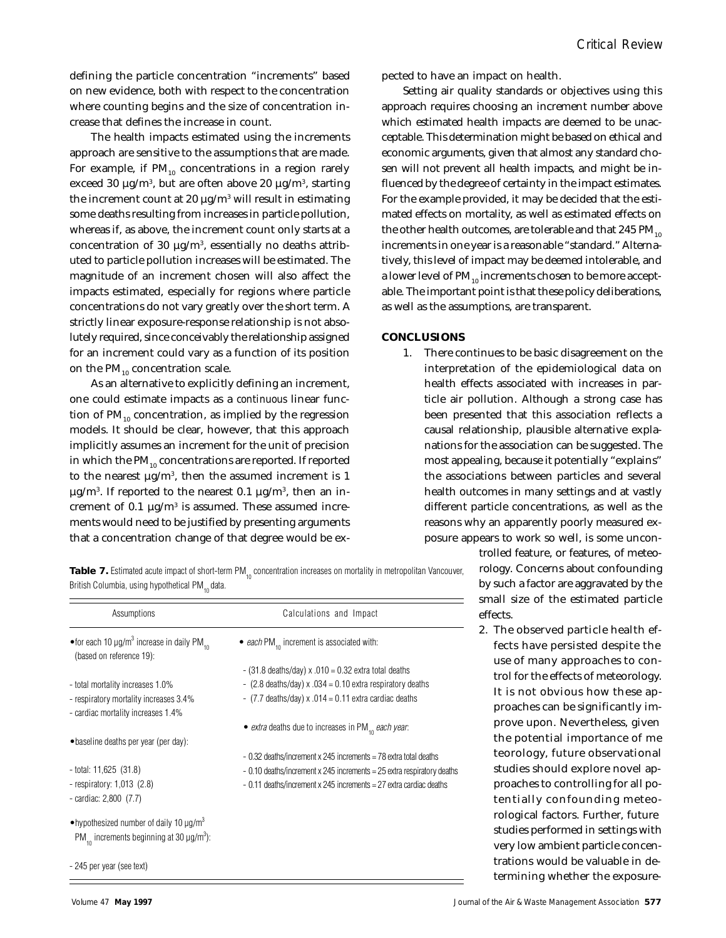defining the particle concentration "increments" based on new evidence, both with respect to the concentration where counting begins and the size of concentration increase that defines the increase in count.

The health impacts estimated using the increments approach are sensitive to the assumptions that are made. For example, if  $PM_{10}$  concentrations in a region rarely exceed 30  $\mu$ g/m $^3$ , but are often above 20  $\mu$ g/m $^3$ , starting the increment count at 20  $\mu$ g/m $^3$  will result in estimating some deaths resulting from increases in particle pollution, whereas if, as above, the increment count only starts at a concentration of 30  $\mu$ g/m<sup>3</sup>, essentially no deaths attributed to particle pollution increases will be estimated. The magnitude of an increment chosen will also affect the impacts estimated, especially for regions where particle concentrations do not vary greatly over the short term. A strictly linear exposure-response relationship is not absolutely required, since conceivably the relationship assigned for an increment could vary as a function of its position on the  $PM_{10}$  concentration scale.

As an alternative to explicitly defining an increment, one could estimate impacts as a *continuous* linear function of  $PM_{10}$  concentration, as implied by the regression models. It should be clear, however, that this approach implicitly assumes an increment for the unit of precision in which the  $PM_{10}$  concentrations are reported. If reported to the nearest  $\mu$ g/m<sup>3</sup>, then the assumed increment is 1  $\mu$ g/m $^3$ . If reported to the nearest 0.1  $\mu$ g/m $^3$ , then an increment of 0.1  $\mu$ g/m<sup>3</sup> is assumed. These assumed increments would need to be justified by presenting arguments that a concentration change of that degree would be expected to have an impact on health.

Setting air quality standards or objectives using this approach requires choosing an increment number above which estimated health impacts are deemed to be unacceptable. This determination might be based on ethical and economic arguments, given that almost any standard chosen will not prevent all health impacts, and might be influenced by the degree of certainty in the impact estimates. For the example provided, it may be decided that the estimated effects on mortality, as well as estimated effects on the other health outcomes, are tolerable and that  $245 \text{ PM}_{10}$ increments in one year is a reasonable "standard." Alternatively, this level of impact may be deemed intolerable, and a lower level of  $PM_{10}$  increments chosen to be more acceptable. The important point is that these policy deliberations, as well as the assumptions, are transparent.

## **CONCLUSIONS**

1. There continues to be basic disagreement on the interpretation of the epidemiological data on health effects associated with increases in particle air pollution. Although a strong case has been presented that this association reflects a causal relationship, plausible alternative explanations for the association can be suggested. The most appealing, because it potentially "explains" the associations between particles and several health outcomes in many settings and at vastly different particle concentrations, as well as the reasons why an apparently poorly measured exposure appears to work so well, is some uncon-

**Table 7.** Estimated acute impact of short-term PM<sub>10</sub> concentration increases on mortality in metropolitan Vancouver, British Columbia, using hypothetical PM<sub>10</sub> data.

| Assumptions                                                                                                                      | Calculations and Impact                                                 |
|----------------------------------------------------------------------------------------------------------------------------------|-------------------------------------------------------------------------|
| • for each 10 $\mu$ g/m <sup>3</sup> increase in daily PM <sub>10</sub><br>(based on reference 19):                              | • each PM <sub>10</sub> increment is associated with:                   |
|                                                                                                                                  | $-$ (31.8 deaths/day) x .010 = 0.32 extra total deaths                  |
| - total mortality increases 1.0%                                                                                                 | - $(2.8$ deaths/day) x $.034 = 0.10$ extra respiratory deaths           |
| - respiratory mortality increases 3.4%<br>- cardiac mortality increases 1.4%                                                     | $-$ (7.7 deaths/day) x .014 = 0.11 extra cardiac deaths                 |
|                                                                                                                                  | • <i>extra</i> deaths due to increases in PM $_{10}$ <i>each year</i> . |
| • baseline deaths per year (per day):                                                                                            |                                                                         |
|                                                                                                                                  | - 0.32 deaths/increment x 245 increments = 78 extra total deaths        |
| $-$ total: 11,625 (31.8)                                                                                                         | - 0.10 deaths/increment x 245 increments = 25 extra respiratory deaths  |
| - respiratory: $1,013$ (2.8)                                                                                                     | - 0.11 deaths/increment x 245 increments = 27 extra cardiac deaths      |
| - cardiac: $2,800$ $(7.7)$                                                                                                       |                                                                         |
| •hypothesized number of daily 10 $\mu$ g/m <sup>3</sup><br>PM <sub>10</sub> increments beginning at 30 $\mu$ g/m <sup>3</sup> ): |                                                                         |
| - 245 per year (see text)                                                                                                        |                                                                         |

trolled feature, or features, of meteorology. Concerns about confounding by such a factor are aggravated by the small size of the estimated particle effects.

2. The observed particle health effects have persisted despite the use of many approaches to control for the effects of meteorology. It is not obvious how these approaches can be significantly improve upon. Nevertheless, given the potential importance of me teorology, future observational studies should explore novel approaches to controlling for all potentially confounding meteorological factors. Further, future studies performed in settings with very low ambient particle concentrations would be valuable in determining whether the exposure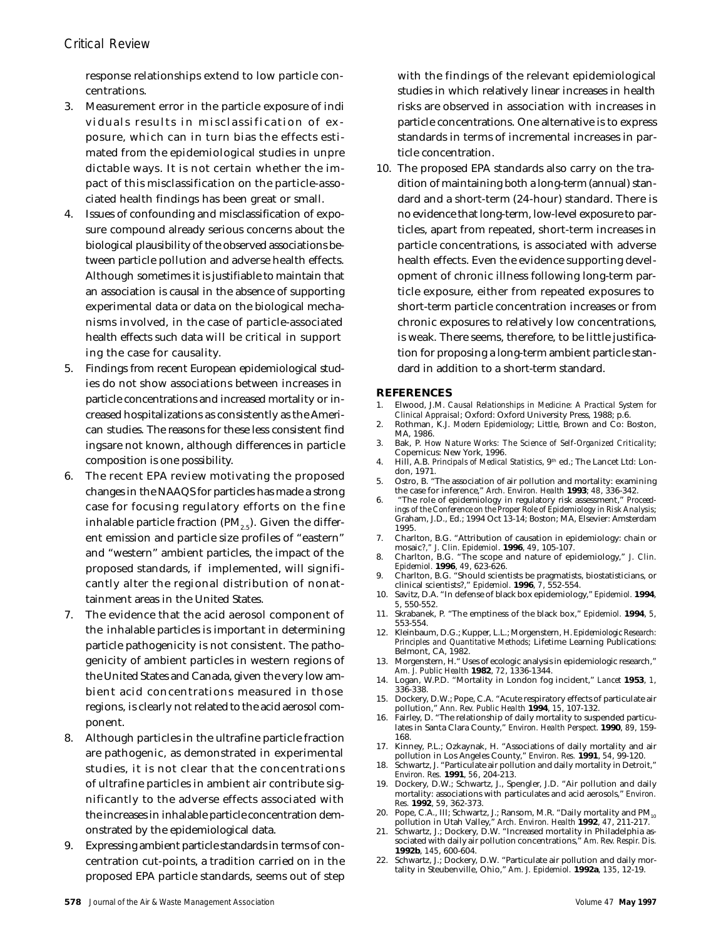response relationships extend to low particle concentrations.

- 3. Measurement error in the particle exposure of indi viduals results in misclassification of ex posure, which can in turn bias the effects estimated from the epidemiological studies in unpre dictable ways. It is not certain whether the impact of this misclassification on the particle-associated health findings has been great or small.
- 4. Issues of confounding and misclassification of exposure compound already serious concerns about the biological plausibility of the observed associations between particle pollution and adverse health effects. Although sometimes it is justifiable to maintain that an association is causal in the absence of supporting experimental data or data on the biological mechanisms involved, in the case of particle-associated health effects such data will be critical in support ing the case for causality.
- 5. Findings from recent European epidemiological studies do not show associations between increases in particle concentrations and increased mortality or increased hospitalizations as consistently as the American studies. The reasons for these less consistent find ingsare not known, although differences in particle composition is one possibility.
- 6. The recent EPA review motivating the proposed changes in the NAAQS for particles has made a strong case for focusing regulatory efforts on the fine inhalable particle fraction ( $PM_{25}$ ). Given the different emission and particle size profiles of "eastern" and "western" ambient particles, the impact of the proposed standards, if implemented, will significantly alter the regional distribution of nonattainment areas in the United States.
- 7. The evidence that the acid aerosol component of the inhalable particles is important in determining particle pathogenicity is not consistent. The pathogenicity of ambient particles in western regions of the United States and Canada, given the very low ambient acid concentrations measured in those regions, is clearly not related to the acid aerosol component.
- 8. Although particles in the ultrafine particle fraction are pathogenic, as demonstrated in experimental studies, it is not clear that the concentrations of ultrafine particles in ambient air contribute significantly to the adverse effects associated with the increases in inhalable particle concentration demonstrated by the epidemiological data.
- 9. Expressing ambient particle standards in terms of concentration cut-points, a tradition carried on in the proposed EPA particle standards, seems out of step

with the findings of the relevant epidemiological studies in which relatively linear increases in health risks are observed in association with increases in particle concentrations. One alternative is to express standards in terms of incremental increases in particle concentration.

10. The proposed EPA standards also carry on the tradition of maintaining both a long-term (annual) standard and a short-term (24-hour) standard. There is no evidence that long-term, low-level exposure to particles, apart from repeated, short-term increases in particle concentrations, is associated with adverse health effects. Even the evidence supporting development of chronic illness following long-term particle exposure, either from repeated exposures to short-term particle concentration increases or from chronic exposures to relatively low concentrations, is weak. There seems, therefore, to be little justification for proposing a long-term ambient particle standard in addition to a short-term standard.

### **REFERENCES**

- 1. Elwood, J.M. *Causal Relationships in Medicine: A Practical System for Clinical Appraisal*; Oxford: Oxford University Press, 1988; p.6.
- 2. Rothman, K.J. *Modern Epidemiology*; Little, Brown and Co: Boston, MA, 1986.
- 3. Bak, P. *How Nature Works: The Science of Self-Organized Criticality*; Copernicus: New York, 1996.
- 4. Hill, A.B. Principals of Medical Statistics, 9<sup>th</sup> ed.; The Lancet Ltd: London, 1971.
- 5. Ostro, B. "The association of air pollution and mortality: examining the case for inference," *Arch. Environ. Health* **1993**; *48*, 336-342.
- 6. "The role of epidemiology in regulatory risk assessment," *Proceedings of the Conference on the Proper Role of Epidemiology in Risk Analysis*; Graham, J.D., Ed.; 1994 Oct 13-14; Boston; MA, Elsevier: Amsterdam 1995.
- 7. Charlton, B.G. "Attribution of causation in epidemiology: chain or mosaic*?," J. Clin. Epidemiol*. **1996**, *49*, 105-107.
- 8. Charlton, B.G. "The scope and nature of epidemiology," *J. Clin. Epidemiol.* **1996**, *49*, 623-626.
- 9. Charlton, B.G. "Should scientists be pragmatists, biostatisticians, or clinical scientists?," *Epidemiol.* **1996**, *7*, 552-554.
- 10. Savitz, D.A. "In defense of black box epidemiology," *Epidemiol.* **1994**, *5*, 550-552.
- 11. Skrabanek, P. "The emptiness of the black box," *Epidemiol.* **1994**, *5*, 553-554.
- 12. Kleinbaum, D.G.; Kupper, L.L.; Morgenstern, H. *Epidemiologic Research: Principles and Quantitative Methods*; Lifetime Learning Publications: Belmont, CA, 1982.
- 13. Morgenstern, H." Uses of ecologic analysis in epidemiologic research," *Am. J. Public Health* **1982**, *72*, 1336-1344.
- 14. Logan, W.P.D. "Mortality in London fog incident," *Lancet* **1953**, *1*, 336-338.
- 15. Dockery, D.W.; Pope, C.A. "Acute respiratory effects of particulate air pollution," *Ann. Rev. Public Health* **1994**, *15*, 107-132.
- 16. Fairley, D. "The relationship of daily mortality to suspended particulates in Santa Clara County," *Environ. Health Perspect*. **1990**, *89*, 159- 168.
- 17. Kinney, P.L.; Ozkaynak, H. "Associations of daily mortality and air pollution in Los Angeles County," *Environ. Res.* **1991**, *54*, 99-120.
- 18. Schwartz, J. "Particulate air pollution and daily mortality in Detroit," *Environ. Res.* **1991**, *56*, 204-213.
- 19. Dockery, D.W.; Schwartz, J., Spengler, J.D. "Air pollution and daily mortality: associations with particulates and acid aerosols," *Environ. Res.* **1992**, *59*, 362-373.
- 20. Pope, C.A., III; Schwartz, J.; Ransom, M.R. "Daily mortality and  $PM_{10}$ pollution in Utah Valley," *Arch. Environ. Health* **1992**, *47*, 211-217.
- 21. Schwartz, J.; Dockery, D.W. "Increased mortality in Philadelphia associated with daily air pollution concentrations," *Am. Rev. Respir. Dis.* **1992b**, *145*, 600-604.
- 22. Schwartz, J.; Dockery, D.W. "Particulate air pollution and daily mortality in Steubenville, Ohio," *Am. J. Epidemiol.* **1992a**, *135*, 12-19.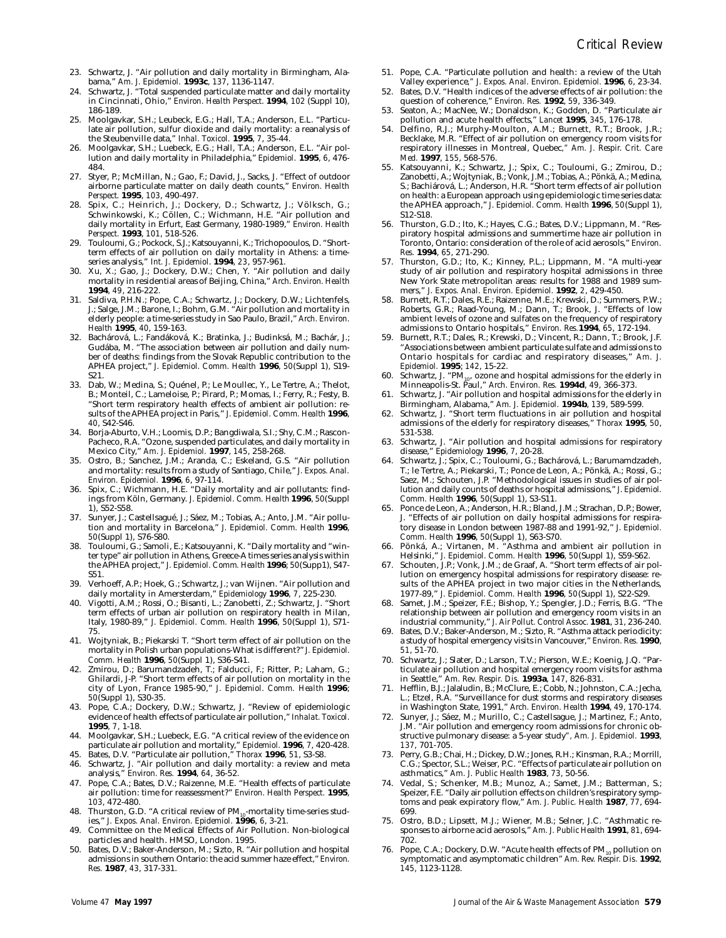- 23. Schwartz, J. "Air pollution and daily mortality in Birmingham, Alabama," *Am. J. Epidemiol.* **1993c**, *137*, 1136-1147.
- 24. Schwartz, J. "Total suspended particulate matter and daily mortality in Cincinnati, Ohio," *Environ. Health Perspect*. **1994**, *102* (Suppl 10), 186-189.
- 25. Moolgavkar, S.H.; Leubeck, E.G.; Hall, T.A.; Anderson, E.L. "Particulate air pollution, sulfur dioxide and daily mortality: a reanalysis of the Steubenville data," *Inhal. Toxicol.* **1995**, *7*, 35-44.
- 26. Moolgavkar, S.H.; Luebeck, E.G.; Hall, T.A.; Anderson, E.L. "Air pollution and daily mortality in Philadelphia," *Epidemiol.* **1995**, *6*, 476- 484.
- 27. Styer, P.; McMillan, N.; Gao, F.; David, J., Sacks, J. "Effect of outdoor airborne particulate matter on daily death counts," *Environ. Health Perspect*. **1995**, *103*, 490-497.
- 28. Spix, C.; Heinrich, J.; Dockery, D.; Schwartz, J.; Völksch, G.; Schwinkowski, K.; Cöllen, C.; Wichmann, H.E. "Air pollution and daily mortality in Erfurt, East Germany, 1980-1989," *Environ. Health Perspect.* **1993**, *101*, 518-526.
- 29. Touloumi, G.; Pockock, S.J.; Katsouyanni, K.; Trichopooulos, D. "Shortterm effects of air pollution on daily mortality in Athens: a timeseries analysis," *Int. J. Epidemiol*. **1994**, *23*, 957-961.
- 30. Xu, X.; Gao, J.; Dockery, D.W.; Chen, Y. "Air pollution and daily mortality in residential areas of Beijing, China," *Arch. Environ. Health* **1994**, *49*, 216-222.
- 31. Saldiva, P.H.N.; Pope, C.A.; Schwartz, J.; Dockery, D.W.; Lichtenfels, J.; Salge, J.M.; Barone, I.; Bohm, G.M. "Air pollution and mortality in elderly people: a time-series study in Sao Paulo, Brazil," *Arch. Environ. Health* **1995**, *40*, 159-163.
- 32. Bachárová, L.; Fandáková, K.; Bratinka, J.; Budinksá, M.; Bachár, J.; Gudába, M. "The association between air pollution and daily number of deaths: findings from the Slovak Republic contribution to the APHEA project," *J. Epidemiol. Comm. Health* **1996**, *50*(Suppl 1), S19- S21.
- 33. Dab, W.; Medina, S.; Quénel, P.; Le Moullec, Y., Le Tertre, A.; Thelot, B.; Monteil, C.; Lameloise, P.; Pirard, P.; Momas, I.; Ferry, R.; Festy, B. "Short term respiratory health effects of ambient air pollution: results of the APHEA project in Paris," *J. Epidemiol. Comm. Health* **1996**, *40*, S42-S46.
- 34. Borja-Aburto, V.H.; Loomis, D.P.; Bangdiwala, S.I.; Shy, C.M.; Rascon-Pacheco, R.A. "Ozone, suspended particulates, and daily mortality in Mexico City," *Am. J. Epidemiol.* **1997**, *145*, 258-268.
- 35. Ostro, B.; Sanchez, J.M.; Aranda, C.; Eskeland, G.S. "Air pollution and mortality: results from a study of Santiago, Chile," *J. Expos. Anal. Environ. Epidemiol.* **1996**, *6*, 97-114.
- 36. Spix, C.; Wichmann, H.E. "Daily mortality and air pollutants: findings from Köln, Germany. *J. Epidemiol. Comm. Health* **1996**, *50*(Suppl 1), S52-S58.
- 37. Sunyer, J.; Castellsagué, J.; Sáez, M.; Tobias, A.; Anto, J.M. "Air pollution and mortality in Barcelona," *J. Epidemiol. Comm. Health* **1996**, *50*(Suppl 1), S76-S80.
- 38. Touloumi, G.; Samoli, E.; Katsouyanni, K. "Daily mortality and "winter type" air pollution in Athens, Greece-A times series analysis within the APHEA project," *J. Epidemiol. Comm. Health* **1996**; *50*(Supp1), S47- S51.
- 39. Verhoeff, A.P.; Hoek, G.; Schwartz, J.; van Wijnen. "Air pollution and daily mortality in Amersterdam," *Epidemiology* **1996**, *7*, 225-230.
- Vigotti, A.M.; Rossi, O.; Bisanti, L.; Zanobetti, Z.; Schwartz, J. "Short term effects of urban air pollution on respiratory health in Milan, Italy, 1980-89," *J. Epidemiol. Comm. Health* **1996**, *50*(Suppl 1), S71- 75.
- 41. Wojtyniak, B.; Piekarski T. "Short term effect of air pollution on the mortality in Polish urban populations-What is different?" *J. Epidemiol. Comm. Health* **1996**, *50*(Suppl 1), S36-S41.
- 42. Zmirou, D.; Barumandzadeh, T.; Falducci, F.; Ritter, P.; Laham, G.; Ghilardi, J-P. "Short term effects of air pollution on mortality in the city of Lyon, France 1985-90," *J. Epidemiol. Comm. Health* **1996**; *50*(Suppl 1), S30-35.
- 43. Pope, C.A.; Dockery, D.W.; Schwartz, J. "Review of epidemiologic evidence of health effects of particulate air pollution," *Inhalat. Toxicol.* **1995**, *7*, 1-18.
- 44. Moolgavkar, S.H.; Luebeck, E.G. "A critical review of the evidence on particulate air pollution and mortality," *Epidemiol.* **1996**, *7*, 420-428.
- 45. Bates, D.V. "Particulate air pollution," *Thorax* **1996**, *51*, S3-S8. 46. Schwartz, J. "Air pollution and daily mortality: a review and meta
- analysis," *Environ. Res.* **1994**, *64*, 36-52.
- 47. Pope, C.A.; Bates, D.V.; Raizenne, M.E. "Health effects of particulate air pollution: time for reassessment?" *Environ. Health Perspect.* **1995**, *103*, 472-480.
- 48. Thurston, G.D. "A critical review of  $PM_{10}$ -mortality time-series studies," *J. Expos. Anal. Environ. Epidemiol.* **1996**, *6*, 3-21.
- 49. Committee on the Medical Effects of Air Pollution. Non-biological particles and health. HMSO, London. 1995.
- 50. Bates, D.V.; Baker-Anderson, M.; Sizto, R. "Air pollution and hospital admissions in southern Ontario: the acid summer haze effect," *Environ. Res.* **1987**, *43*, 317-331.
- 51. Pope, C.A. "Particulate pollution and health: a review of the Utah
- Valley experience*," J. Expos. Anal. Environ. Epidemiol.* **1996**, *6*, 23-34. 52. Bates, D.V. "Health indices of the adverse effects of air pollution: the
- question of coherence," *Environ. Res.* **1992**, *59*, 336-349. 53. Seaton, A.; MacNee, W.; Donaldson, K.; Godden, D. "Particulate air pollution and acute health effects," *Lancet* **1995**, *345*, 176-178.
- 54. Delfino, R.J.; Murphy-Moulton, A.M.; Burnett, R.T.; Brook, J.R.; Becklake, M.R. "Effect of air pollution on emergency room visits for respiratory illnesses in Montreal, Quebec*," Am. J. Respir. Crit. Care Med.* **1997**, *155*, 568-576.
- 55. Katsouyanni, K.; Schwartz, J.; Spix, C.; Touloumi, G.; Zmirou, D.; Zanobetti, A.; Wojtyniak, B.; Vonk, J.M.; Tobias, A.; Pönkä, A.; Medina, S.; Bachiárová, L.; Anderson, H.R. "Short term effects of air pollution on health: a European approach using epidemiologic time series data: the APHEA approach," *J. Epidemiol. Comm. Health* **1996**, *50*(Suppl 1), S12-S18.
- 56. Thurston, G.D.; Ito, K.; Hayes, C.G.; Bates, D.V.; Lippmann, M. "Respiratory hospital admissions and summertime haze air pollution in Toronto, Ontario: consideration of the role of acid aerosols," *Environ. Res.* **1994**, *65*, 271-290.
- 57. Thurston, G.D.; Ito, K.; Kinney, P.L.; Lippmann, M. "A multi-year study of air pollution and respiratory hospital admissions in three New York State metropolitan areas: results for 1988 and 1989 summers," *J. Expos. Anal. Environ. Epidemiol.* **1992**, *2*, 429-450.
- 58. Burnett, R.T.; Dales, R.E.; Raizenne, M.E.; Krewski, D.; Summers, P.W.; Roberts, G.R.; Raad-Young, M.; Dann, T.; Brook, J. "Effects of low ambient levels of ozone and sulfates on the frequency of respiratory admissions to Ontario hospitals," *Environ. Res.***1994**, *65*, 172-194.
- 59. Burnett, R.T.; Dales, R.; Krewski, D.; Vincent, R.; Dann, T.; Brook, J.F. "Associations between ambient particulate sulfate and admissions to Ontario hospitals for cardiac and respiratory diseases," *Am. J. Epidemiol.* **1995**; *142*, 15-22.
- 60. Schwartz, J. "PM10, ozone and hospital admissions for the elderly in Minneapolis-St. Paul," *Arch. Environ. Res.* **1994d**, *49*, 366-373.
- 61. Schwartz, J. "Air pollution and hospital admissions for the elderly in Birmingham, Alabama," *Am. J. Epidemiol.* **1994b**, *139*, 589-599.
- 62. Schwartz, J. "Short term fluctuations in air pollution and hospital admissions of the elderly for respiratory diseases," *Thorax* **1995**, *50*, 531-538.
- 63. Schwartz, J. "Air pollution and hospital admissions for respiratory disease," *Epidemiology* **1996**, *7*, 20-28.
- 64. Schwartz, J.; Spix, C.; Touloumi, G.; Bachárová, L.; Barumamdzadeh, T.; le Tertre, A.; Piekarski, T.; Ponce de Leon, A.; Pönkä, A.; Rossi, G.; Saez, M.; Schouten, J.P. "Methodological issues in studies of air pollution and daily counts of deaths or hospital admissions," *J. Epidemiol. Comm. Health* **1996**, *50*(Suppl 1), S3-S11.
- 65. Ponce de Leon, A.; Anderson, H.R.; Bland, J.M.; Strachan, D.P.; Bower, J. "Effects of air pollution on daily hospital admissions for respiratory disease in London between 1987-88 and 1991-92," *J. Epidemiol. Comm. Health* **1996**, *50*(Suppl 1), S63-S70.
- 66. Pönká, A.; Virtanen, M. "Asthma and ambient air pollution in Helsinki," *J. Epidemiol. Comm. Health* **1996**, *50*(Suppl 1), S59-S62.
- Schouten, J.P.; Vonk, J.M.; de Graaf, A. "Short term effects of air pollution on emergency hospital admissions for respiratory disease: results of the APHEA project in two major cities in the Netherlands, 1977-89," *J. Epidemiol. Comm. Health* **1996**, *50*(Suppl 1), S22-S29.
- Samet, J.M.; Speizer, F.E.; Bishop, Y.; Spengler, J.D.; Ferris, B.G. "The relationship between air pollution and emergency room visits in an industrial community," *J. Air Pollut. Control Assoc.* **1981**, *31*, 236-240.
- Bates, D.V.; Baker-Anderson, M.; Sizto, R. "Asthma attack periodicity: a study of hospital emergency visits in Vancouver," *Environ. Res.* **1990**, *51*, 51-70.
- 70. Schwartz, J.; Slater, D.; Larson, T.V.; Pierson, W.E.; Koenig, J.Q. "Particulate air pollution and hospital emergency room visits for asthma in Seattle," *Am. Rev. Respir. Dis.* **1993a**, *147*, 826-831.
- 71. Hefflin, B.J.; Jalaludin, B.; McClure, E.; Cobb, N.; Johnston, C.A.; Jecha, L.; Etzel, R.A. "Surveillance for dust storms and respiratory diseases in Washington State, 1991*,*" *Arch. Environ. Health* **1994**, *49*, 170-174.
- 72. Sunyer, J.; Sáez, M.; Murillo, C.; Castellsague, J.; Martinez, F.; Anto, J.M. "Air pollution and emergency room admissions for chronic obstructive pulmonary disease: a 5-year study*", Am. J. Epidemiol.* **1993**, *137*, 701-705.
- 73. Perry, G.B.; Chai, H.; Dickey, D.W.; Jones, R.H.; Kinsman, R.A.; Morrill, C.G.; Spector, S.L.; Weiser, P.C. "Effects of particulate air pollution on asthmatics," *Am. J. Public Health* **1983**, *73*, 50-56.
- Vedal, S.; Schenker, M.B.; Munoz, A.; Samet, J.M.; Batterman, S.; Speizer, F.E. "Daily air pollution effects on children's respiratory symptoms and peak expiratory flow," *Am. J. Public. Health* **1987**, *77*, 694- 699.
- 75. Ostro, B.D.; Lipsett, M.J.; Wiener, M.B.; Selner, J.C. "Asthmatic responses to airborne acid aerosols," *Am. J. Public Health* **1991**, *81*, 694- 702.
- Pope, C.A.; Dockery, D.W. "Acute health effects of PM<sub>10</sub> pollution on symptomatic and asymptomatic children" *Am. Rev. Respir. Dis.* **1992**, *145*, 1123-1128.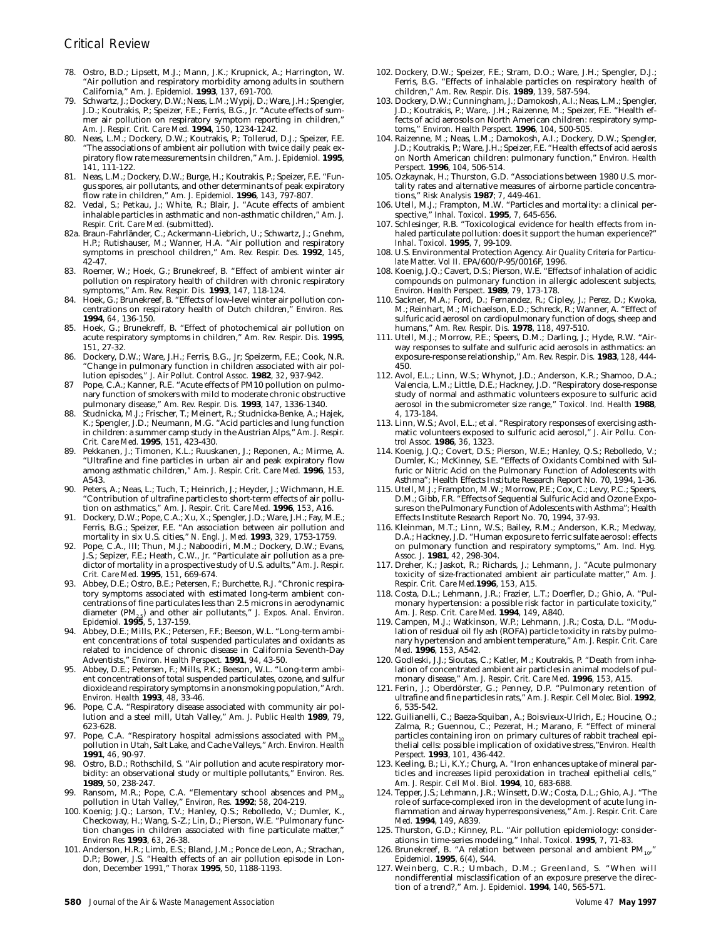- 78. Ostro, B.D.; Lipsett, M.J.; Mann, J.K.; Krupnick, A.; Harrington, W. "Air pollution and respiratory morbidity among adults in southern California," *Am. J. Epidemiol.* **1993**, *137*, 691-700.
- 79. Schwartz, J.; Dockery, D.W.; Neas, L.M.; Wypij, D.; Ware, J.H.; Spengler, J.D.; Koutrakis, P.; Speizer, F.E.; Ferris, B.G., Jr. "Acute effects of summer air pollution on respiratory symptom reporting in children," *Am. J. Respir. Crit. Care Med.* **1994**, *150*, 1234-1242.
- 80. Neas, L.M.; Dockery, D.W.; Koutrakis, P.; Tollerud, D.J.; Speizer, F.E. "The associations of ambient air pollution with twice daily peak expiratory flow rate measurements in children," *Am. J. Epidemiol.* **1995**, *141*, 111-122.
- 81. Neas, L.M.; Dockery, D.W.; Burge, H.; Koutrakis, P.; Speizer, F.E. "Fungus spores, air pollutants, and other determinants of peak expiratory flow rate in children," *Am. J. Epidemiol.* **1996**, *143*, 797-807.
- 82. Vedal, S.; Petkau, J.; White, R.; Blair, J. "Acute effects of ambient inhalable particles in asthmatic and non-asthmatic children," *Am. J. Respir. Crit. Care Med.* (submitted).
- 82a. Braun-Fahrländer, C.; Ackermann-Liebrich, U.; Schwartz, J.; Gnehm, H.P.; Rutishauser, M.; Wanner, H.A. "Air pollution and respiratory symptoms in preschool children," *Am. Rev. Respir. Des.* **1992**, *145*, 42-47.
- 83. Roemer, W.; Hoek, G.; Brunekreef, B. "Effect of ambient winter air pollution on respiratory health of children with chronic respiratory symptoms," *Am. Rev. Respir. Dis.* **1993**, *147*, 118-124.
- 84. Hoek, G.; Brunekreef, B. "Effects of low-level winter air pollution concentrations on respiratory health of Dutch children," *Environ. Res.* **1994**, *64*, 136-150.
- 85. Hoek, G.; Brunekreff, B. "Effect of photochemical air pollution on acute respiratory symptoms in children," *Am. Rev. Respir. Dis.* **1995**, *151*, 27-32.
- 86. Dockery, D.W.; Ware, J.H.; Ferris, B.G., Jr; Speizerm, F.E.; Cook, N.R. "Change in pulmonary function in children associated with air pollution episodes*," J. Air Pollut. Control Assoc.* **1982**, *32*, 937-942.
- Pope, C.A.; Kanner, R.E. "Acute effects of PM10 pollution on pulmonary function of smokers with mild to moderate chronic obstructive pulmonary disease," *Am. Rev. Respir. Dis.* **1993**, *147*, 1336-1340.
- 88. Studnicka, M.J.; Frischer, T.; Meinert, R.; Studnicka-Benke, A.; Hajek, K.; Spengler, J.D.; Neumann, M.G. "Acid particles and lung function in children: a summer camp study in the Austrian Alps," *Am. J. Respir. Crit. Care Med.* **1995**, *151*, 423-430.
- 89. Pekkanen, J.; Timonen, K.L.; Ruuskanen, J.; Reponen, A.; Mirme, A. "Ultrafine and fine particles in urban air and peak expiratory flow among asthmatic children*," Am. J. Respir. Crit. Care Med.* **1996**, *153*, A543.
- 90. Peters, A.; Neas, L.; Tuch, T.; Heinrich, J.; Heyder, J.; Wichmann, H.E. "Contribution of ultrafine particles to short-term effects of air pollution on asthmatics*," Am. J. Respir. Crit. Care Med.* **1996**, *153*, A16.
- 91. Dockery, D.W.; Pope, C.A.; Xu, X.; Spengler, J.D.; Ware, J.H.; Fay, M.E.; Ferris, B.G.; Speizer, F.E. "An association between air pollution and mortality in six U.S. cities," *N. Engl. J. Med.* **1993**, *329*, 1753-1759.
- 92. Pope, C.A., III; Thun, M.J.; Naboodiri, M.M.; Dockery, D.W.; Evans, J.S.; Sepizer, F.E.; Heath, C.W., Jr. "Particulate air pollution as a predictor of mortality in a prospective study of U.S. adults," *Am. J. Respir. Crit. Care Med.* **1995**, *151*, 669-674.
- 93. Abbey, D.E.; Ostro, B.E.; Petersen, F.; Burchette, R.J. "Chronic respiratory symptoms associated with estimated long-term ambient concentrations of fine particulates less than 2.5 microns in aerodynamic diameter (PM<sub>2.5</sub>) and other air pollutants," *J. Expos. Anal. Environ. Epidemiol.* **1995**, *5*, 137-159.
- 94. Abbey, D.E.; Mills, P.K.; Petersen, F.F.; Beeson, W.L. "Long-term ambient concentrations of total suspended particulates and oxidants as related to incidence of chronic disease in California Seventh-Day Adventists," *Environ. Health Perspect.* **1991**, *94*, 43-50.
- 95. Abbey, D.E.; Petersen, F.; Mills, P.K.; Beeson, W.L. "Long-term ambient concentrations of total suspended particulates, ozone, and sulfur dioxide and respiratory symptoms in a nonsmoking population," *Arch. Environ. Health* **1993**, *48*, 33-46.
- 96. Pope, C.A. "Respiratory disease associated with community air pollution and a steel mill, Utah Valley," *Am. J. Public Health* **1989**, *79*, 623-628.
- 97. Pope, C.A. "Respiratory hospital admissions associated with PM pollution in Utah, Salt Lake, and Cache Valleys," *Arch. Environ. Health* **1991**, *46*, 90-97.
- 98. Ostro, B.D.; Rothschild, S. "Air pollution and acute respiratory morbidity: an observational study or multiple pollutants," *Environ. Res*. **1989**, *50*, 238-247.
- 99. Ransom, M.R.; Pope, C.A. "Elementary school absences and PM<sub>10</sub> pollution in Utah Valley," *Environ, Res.* **1992**; *58*, 204-219.
- 100. Koenig; J.Q.; Larson, T.V.; Hanley, Q.S.; Rebolledo, V.; Dumler, K., Checkoway, H.; Wang, S.-Z.; Lin, D.; Pierson, W.E. "Pulmonary function changes in children associated with fine particulate matter," *Environ Res* **1993**, *63*, 26-38.
- 101. Anderson, H.R.; Limb, E.S.; Bland, J.M.; Ponce de Leon, A.; Strachan, D.P.; Bower, J.S. "Health effects of an air pollution episode in London, December 1991," *Thorax* **1995**, *50*, 1188-1193.
- 102. Dockery, D.W.; Speizer, F.E.; Stram, D.O.; Ware, J.H.; Spengler, D.J.; Ferris, B.G. "Effects of inhalable particles on respiratory health of children," *Am. Rev. Respir. Dis*. **1989**, *139*, 587-594.
- 103. Dockery, D.W.; Cunningham, J.; Damokosh, A.I.; Neas, L.M.; Spengler, J.D.; Koutrakis, P.; Ware,. J.H.; Raizenne, M.; Speizer, F.E. "Health effects of acid aerosols on North American children: respiratory symptoms," *Environ. Health Perspect.* **1996**, *104*, 500-505.
- 104. Raizenne, M.; Neas, L.M.; Damokosh, A.I.; Dockery, D.W.; Spengler, J.D.; Koutrakis, P.; Ware, J.H.; Speizer, F.E. "Health effects of acid aerosls on North American children: pulmonary function," *Environ. Health Perspect.* **1996**, *104*, 506-514.
- 105. Ozkaynak, H.; Thurston, G.D. "Associations between 1980 U.S. mortality rates and alternative measures of airborne particle concentrations," *Risk Analysis* **1987**; *7*, 449-461.
- 106. Utell, M.J.; Frampton, M.W. "Particles and mortality: a clinical perspective," *Inhal. Toxicol.* **1995**, *7*, 645-656.
- 107. Schlesinger, R.B. "Toxicological evidence for health effects from inhaled particulate pollution: does it support the human experience?" *Inhal. Toxicol.* **1995**, *7*, 99-109.
- 108. U.S. Environmental Protection Agency. *Air Quality Criteria for Particulate Matter. Vol II*. EPA/600/P-95/0016F, 1996.
- 108. Koenig, J.Q.; Cavert, D.S.; Pierson, W.E. "Effects of inhalation of acidic compounds on pulmonary function in allergic adolescent subjects, *Environ. Health Perspect*. **1989**, *79*, 173-178.
- 110. Sackner, M.A.; Ford, D.; Fernandez, R.; Cipley, J.; Perez, D.; Kwoka, M.; Reinhart, M.; Michaelson, E.D.; Schreck, R.; Wanner, A. "Effect of sulfuric acid aerosol on cardiopulmonary function of dogs, sheep and humans," *Am. Rev. Respir. Dis.* **1978**, *118*, 497-510.
- 111. Utell, M.J.; Morrow, P.E.; Speers, D.M.; Darling, J.; Hyde, R.W. "Airway responses to sulfate and sulfuric acid aerosols in asthmatics: an exposure-response relationship," *Am. Rev. Respir. Dis.* **1983**, *128*, 444- 450.
- 112. Avol, E.L.; Linn, W.S.; Whynot, J.D.; Anderson, K.R.; Shamoo, D.A.; Valencia, L.M.; Little, D.E.; Hackney, J.D. "Respiratory dose-response study of normal and asthmatic volunteers exposure to sulfuric acid aerosol in the submicrometer size range," *Toxicol. Ind. Health* **1988**, *4*, 173-184.
- 113. Linn, W.S.; Avol, E.L.; et al. "Respiratory responses of exercising asthmatic volunteers exposed to sulfuric acid aerosol," *J. Air Pollu. Control Assoc.* **1986**, *36*, 1323.
- 114. Koenig, J.Q.; Covert, D.S.; Pierson, W.E.; Hanley, Q.S.; Rebolledo, V.; Dumler, K.; McKinney, S.E. "Effects of Oxidants Combined with Sulfuric or Nitric Acid on the Pulmonary Function of Adolescents with Asthma"; Health Effects Institute Research Report No. 70, 1994, 1-36.
- 115. Utell, M.J.; Frampton, M.W.; Morrow, P.E.; Cox, C.; Levy, P.C.; Speers, D.M.; Gibb, F.R. "Effects of Sequential Sulfuric Acid and Ozone Exposures on the Pulmonary Function of Adolescents with Asthma"; Health Effects Institute Research Report No. 70, 1994, 37-93.
- 116. Kleinman, M.T.; Linn, W.S.; Bailey, R.M.; Anderson, K.R.; Medway, D.A.; Hackney, J.D. "Human exposure to ferric sulfate aerosol: effects on pulmonary function and respiratory symptoms," *Am. Ind. Hyg. Assoc. J.* **1981**, *42*, 298-304.
- 117. Dreher, K.; Jaskot, R.; Richards, J.; Lehmann, J. "Acute pulmonary toxicity of size-fractionated ambient air particulate matter," *Am. J. Respir. Crit. Care Med.***1996**, *153*, A15.
- 118. Costa, D.L.; Lehmann, J.R.; Frazier, L.T.; Doerfler, D.; Ghio, A. "Pulmonary hypertension: a possible risk factor in particulate toxicity," *Am. J. Resp. Crit. Care Med.* **1994**, *149*, A840.
- 119. Campen, M.J.; Watkinson, W.P.; Lehmann, J.R.; Costa, D.L. "Modulation of residual oil fly ash (ROFA) particle toxicity in rats by pulmonary hypertension and ambient temperature," *Am. J. Respir. Crit. Care Med.* **1996**, *153*, A542.
- 120. Godleski, J.J.; Sioutas, C.; Katler, M.; Koutrakis, P. "Death from inhalation of concentrated ambient air particles in animal models of pulmonary disease," *Am. J. Respir. Crit. Care Med.* **1996**, *153*, A15.
- 121. Ferin, J.; Oberdörster, G.; Penney, D.P. "Pulmonary retention of ultrafine and fine particles in rats," *Am. J. Respir. Cell Molec. Biol.* **1992**, *6*, 535-542.
- 122. Guilianelli, C.; Baeza-Squiban, A.; Boisvieux-Ulrich, E.; Houcine, O.; Zalma, R.; Guennou, C.; Pezerat, H.; Marano, F. "Effect of mineral particles containing iron on primary cultures of rabbit tracheal epithelial cells: possible implication of oxidative stress,"*Environ. Health Perspect*. **1993**, *101*, 436-442.
- 123. Keeling, B.; Li, K.Y.; Churg, A. "Iron enhances uptake of mineral particles and increases lipid peroxidation in tracheal epithelial cells," *Am. J. Respir. Cell Mol. Biol.* **1994**, *10*, 683-688.
- 124. Tepper, J.S.; Lehmann, J.R.; Winsett, D.W.; Costa, D.L.; Ghio, A.J. "The role of surface-complexed iron in the development of acute lung inflammation and airway hyperresponsiveness," *Am. J. Respir. Crit. Care Med.* **1994**, *149*, A839.
- 125. Thurston, G.D.; Kinney, P.L. "Air pollution epidemiology: considerations in time-series modeling," *Inhal. Toxicol.* **1995**, *7*, 71-83.
- 126. Brunekreef, B. "A relation between personal and ambient  $PM_{10}$ *Epidemiol.* **1995**, *6*(4), S44.
- 127. Weinberg, C.R.; Umbach, D.M.; Greenland, S. "When will nondifferential misclassification of an exposure preserve the direction of a trend?," *Am. J. Epidemiol.* **1994**, *140*, 565-571.